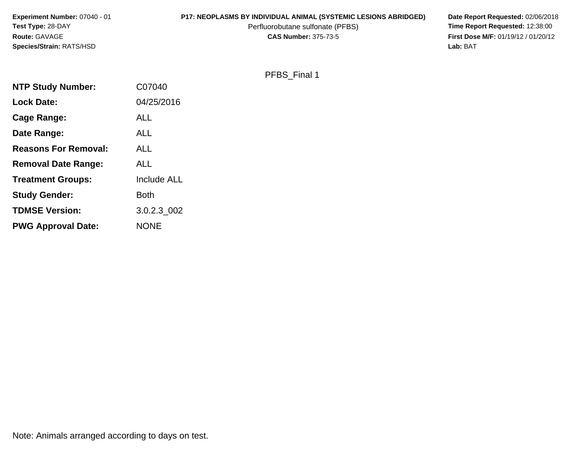**Experiment Number:** 07040 - 01**P17: NEOPLASMS BY INDIVIDUAL ANIMAL (SYSTEMIC LESIONS ABRIDGED)** Date Report Requested: 02/06/2018<br>Perfluorobutane sulfonate (PFBS) **Time Report Requested:** 12:38:00 **Test Type:** 28-DAYPerfluorobutane sulfonate (PFBS)<br>**CAS Number:** 375-73-5 **Route:** GAVAGE**Species/Strain:** RATS/HSD**Lab:** BAT

**First Dose M/F:** 01/19/12 / 01/20/12<br>**Lab:** BAT

PFBS\_Final 1

| <b>NTP Study Number:</b>    | C07040             |
|-----------------------------|--------------------|
| <b>Lock Date:</b>           | 04/25/2016         |
| Cage Range:                 | <b>ALL</b>         |
| Date Range:                 | ALL                |
| <b>Reasons For Removal:</b> | ALL                |
| <b>Removal Date Range:</b>  | ALL                |
| <b>Treatment Groups:</b>    | <b>Include ALL</b> |
| <b>Study Gender:</b>        | Both               |
| <b>TDMSE Version:</b>       | 3.0.2.3 002        |
| <b>PWG Approval Date:</b>   | <b>NONE</b>        |

Note: Animals arranged according to days on test.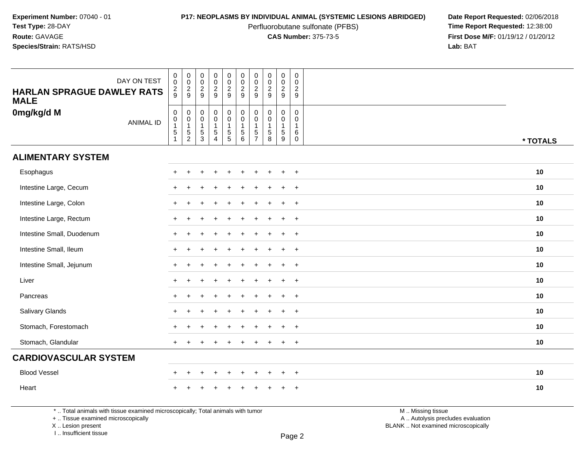Perfluorobutane sulfonate (PFBS)<br>**CAS Number:** 375-73-5

**P17: NEOPLASMS BY INDIVIDUAL ANIMAL (SYSTEMIC LESIONS ABRIDGED)** Date Report Requested: 02/06/2018<br>Perfluorobutane sulfonate (PFBS) **Time Report Requested:** 12:38:00 **First Dose M/F:** 01/19/12 / 01/20/12<br>**Lab:** BAT **Lab:** BAT

| DAY ON TEST<br><b>HARLAN SPRAGUE DAWLEY RATS</b><br><b>MALE</b> | $\mathbf 0$<br>$\overline{0}$<br>$\frac{2}{9}$                             | $\begin{smallmatrix}0\\0\end{smallmatrix}$<br>$\frac{2}{9}$                 | $\pmb{0}$<br>$\overline{0}$<br>$\frac{2}{9}$                                       | $\mathsf{O}\xspace$<br>$\frac{0}{2}$                                           | $\begin{array}{c} 0 \\ 0 \\ 2 \\ 9 \end{array}$                                        | $\begin{array}{c} 0 \\ 0 \\ 2 \\ 9 \end{array}$                                       | $\mathbf 0$<br>$\mathbf 0$<br>$\frac{2}{9}$                                  | $\pmb{0}$<br>$\ddot{\mathbf{0}}$<br>$\frac{2}{9}$             | 0<br>$\ddot{\mathbf{0}}$<br>$\frac{2}{9}$            | $\pmb{0}$<br>$\overline{0}$<br>$\frac{2}{9}$                   |          |
|-----------------------------------------------------------------|----------------------------------------------------------------------------|-----------------------------------------------------------------------------|------------------------------------------------------------------------------------|--------------------------------------------------------------------------------|----------------------------------------------------------------------------------------|---------------------------------------------------------------------------------------|------------------------------------------------------------------------------|---------------------------------------------------------------|------------------------------------------------------|----------------------------------------------------------------|----------|
| 0mg/kg/d M<br><b>ANIMAL ID</b>                                  | $\mathbf 0$<br>$\mathbf 0$<br>$\mathbf{1}$<br>$\sqrt{5}$<br>$\overline{1}$ | $\mathbf 0$<br>$\boldsymbol{0}$<br>$\mathbf{1}$<br>$\sqrt{5}$<br>$\sqrt{2}$ | $\mathsf{O}\xspace$<br>$\pmb{0}$<br>$\mathbf{1}$<br>$\overline{5}$<br>$\mathbf{3}$ | $\mathbf 0$<br>$\mathbf 0$<br>$\mathbf{1}$<br>$\overline{5}$<br>$\overline{4}$ | $\pmb{0}$<br>$\boldsymbol{0}$<br>$\mathbf{1}$<br>$\begin{array}{c} 5 \\ 5 \end{array}$ | $\begin{smallmatrix} 0\\0 \end{smallmatrix}$<br>$\mathbf{1}$<br>$\sqrt{5}$<br>$\,6\,$ | $\mathbf 0$<br>$\mathbf 0$<br>$\overline{1}$<br>$\sqrt{5}$<br>$\overline{7}$ | $\mathbf 0$<br>$\mathbf 0$<br>$\mathbf{1}$<br>$\sqrt{5}$<br>8 | $\mathbf 0$<br>$\mathbf 0$<br>$\mathbf{1}$<br>5<br>9 | $\mathbf 0$<br>$\mathbf 0$<br>$\mathbf{1}$<br>6<br>$\mathbf 0$ | * TOTALS |
| <b>ALIMENTARY SYSTEM</b>                                        |                                                                            |                                                                             |                                                                                    |                                                                                |                                                                                        |                                                                                       |                                                                              |                                                               |                                                      |                                                                |          |
| Esophagus                                                       |                                                                            |                                                                             |                                                                                    |                                                                                |                                                                                        |                                                                                       |                                                                              |                                                               | $\ddot{}$                                            | $^{+}$                                                         | 10       |
| Intestine Large, Cecum                                          |                                                                            |                                                                             |                                                                                    |                                                                                |                                                                                        |                                                                                       |                                                                              |                                                               | $\ddot{}$                                            | $\overline{+}$                                                 | 10       |
| Intestine Large, Colon                                          | ÷                                                                          |                                                                             |                                                                                    |                                                                                |                                                                                        |                                                                                       |                                                                              |                                                               | $\ddot{}$                                            | $^{+}$                                                         | 10       |
| Intestine Large, Rectum                                         | ÷                                                                          |                                                                             |                                                                                    |                                                                                |                                                                                        |                                                                                       |                                                                              |                                                               | $\ddot{}$                                            | $+$                                                            | 10       |
| Intestine Small, Duodenum                                       |                                                                            |                                                                             |                                                                                    |                                                                                |                                                                                        |                                                                                       |                                                                              |                                                               | ÷.                                                   | $\overline{+}$                                                 | 10       |
| Intestine Small, Ileum                                          |                                                                            |                                                                             |                                                                                    |                                                                                |                                                                                        |                                                                                       |                                                                              |                                                               | ÷.                                                   | $\ddot{}$                                                      | 10       |
| Intestine Small, Jejunum                                        |                                                                            |                                                                             |                                                                                    |                                                                                |                                                                                        |                                                                                       |                                                                              |                                                               | $\ddot{}$                                            | $+$                                                            | 10       |
| Liver                                                           | $\div$                                                                     |                                                                             |                                                                                    |                                                                                |                                                                                        |                                                                                       |                                                                              |                                                               | $\ddot{}$                                            | $+$                                                            | 10       |
| Pancreas                                                        |                                                                            |                                                                             |                                                                                    |                                                                                |                                                                                        |                                                                                       |                                                                              |                                                               | $\ddot{}$                                            | $+$                                                            | 10       |
| Salivary Glands                                                 |                                                                            |                                                                             |                                                                                    |                                                                                |                                                                                        |                                                                                       |                                                                              |                                                               |                                                      | $\ddot{}$                                                      | 10       |
| Stomach, Forestomach                                            |                                                                            |                                                                             |                                                                                    |                                                                                |                                                                                        |                                                                                       |                                                                              |                                                               | $\ddot{}$                                            | $^{+}$                                                         | 10       |
| Stomach, Glandular                                              | $\ddot{}$                                                                  |                                                                             |                                                                                    |                                                                                |                                                                                        |                                                                                       |                                                                              |                                                               | ÷                                                    | $^{+}$                                                         | 10       |
| <b>CARDIOVASCULAR SYSTEM</b>                                    |                                                                            |                                                                             |                                                                                    |                                                                                |                                                                                        |                                                                                       |                                                                              |                                                               |                                                      |                                                                |          |
| <b>Blood Vessel</b>                                             | ÷                                                                          | $\ddot{}$                                                                   |                                                                                    | $\overline{+}$                                                                 | $\ddot{}$                                                                              | $\ddot{}$                                                                             | $\pm$                                                                        |                                                               | $\ddot{}$                                            | $\overline{+}$                                                 | 10       |
| Heart                                                           |                                                                            |                                                                             |                                                                                    |                                                                                |                                                                                        |                                                                                       |                                                                              |                                                               |                                                      |                                                                | 10       |

\* .. Total animals with tissue examined microscopically; Total animals with tumor

+ .. Tissue examined microscopically

X .. Lesion present

I .. Insufficient tissue

 M .. Missing tissuey the contract of the contract of the contract of the contract of the contract of  $\mathsf A$  . Autolysis precludes evaluation

Lesion present BLANK .. Not examined microscopically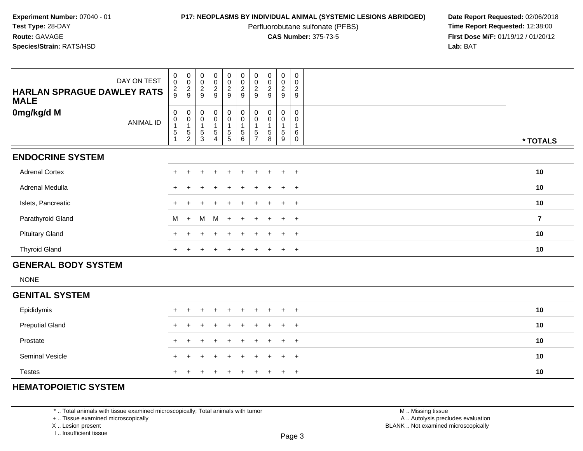Perfluorobutane sulfonate (PFBS)<br>**CAS Number:** 375-73-5

**P17: NEOPLASMS BY INDIVIDUAL ANIMAL (SYSTEMIC LESIONS ABRIDGED)** Date Report Requested: 02/06/2018<br>Perfluorobutane sulfonate (PFBS) **Time Report Requested:** 12:38:00 **First Dose M/F:** 01/19/12 / 01/20/12<br>**Lab:** BAT **Lab:** BAT

| <b>HARLAN SPRAGUE DAWLEY RATS</b> | DAY ON TEST      | 0<br>$\overline{0}$<br>$\frac{2}{9}$                  | $\begin{matrix} 0 \\ 0 \end{matrix}$<br>$\frac{2}{9}$                   | $\begin{matrix} 0 \\ 0 \end{matrix}$<br>$\frac{2}{9}$ | $\begin{matrix} 0 \\ 0 \end{matrix}$<br>$\frac{2}{9}$                                      | $\begin{matrix} 0 \\ 0 \end{matrix}$<br>$\frac{2}{9}$ | $\begin{matrix} 0 \\ 0 \\ 2 \\ 9 \end{matrix}$                                                   | 0<br>$\overline{0}$<br>$\overline{2}$<br>9      | 0<br>$\mathbf 0$<br>$\overline{c}$<br>9              | 0<br>$\ddot{\mathbf{0}}$<br>$\frac{2}{9}$  | 0<br>$\overline{0}$<br>$\overline{c}$<br>9                 |                |
|-----------------------------------|------------------|-------------------------------------------------------|-------------------------------------------------------------------------|-------------------------------------------------------|--------------------------------------------------------------------------------------------|-------------------------------------------------------|--------------------------------------------------------------------------------------------------|-------------------------------------------------|------------------------------------------------------|--------------------------------------------|------------------------------------------------------------|----------------|
| <b>MALE</b>                       |                  |                                                       |                                                                         |                                                       |                                                                                            |                                                       |                                                                                                  |                                                 |                                                      |                                            |                                                            |                |
| 0mg/kg/d M                        | <b>ANIMAL ID</b> | $\mathbf 0$<br>0<br>$\overline{1}$<br>$\sqrt{5}$<br>1 | $\pmb{0}$<br>$\pmb{0}$<br>$\mathbf{1}$<br>$\mathbf 5$<br>$\overline{c}$ | $\mathbf 0$<br>0<br>$\overline{1}$<br>$\frac{5}{3}$   | $\mathbf 0$<br>$\begin{smallmatrix}0\\1\end{smallmatrix}$<br>$\,$ 5 $\,$<br>$\overline{4}$ | 0<br>0<br>$\mathbf{1}$<br>$\frac{5}{5}$               | $\pmb{0}$<br>$\begin{smallmatrix}0\\1\end{smallmatrix}$<br>$\begin{array}{c} 5 \\ 6 \end{array}$ | 0<br>0<br>$\overline{1}$<br>5<br>$\overline{7}$ | $\mathbf 0$<br>0<br>$\mathbf{1}$<br>$\mathbf 5$<br>8 | 0<br>0<br>$\mathbf{1}$<br>$\,$ 5 $\,$<br>9 | $\mathbf 0$<br>0<br>$\mathbf{1}$<br>$\,6\,$<br>$\mathbf 0$ | * TOTALS       |
| <b>ENDOCRINE SYSTEM</b>           |                  |                                                       |                                                                         |                                                       |                                                                                            |                                                       |                                                                                                  |                                                 |                                                      |                                            |                                                            |                |
| <b>Adrenal Cortex</b>             |                  | $+$                                                   | $\ddot{}$                                                               | $\pm$                                                 | $\ddot{}$                                                                                  | $\ddot{}$                                             | $\ddot{}$                                                                                        | $\ddot{}$                                       | $+$                                                  | $+$                                        | $+$                                                        | 10             |
| Adrenal Medulla                   |                  | $+$                                                   |                                                                         |                                                       | $\ddot{}$                                                                                  | $\pm$                                                 | $\ddot{}$                                                                                        | $\ddot{}$                                       | $\div$                                               | $\ddot{}$                                  | $+$                                                        | 10             |
| Islets, Pancreatic                |                  |                                                       |                                                                         |                                                       |                                                                                            | +                                                     |                                                                                                  | ÷                                               | ÷                                                    | $\ddot{}$                                  | $+$                                                        | 10             |
| Parathyroid Gland                 |                  | M                                                     | $+$                                                                     | M                                                     | M                                                                                          | $+$                                                   | $\ddot{}$                                                                                        | $\ddot{}$                                       | $\ddot{}$                                            | $\ddot{}$                                  | $+$                                                        | $\overline{7}$ |
| <b>Pituitary Gland</b>            |                  |                                                       |                                                                         |                                                       |                                                                                            | $\div$                                                |                                                                                                  |                                                 |                                                      | $\ddot{}$                                  | $+$                                                        | 10             |
| <b>Thyroid Gland</b>              |                  | $+$                                                   |                                                                         |                                                       | $\ddot{}$                                                                                  | $\pm$                                                 |                                                                                                  | ÷                                               |                                                      | $\ddot{}$                                  | $+$                                                        | 10             |
| <b>GENERAL BODY SYSTEM</b>        |                  |                                                       |                                                                         |                                                       |                                                                                            |                                                       |                                                                                                  |                                                 |                                                      |                                            |                                                            |                |
| <b>NONE</b>                       |                  |                                                       |                                                                         |                                                       |                                                                                            |                                                       |                                                                                                  |                                                 |                                                      |                                            |                                                            |                |
| <b>GENITAL SYSTEM</b>             |                  |                                                       |                                                                         |                                                       |                                                                                            |                                                       |                                                                                                  |                                                 |                                                      |                                            |                                                            |                |
| Epididymis                        |                  |                                                       |                                                                         |                                                       |                                                                                            |                                                       |                                                                                                  |                                                 |                                                      |                                            | $\overline{+}$                                             | 10             |
| <b>Preputial Gland</b>            |                  |                                                       |                                                                         |                                                       |                                                                                            |                                                       |                                                                                                  |                                                 |                                                      | $\div$                                     | $\ddot{}$                                                  | 10             |
| Prostate                          |                  |                                                       |                                                                         |                                                       | $\div$                                                                                     | $\ddot{}$                                             |                                                                                                  | ÷                                               |                                                      | $\ddot{}$                                  | $+$                                                        | 10             |
| Seminal Vesicle                   |                  | $\div$                                                |                                                                         |                                                       | $\ddot{}$                                                                                  | $\pm$                                                 | $\div$                                                                                           | $\ddot{}$                                       |                                                      | $\ddot{}$                                  | $+$                                                        | 10             |
| <b>Testes</b>                     |                  | $+$                                                   | $\ddot{}$                                                               |                                                       | $+$ $+$                                                                                    | $+$                                                   | $+$                                                                                              | $+$                                             | $+$                                                  | $+$                                        | $+$                                                        | 10             |

# **HEMATOPOIETIC SYSTEM**

\* .. Total animals with tissue examined microscopically; Total animals with tumor

+ .. Tissue examined microscopically

<sup>+</sup>

X .. Lesion present

I .. Insufficient tissue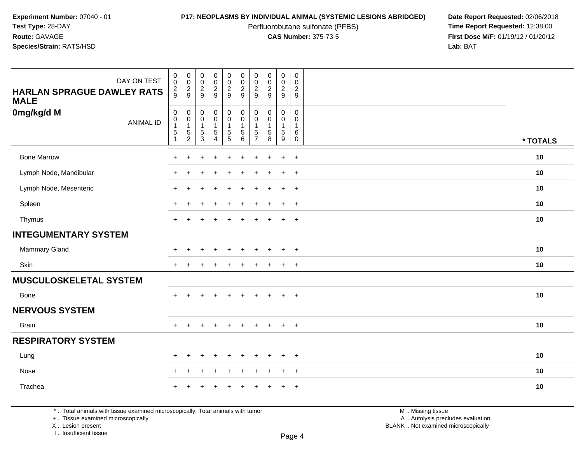Perfluorobutane sulfonate (PFBS)<br>**CAS Number:** 375-73-5

**P17: NEOPLASMS BY INDIVIDUAL ANIMAL (SYSTEMIC LESIONS ABRIDGED)** Date Report Requested: 02/06/2018<br>Perfluorobutane sulfonate (PFBS) **Time Report Requested:** 12:38:00 **First Dose M/F:** 01/19/12 / 01/20/12<br>**Lab:** BAT **Lab:** BAT

| DAY ON TEST<br>HARLAN SPRAGUE DAWLEY RATS<br><b>MALE</b> | $\boldsymbol{0}$<br>$\mathbf 0$<br>$\frac{2}{9}$                        | $\pmb{0}$<br>$\mathbf 0$<br>$\frac{2}{9}$                   | $\begin{array}{c} 0 \\ 0 \\ 2 \\ 9 \end{array}$                           | $\pmb{0}$<br>$\pmb{0}$<br>$\frac{2}{9}$                                         | $\pmb{0}$<br>$\pmb{0}$<br>$\frac{2}{9}$                                           | $\pmb{0}$<br>$\pmb{0}$<br>$\overline{2}$<br>9 | $\pmb{0}$<br>$\pmb{0}$<br>$\overline{2}$<br>$\overline{9}$     | 00029                                                          | $\mathbf 0$<br>$\mathbf 0$<br>$\frac{2}{9}$                                | $\pmb{0}$<br>$\mathbf 0$<br>$\boldsymbol{2}$<br>$9\,$            |          |
|----------------------------------------------------------|-------------------------------------------------------------------------|-------------------------------------------------------------|---------------------------------------------------------------------------|---------------------------------------------------------------------------------|-----------------------------------------------------------------------------------|-----------------------------------------------|----------------------------------------------------------------|----------------------------------------------------------------|----------------------------------------------------------------------------|------------------------------------------------------------------|----------|
| 0mg/kg/d M<br><b>ANIMAL ID</b>                           | $\mathbf 0$<br>$\pmb{0}$<br>$\mathbf{1}$<br>$\mathbf 5$<br>$\mathbf{1}$ | $\mathbf 0$<br>$\pmb{0}$<br>$\overline{1}$<br>$\frac{5}{2}$ | $\mathbf 0$<br>$\pmb{0}$<br>$\mathbf{1}$<br>$\,$ 5 $\,$<br>$\overline{3}$ | $\mathbf 0$<br>$\overline{0}$<br>$\overline{1}$<br>$\sqrt{5}$<br>$\overline{4}$ | $\mathbf 0$<br>$\overline{0}$<br>$\mathbf{1}$<br>$\overline{5}$<br>$\overline{5}$ | 0<br>$\pmb{0}$<br>1<br>5<br>6                 | $\mathbf 0$<br>$\Omega$<br>$\mathbf{1}$<br>5<br>$\overline{7}$ | 0<br>$\pmb{0}$<br>$\mathbf{1}$<br>$\sqrt{5}$<br>$\overline{8}$ | $\mathbf 0$<br>$\mathbf 0$<br>$\mathbf{1}$<br>$\sqrt{5}$<br>$\overline{9}$ | $\mathbf 0$<br>$\mathbf 0$<br>$\overline{1}$<br>6<br>$\mathbf 0$ | * TOTALS |
| <b>Bone Marrow</b>                                       | $\ddot{}$                                                               | $\ddot{}$                                                   | $\overline{1}$                                                            | $\ddot{}$                                                                       | +                                                                                 | $\ddot{}$                                     |                                                                | $\ddot{}$                                                      | $\ddot{}$                                                                  | $+$                                                              | 10       |
| Lymph Node, Mandibular                                   | $+$                                                                     | $\ddot{}$                                                   |                                                                           |                                                                                 |                                                                                   | ÷                                             |                                                                |                                                                | $\ddot{}$                                                                  | $+$                                                              | 10       |
| Lymph Node, Mesenteric                                   | $\ddot{}$                                                               | $\div$                                                      |                                                                           |                                                                                 |                                                                                   |                                               |                                                                |                                                                | $\div$                                                                     | $\overline{+}$                                                   | 10       |
| Spleen                                                   | ÷                                                                       |                                                             |                                                                           |                                                                                 |                                                                                   |                                               |                                                                |                                                                | ÷.                                                                         | $\overline{+}$                                                   | 10       |
| Thymus                                                   | $\ddot{}$                                                               | $\ddot{}$                                                   |                                                                           |                                                                                 |                                                                                   |                                               |                                                                | $\ddot{}$                                                      | $\overline{+}$                                                             | $+$                                                              | 10       |
| <b>INTEGUMENTARY SYSTEM</b>                              |                                                                         |                                                             |                                                                           |                                                                                 |                                                                                   |                                               |                                                                |                                                                |                                                                            |                                                                  |          |
| Mammary Gland                                            | +                                                                       | $\ddot{}$                                                   | $\ddot{}$                                                                 |                                                                                 |                                                                                   |                                               |                                                                | $\ddot{}$                                                      | $\overline{+}$                                                             | $+$                                                              | 10       |
| Skin                                                     | $\ddot{}$                                                               |                                                             |                                                                           |                                                                                 |                                                                                   |                                               |                                                                |                                                                | $\ddot{}$                                                                  | $+$                                                              | 10       |
| <b>MUSCULOSKELETAL SYSTEM</b>                            |                                                                         |                                                             |                                                                           |                                                                                 |                                                                                   |                                               |                                                                |                                                                |                                                                            |                                                                  |          |
| Bone                                                     | $\pm$                                                                   | $\ddot{}$                                                   | $\ddot{}$                                                                 | $\ddot{}$                                                                       | $\pm$                                                                             | ÷                                             |                                                                | $\overline{+}$                                                 | $\ddot{}$                                                                  | $+$                                                              | 10       |
| <b>NERVOUS SYSTEM</b>                                    |                                                                         |                                                             |                                                                           |                                                                                 |                                                                                   |                                               |                                                                |                                                                |                                                                            |                                                                  |          |
| <b>Brain</b>                                             | $\ddot{}$                                                               |                                                             | <b>+</b>                                                                  |                                                                                 |                                                                                   |                                               |                                                                | $\pm$                                                          | $\ddot{}$                                                                  | $+$                                                              | 10       |
| <b>RESPIRATORY SYSTEM</b>                                |                                                                         |                                                             |                                                                           |                                                                                 |                                                                                   |                                               |                                                                |                                                                |                                                                            |                                                                  |          |
| Lung                                                     | $\ddot{}$                                                               | $\ddot{}$                                                   | $\overline{1}$                                                            | $\ddot{}$                                                                       | ÷                                                                                 | $\div$                                        |                                                                | $\ddot{}$                                                      | $\ddot{}$                                                                  | $+$                                                              | 10       |
| Nose                                                     | $\ddot{}$                                                               | $\ddot{}$                                                   |                                                                           |                                                                                 |                                                                                   |                                               |                                                                |                                                                | $\ddot{}$                                                                  | $+$                                                              | 10       |
| Trachea                                                  |                                                                         |                                                             |                                                                           |                                                                                 |                                                                                   |                                               |                                                                |                                                                |                                                                            | $+$                                                              | 10       |

Page 4

\* .. Total animals with tissue examined microscopically; Total animals with tumor

+ .. Tissue examined microscopically

X .. Lesion present

I .. Insufficient tissue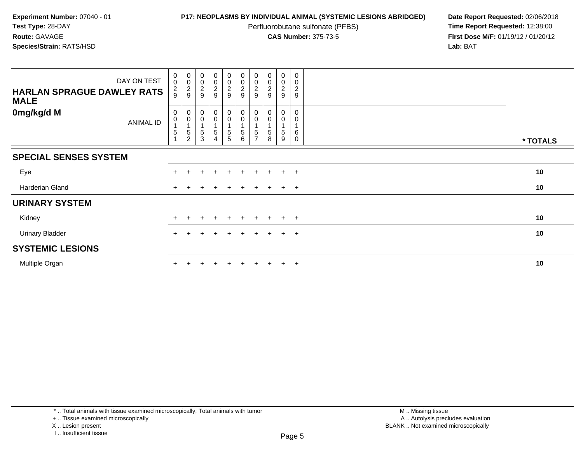Perfluorobutane sulfonate (PFBS)<br>**CAS Number:** 375-73-5

| DAY ON TEST<br><b>HARLAN SPRAGUE DAWLEY RATS</b><br><b>MALE</b> | $_{\rm 0}^{\rm 0}$<br>$\frac{2}{9}$                       | 00029                                                   | $_{0}^{0}$<br>$\frac{2}{9}$                    | $\begin{array}{c} 0 \\ 0 \\ 2 \\ 9 \end{array}$ | $\begin{array}{c} 0 \\ 0 \\ 2 \\ 9 \end{array}$             | $\begin{array}{c} 0 \\ 0 \\ 2 \\ 9 \end{array}$                  | $_{\rm 0}^{\rm 0}$<br>$\frac{2}{9}$                                 | $\begin{smallmatrix} 0\\0 \end{smallmatrix}$<br>$\overline{2}$<br>9 | $\begin{smallmatrix}0\0\0\end{smallmatrix}$<br>$\frac{2}{9}$ | $\pmb{0}$<br>$\mathsf 0$<br>$\overline{c}$<br>$\boldsymbol{9}$ |          |
|-----------------------------------------------------------------|-----------------------------------------------------------|---------------------------------------------------------|------------------------------------------------|-------------------------------------------------|-------------------------------------------------------------|------------------------------------------------------------------|---------------------------------------------------------------------|---------------------------------------------------------------------|--------------------------------------------------------------|----------------------------------------------------------------|----------|
| 0mg/kg/d M<br>ANIMAL ID                                         | $\begin{smallmatrix}0\0\0\end{smallmatrix}$<br>$\sqrt{5}$ | $_{\rm 0}^{\rm 0}$<br>1<br>$\sqrt{5}$<br>$\overline{c}$ | $\begin{matrix} 0 \\ 0 \end{matrix}$<br>5<br>3 | $_0^0$<br>5<br>4                                | $\begin{smallmatrix}0\\0\end{smallmatrix}$<br>$\frac{5}{5}$ | $\begin{smallmatrix} 0\\0 \end{smallmatrix}$<br>$\,$ 5 $\,$<br>6 | $\begin{smallmatrix} 0\\0 \end{smallmatrix}$<br>5<br>$\overline{ }$ | $\begin{smallmatrix} 0\\0 \end{smallmatrix}$<br>5<br>8              | 0<br>0<br>5<br>9                                             | 0<br>$\mathbf 0$<br>$\,6$<br>$\mathbf 0$                       | * TOTALS |
| <b>SPECIAL SENSES SYSTEM</b>                                    |                                                           |                                                         |                                                |                                                 |                                                             |                                                                  |                                                                     |                                                                     |                                                              |                                                                |          |
| Eye                                                             |                                                           |                                                         | $\pm$                                          | $\pm$                                           | $+$                                                         | $+$                                                              | $+$                                                                 | $+$                                                                 | $+$ $+$                                                      |                                                                | 10       |
| Harderian Gland                                                 |                                                           |                                                         |                                                |                                                 | $+$                                                         |                                                                  |                                                                     | $+$                                                                 | $\ddot{}$                                                    | $+$                                                            | 10       |
| <b>URINARY SYSTEM</b>                                           |                                                           |                                                         |                                                |                                                 |                                                             |                                                                  |                                                                     |                                                                     |                                                              |                                                                |          |
| Kidney                                                          |                                                           |                                                         | ÷                                              | $\mathbf +$                                     | $+$                                                         | $\pm$                                                            | $\pm$                                                               | $+$                                                                 | $\ddot{}$                                                    | $+$                                                            | 10       |
| <b>Urinary Bladder</b>                                          |                                                           |                                                         |                                                |                                                 | ÷.                                                          |                                                                  |                                                                     |                                                                     | $\ddot{}$                                                    | $+$                                                            | 10       |
| <b>SYSTEMIC LESIONS</b>                                         |                                                           |                                                         |                                                |                                                 |                                                             |                                                                  |                                                                     |                                                                     |                                                              |                                                                |          |
| Multiple Organ                                                  |                                                           |                                                         |                                                |                                                 | $+$                                                         | $+$                                                              |                                                                     |                                                                     | $\ddot{}$                                                    | $+$                                                            | 10       |

<sup>+ ..</sup> Tissue examined microscopically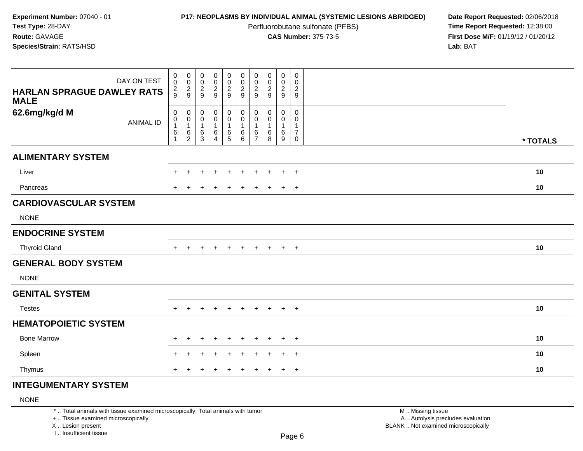Perfluorobutane sulfonate (PFBS)<br>**CAS Number:** 375-73-5

**P17: NEOPLASMS BY INDIVIDUAL ANIMAL (SYSTEMIC LESIONS ABRIDGED)** Date Report Requested: 02/06/2018<br>Perfluorobutane sulfonate (PFBS) **Time Report Requested:** 12:38:00 **First Dose M/F:** 01/19/12 / 01/20/12<br>**Lab:** BAT **Lab:** BAT

| DAY ON TEST<br><b>HARLAN SPRAGUE DAWLEY RATS</b> | $\pmb{0}$<br>$\pmb{0}$<br>$\frac{2}{9}$                               | $\pmb{0}$<br>$\boldsymbol{0}$<br>$\frac{2}{9}$        | $\pmb{0}$<br>$\pmb{0}$<br>$\frac{2}{9}$      | 00029                                                             | $\pmb{0}$<br>$\frac{0}{2}$                                 | $\pmb{0}$<br>$\boldsymbol{0}$<br>$\frac{2}{9}$                  | $\pmb{0}$<br>$\pmb{0}$<br>$\frac{2}{9}$                 | $\pmb{0}$<br>$\begin{smallmatrix} 0\\2\\9 \end{smallmatrix}$ | $\mathbf 0$<br>$\pmb{0}$<br>$\frac{2}{9}$ | $\pmb{0}$<br>$\pmb{0}$<br>$\frac{2}{9}$                        |          |
|--------------------------------------------------|-----------------------------------------------------------------------|-------------------------------------------------------|----------------------------------------------|-------------------------------------------------------------------|------------------------------------------------------------|-----------------------------------------------------------------|---------------------------------------------------------|--------------------------------------------------------------|-------------------------------------------|----------------------------------------------------------------|----------|
| <b>MALE</b>                                      |                                                                       |                                                       |                                              |                                                                   |                                                            |                                                                 |                                                         |                                                              |                                           |                                                                |          |
| 62.6mg/kg/d M<br><b>ANIMAL ID</b>                | $\pmb{0}$<br>$\pmb{0}$<br>$\overline{1}$<br>$\,6\,$<br>$\overline{1}$ | 0<br>$\pmb{0}$<br>$\mathbf{1}$<br>6<br>$\overline{c}$ | 0<br>$\mathbf 0$<br>$\overline{1}$<br>6<br>3 | $\pmb{0}$<br>$\pmb{0}$<br>$\mathbf{1}$<br>$\,6$<br>$\overline{4}$ | $\mathbf 0$<br>$\mathbf 0$<br>$\overline{1}$<br>$6\over 5$ | $\pmb{0}$<br>$\mathbf 0$<br>$\mathbf{1}$<br>6<br>$6\phantom{1}$ | 0<br>$\mathbf 0$<br>$\mathbf{1}$<br>6<br>$\overline{7}$ | $\pmb{0}$<br>$\mathbf 0$<br>$\mathbf{1}$<br>6<br>8           | 0<br>0<br>$\mathbf{1}$<br>6<br>9          | 0<br>$\mathbf 0$<br>$\mathbf 1$<br>$\overline{7}$<br>$\pmb{0}$ | * TOTALS |
| <b>ALIMENTARY SYSTEM</b>                         |                                                                       |                                                       |                                              |                                                                   |                                                            |                                                                 |                                                         |                                                              |                                           |                                                                |          |
| Liver                                            |                                                                       |                                                       |                                              |                                                                   |                                                            |                                                                 |                                                         |                                                              | $\ddot{}$                                 | $+$                                                            | 10       |
| Pancreas                                         |                                                                       |                                                       |                                              |                                                                   |                                                            |                                                                 |                                                         |                                                              | $\pm$                                     | $+$                                                            | 10       |
| <b>CARDIOVASCULAR SYSTEM</b>                     |                                                                       |                                                       |                                              |                                                                   |                                                            |                                                                 |                                                         |                                                              |                                           |                                                                |          |
| <b>NONE</b>                                      |                                                                       |                                                       |                                              |                                                                   |                                                            |                                                                 |                                                         |                                                              |                                           |                                                                |          |
| <b>ENDOCRINE SYSTEM</b>                          |                                                                       |                                                       |                                              |                                                                   |                                                            |                                                                 |                                                         |                                                              |                                           |                                                                |          |
| <b>Thyroid Gland</b>                             | $+$                                                                   | $\pm$                                                 | $\pm$                                        | $\pm$                                                             | $\pm$                                                      | $+$                                                             | $\pm$                                                   | $\pm$                                                        | $+$                                       | $+$                                                            | 10       |
| <b>GENERAL BODY SYSTEM</b>                       |                                                                       |                                                       |                                              |                                                                   |                                                            |                                                                 |                                                         |                                                              |                                           |                                                                |          |
| <b>NONE</b>                                      |                                                                       |                                                       |                                              |                                                                   |                                                            |                                                                 |                                                         |                                                              |                                           |                                                                |          |
| <b>GENITAL SYSTEM</b>                            |                                                                       |                                                       |                                              |                                                                   |                                                            |                                                                 |                                                         |                                                              |                                           |                                                                |          |
| <b>Testes</b>                                    | $+$                                                                   | $\pm$                                                 | $\pm$                                        | $\pm$                                                             | $\ddot{}$                                                  | $\pm$                                                           | $\ddot{}$                                               | $\pm$                                                        | $\ddot{}$                                 | $+$                                                            | 10       |
| <b>HEMATOPOIETIC SYSTEM</b>                      |                                                                       |                                                       |                                              |                                                                   |                                                            |                                                                 |                                                         |                                                              |                                           |                                                                |          |
| <b>Bone Marrow</b>                               |                                                                       |                                                       |                                              |                                                                   |                                                            |                                                                 |                                                         |                                                              | $\div$                                    | $\overline{+}$                                                 | 10       |
| Spleen                                           |                                                                       |                                                       |                                              |                                                                   |                                                            |                                                                 |                                                         |                                                              |                                           | $\overline{+}$                                                 | 10       |
| Thymus                                           |                                                                       |                                                       |                                              | $\pm$                                                             | ÷                                                          |                                                                 |                                                         |                                                              | $\ddot{}$                                 | $+$                                                            | 10       |
|                                                  |                                                                       |                                                       |                                              |                                                                   |                                                            |                                                                 |                                                         |                                                              |                                           |                                                                |          |

# **INTEGUMENTARY SYSTEM**

## NONE

\* .. Total animals with tissue examined microscopically; Total animals with tumor

+ .. Tissue examined microscopically

X .. Lesion present

I .. Insufficient tissue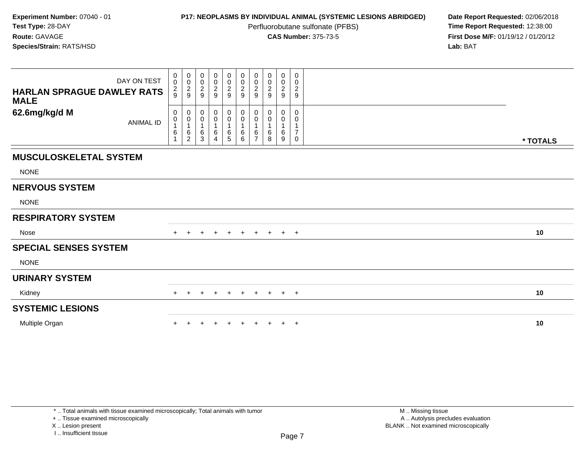Perfluorobutane sulfonate (PFBS)<br>**CAS Number:** 375-73-5

**P17: NEOPLASMS BY INDIVIDUAL ANIMAL (SYSTEMIC LESIONS ABRIDGED)** Date Report Requested: 02/06/2018<br>Perfluorobutane sulfonate (PFBS) **Time Report Requested:** 12:38:00 **First Dose M/F:** 01/19/12 / 01/20/12<br>**Lab:** BAT **Lab:** BAT

| DAY ON TEST<br><b>HARLAN SPRAGUE DAWLEY RATS</b><br><b>MALE</b> | 0<br>$\mathsf 0$<br>$\frac{2}{9}$ | $\begin{smallmatrix} 0\\0 \end{smallmatrix}$<br>$\frac{2}{9}$ | $\mathbf 0$<br>$\pmb{0}$<br>$\sqrt{2}$<br>9 | $\begin{smallmatrix}0\0\0\end{smallmatrix}$<br>$\frac{2}{9}$ | $\pmb{0}$<br>$\mathbf 0$<br>$\sqrt{2}$<br>9 | $_{\rm 0}^{\rm 0}$<br>$\sqrt{2}$<br>9 | $\mathbf 0$<br>$\mathbf 0$<br>$\sqrt{2}$<br>9 | 0<br>$\pmb{0}$<br>$\sqrt{2}$<br>9 | 0<br>$\mathbf 0$<br>$\overline{c}$<br>9 | 0<br>$\pmb{0}$<br>$\boldsymbol{2}$<br>9        |          |  |
|-----------------------------------------------------------------|-----------------------------------|---------------------------------------------------------------|---------------------------------------------|--------------------------------------------------------------|---------------------------------------------|---------------------------------------|-----------------------------------------------|-----------------------------------|-----------------------------------------|------------------------------------------------|----------|--|
| 62.6mg/kg/d M<br><b>ANIMAL ID</b>                               | 0<br>0<br>6                       | 0<br>$\pmb{0}$<br>$\overline{1}$<br>$\frac{6}{2}$             | 0<br>0<br>1<br>6<br>3                       | 0<br>$\boldsymbol{0}$<br>6<br>4                              | 0<br>0<br>1<br>6<br>$\overline{5}$          | 0<br>$\pmb{0}$<br>$\,6$<br>6          | 0<br>0<br>6<br>$\overline{z}$                 | 0<br>0<br>1<br>6<br>8             | 0<br>0<br>6<br>9                        | 0<br>0<br>1<br>$\boldsymbol{7}$<br>$\mathbf 0$ | * TOTALS |  |
| <b>MUSCULOSKELETAL SYSTEM</b>                                   |                                   |                                                               |                                             |                                                              |                                             |                                       |                                               |                                   |                                         |                                                |          |  |
| <b>NONE</b>                                                     |                                   |                                                               |                                             |                                                              |                                             |                                       |                                               |                                   |                                         |                                                |          |  |
| <b>NERVOUS SYSTEM</b>                                           |                                   |                                                               |                                             |                                                              |                                             |                                       |                                               |                                   |                                         |                                                |          |  |
| <b>NONE</b>                                                     |                                   |                                                               |                                             |                                                              |                                             |                                       |                                               |                                   |                                         |                                                |          |  |
| <b>RESPIRATORY SYSTEM</b>                                       |                                   |                                                               |                                             |                                                              |                                             |                                       |                                               |                                   |                                         |                                                |          |  |
| <b>Nose</b>                                                     | $+$                               |                                                               |                                             | $\pm$                                                        | $+$                                         | $\ddot{}$                             |                                               | + + + +                           |                                         |                                                | 10       |  |
| <b>SPECIAL SENSES SYSTEM</b>                                    |                                   |                                                               |                                             |                                                              |                                             |                                       |                                               |                                   |                                         |                                                |          |  |
| <b>NONE</b>                                                     |                                   |                                                               |                                             |                                                              |                                             |                                       |                                               |                                   |                                         |                                                |          |  |
| <b>URINARY SYSTEM</b>                                           |                                   |                                                               |                                             |                                                              |                                             |                                       |                                               |                                   |                                         |                                                |          |  |
| Kidney                                                          | $+$                               | $\pm$                                                         | +                                           | $+$                                                          | $+$                                         | $+$                                   | $+$                                           | $+$                               | $+$                                     | $+$                                            | 10       |  |
| <b>SYSTEMIC LESIONS</b>                                         |                                   |                                                               |                                             |                                                              |                                             |                                       |                                               |                                   |                                         |                                                |          |  |
| Multiple Organ                                                  |                                   |                                                               |                                             |                                                              |                                             |                                       |                                               |                                   | $\ddot{}$                               | $+$                                            | 10       |  |

+ .. Tissue examined microscopically

X .. Lesion present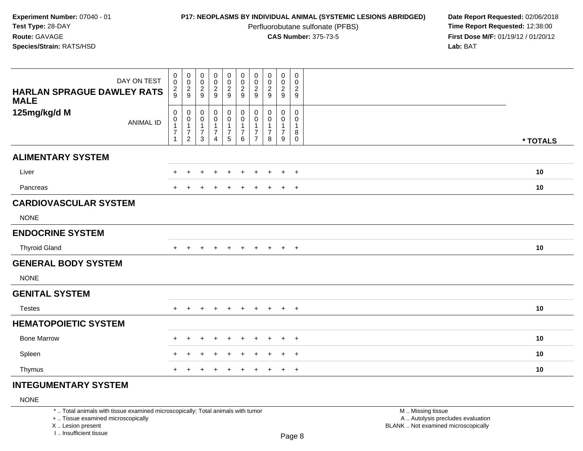Perfluorobutane sulfonate (PFBS)<br>**CAS Number:** 375-73-5

**P17: NEOPLASMS BY INDIVIDUAL ANIMAL (SYSTEMIC LESIONS ABRIDGED)** Date Report Requested: 02/06/2018<br>Perfluorobutane sulfonate (PFBS) **Time Report Requested:** 12:38:00 **First Dose M/F:** 01/19/12 / 01/20/12<br>**Lab:** BAT **Lab:** BAT

| DAY ON TEST<br><b>HARLAN SPRAGUE DAWLEY RATS</b><br><b>MALE</b> | $\pmb{0}$<br>$\mathbf 0$<br>$\frac{2}{9}$                                  | $\pmb{0}$<br>$\mathbf 0$<br>$\frac{2}{9}$                          | $\pmb{0}$<br>$\pmb{0}$<br>$\frac{2}{9}$                                | $\begin{array}{c} 0 \\ 0 \\ 2 \\ 9 \end{array}$                 | $\begin{array}{c} 0 \\ 0 \\ 2 \\ 9 \end{array}$                            | $\begin{array}{c} 0 \\ 0 \\ 2 \\ 9 \end{array}$                                 | 0<br>$\pmb{0}$<br>$\overline{c}$<br>9   | $_{\rm 0}^{\rm 0}$<br>$\frac{2}{9}$                    | $\pmb{0}$<br>0<br>$\frac{2}{9}$                       | $\mathsf{O}$<br>0<br>$\frac{2}{9}$        |          |
|-----------------------------------------------------------------|----------------------------------------------------------------------------|--------------------------------------------------------------------|------------------------------------------------------------------------|-----------------------------------------------------------------|----------------------------------------------------------------------------|---------------------------------------------------------------------------------|-----------------------------------------|--------------------------------------------------------|-------------------------------------------------------|-------------------------------------------|----------|
| 125mg/kg/d M<br><b>ANIMAL ID</b>                                | $\pmb{0}$<br>$\mathbf 0$<br>$\mathbf{1}$<br>$\overline{7}$<br>$\mathbf{1}$ | 0<br>$\pmb{0}$<br>$\mathbf{1}$<br>$\overline{7}$<br>$\overline{c}$ | $\,0\,$<br>$\pmb{0}$<br>$\mathbf{1}$<br>$\overline{7}$<br>$\mathbf{3}$ | $\pmb{0}$<br>$\mathbf 0$<br>$\mathbf{1}$<br>$\overline{7}$<br>4 | $\mathbf 0$<br>$\pmb{0}$<br>$\mathbf{1}$<br>$\boldsymbol{7}$<br>$\sqrt{5}$ | $\pmb{0}$<br>$\mathsf{O}\xspace$<br>$\mathbf{1}$<br>$\boldsymbol{7}$<br>$\,6\,$ | 0<br>$\mathbf 0$<br>7<br>$\overline{7}$ | 0<br>$\mathbf 0$<br>$\mathbf 1$<br>$\overline{7}$<br>8 | 0<br>$\pmb{0}$<br>$\mathbf{1}$<br>$\overline{7}$<br>9 | 0<br>$\mathbf 0$<br>1<br>8<br>$\mathbf 0$ | * TOTALS |
| <b>ALIMENTARY SYSTEM</b>                                        |                                                                            |                                                                    |                                                                        |                                                                 |                                                                            |                                                                                 |                                         |                                                        |                                                       |                                           |          |
| Liver                                                           |                                                                            |                                                                    |                                                                        |                                                                 |                                                                            |                                                                                 |                                         |                                                        | $\ddot{}$                                             | $+$                                       | 10       |
| Pancreas                                                        |                                                                            |                                                                    |                                                                        |                                                                 |                                                                            |                                                                                 |                                         |                                                        | $\overline{+}$                                        | $+$                                       | 10       |
| <b>CARDIOVASCULAR SYSTEM</b>                                    |                                                                            |                                                                    |                                                                        |                                                                 |                                                                            |                                                                                 |                                         |                                                        |                                                       |                                           |          |
| <b>NONE</b>                                                     |                                                                            |                                                                    |                                                                        |                                                                 |                                                                            |                                                                                 |                                         |                                                        |                                                       |                                           |          |
| <b>ENDOCRINE SYSTEM</b>                                         |                                                                            |                                                                    |                                                                        |                                                                 |                                                                            |                                                                                 |                                         |                                                        |                                                       |                                           |          |
| <b>Thyroid Gland</b>                                            | $+$                                                                        | ÷                                                                  | $\pm$                                                                  | $\div$                                                          | $\ddot{}$                                                                  | $\overline{+}$                                                                  | $\ddot{}$                               | $\pm$                                                  | $+$                                                   | $+$                                       | 10       |
| <b>GENERAL BODY SYSTEM</b>                                      |                                                                            |                                                                    |                                                                        |                                                                 |                                                                            |                                                                                 |                                         |                                                        |                                                       |                                           |          |
| <b>NONE</b>                                                     |                                                                            |                                                                    |                                                                        |                                                                 |                                                                            |                                                                                 |                                         |                                                        |                                                       |                                           |          |
| <b>GENITAL SYSTEM</b>                                           |                                                                            |                                                                    |                                                                        |                                                                 |                                                                            |                                                                                 |                                         |                                                        |                                                       |                                           |          |
| <b>Testes</b>                                                   |                                                                            |                                                                    |                                                                        | $\div$                                                          | $\ddot{}$                                                                  | $\div$                                                                          | $\div$                                  |                                                        | $\ddot{}$                                             | $+$                                       | 10       |
| <b>HEMATOPOIETIC SYSTEM</b>                                     |                                                                            |                                                                    |                                                                        |                                                                 |                                                                            |                                                                                 |                                         |                                                        |                                                       |                                           |          |
| <b>Bone Marrow</b>                                              |                                                                            | ÷                                                                  |                                                                        |                                                                 |                                                                            |                                                                                 |                                         |                                                        | $\ddot{}$                                             | $\overline{+}$                            | 10       |
| Spleen                                                          |                                                                            |                                                                    |                                                                        |                                                                 |                                                                            |                                                                                 |                                         |                                                        | $\div$                                                | $+$                                       | 10       |
| Thymus                                                          |                                                                            |                                                                    |                                                                        | $\div$                                                          |                                                                            |                                                                                 | ÷                                       |                                                        | $\pm$                                                 | $+$                                       | 10       |

## **INTEGUMENTARY SYSTEM**

## NONE

\* .. Total animals with tissue examined microscopically; Total animals with tumor

+ .. Tissue examined microscopically

X .. Lesion present

I .. Insufficient tissue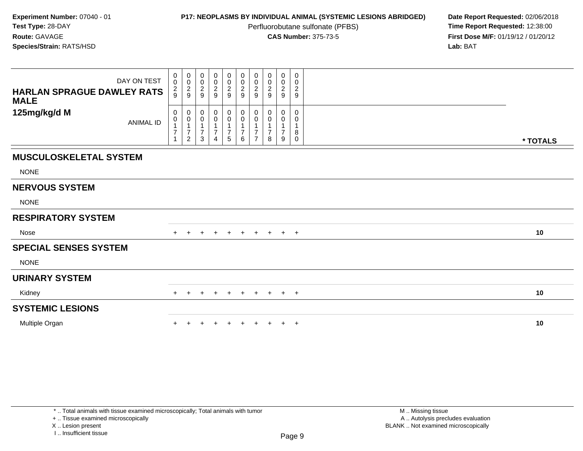Perfluorobutane sulfonate (PFBS)<br>**CAS Number:** 375-73-5

**P17: NEOPLASMS BY INDIVIDUAL ANIMAL (SYSTEMIC LESIONS ABRIDGED)** Date Report Requested: 02/06/2018<br>Perfluorobutane sulfonate (PFBS) **Time Report Requested:** 12:38:00 **First Dose M/F:** 01/19/12 / 01/20/12<br>**Lab:** BAT **Lab:** BAT

| DAY ON TEST<br><b>HARLAN SPRAGUE DAWLEY RATS</b><br><b>MALE</b> | $\begin{smallmatrix}0\\0\end{smallmatrix}$<br>$\frac{2}{9}$ | $_{\rm 0}^{\rm 0}$<br>$\frac{2}{9}$                              | 0<br>$\pmb{0}$<br>$\overline{\mathbf{c}}$<br>9 | $\begin{smallmatrix}0\0\0\end{smallmatrix}$<br>$\frac{2}{9}$ | 00029                                     | 000029                                                     | 0<br>$\pmb{0}$<br>$\boldsymbol{2}$<br>9 | 0<br>0<br>$\overline{\mathbf{c}}$<br>9 | 0<br>$\mathbf 0$<br>$\frac{2}{9}$ | 0<br>$\pmb{0}$<br>$\overline{c}$<br>$\mathsf g$ |          |
|-----------------------------------------------------------------|-------------------------------------------------------------|------------------------------------------------------------------|------------------------------------------------|--------------------------------------------------------------|-------------------------------------------|------------------------------------------------------------|-----------------------------------------|----------------------------------------|-----------------------------------|-------------------------------------------------|----------|
| 125mg/kg/d M<br><b>ANIMAL ID</b>                                | 0<br>0<br>$\overline{7}$                                    | 0<br>$\pmb{0}$<br>$\mathbf{1}$<br>$\boldsymbol{7}$<br>$\sqrt{2}$ | 0<br>0<br>$\overline{7}$<br>3                  | 0<br>0<br>$\overline{7}$<br>4                                | $_{\rm 0}^{\rm 0}$<br>$\overline{7}$<br>5 | $\boldsymbol{0}$<br>$\pmb{0}$<br>$\overline{7}$<br>$\,6\,$ | 0<br>0<br>7<br>$\overline{7}$           | 0<br>0<br>$\overline{7}$<br>8          | 0<br>0<br>$\overline{7}$<br>9     | 0<br>0<br>1<br>8<br>0                           | * TOTALS |
| <b>MUSCULOSKELETAL SYSTEM</b>                                   |                                                             |                                                                  |                                                |                                                              |                                           |                                                            |                                         |                                        |                                   |                                                 |          |
| <b>NONE</b>                                                     |                                                             |                                                                  |                                                |                                                              |                                           |                                                            |                                         |                                        |                                   |                                                 |          |
| <b>NERVOUS SYSTEM</b>                                           |                                                             |                                                                  |                                                |                                                              |                                           |                                                            |                                         |                                        |                                   |                                                 |          |
| <b>NONE</b>                                                     |                                                             |                                                                  |                                                |                                                              |                                           |                                                            |                                         |                                        |                                   |                                                 |          |
| <b>RESPIRATORY SYSTEM</b>                                       |                                                             |                                                                  |                                                |                                                              |                                           |                                                            |                                         |                                        |                                   |                                                 |          |
| Nose                                                            |                                                             |                                                                  |                                                |                                                              | $\pm$                                     |                                                            | $+$                                     | $+$                                    | $+$ $+$                           |                                                 | 10       |
| <b>SPECIAL SENSES SYSTEM</b>                                    |                                                             |                                                                  |                                                |                                                              |                                           |                                                            |                                         |                                        |                                   |                                                 |          |
| <b>NONE</b>                                                     |                                                             |                                                                  |                                                |                                                              |                                           |                                                            |                                         |                                        |                                   |                                                 |          |
| <b>URINARY SYSTEM</b>                                           |                                                             |                                                                  |                                                |                                                              |                                           |                                                            |                                         |                                        |                                   |                                                 |          |
| Kidney                                                          | $+$                                                         | $\ddot{}$                                                        | $\pm$                                          | $+$                                                          | $+$                                       | $+$                                                        | $+$                                     | $+$                                    | $+$                               | $+$                                             | 10       |
| <b>SYSTEMIC LESIONS</b>                                         |                                                             |                                                                  |                                                |                                                              |                                           |                                                            |                                         |                                        |                                   |                                                 |          |
| Multiple Organ                                                  |                                                             |                                                                  |                                                |                                                              |                                           |                                                            |                                         |                                        | $\ddot{}$                         | $+$                                             | 10       |

+ .. Tissue examined microscopically

X .. Lesion present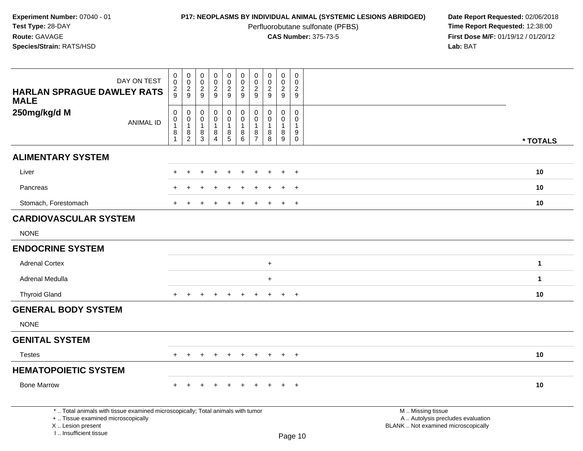Perfluorobutane sulfonate (PFBS)<br>**CAS Number:** 375-73-5

| <b>HARLAN SPRAGUE DAWLEY RATS</b>                                                                                                          | DAY ON TEST      | $\boldsymbol{0}$<br>$\mathsf{O}\xspace$<br>$\overline{c}$ | $\mathbf 0$<br>0<br>$\frac{2}{9}$ | $\mathsf{O}\xspace$<br>$\mathsf{O}\xspace$<br>$\boldsymbol{2}$ | $\pmb{0}$<br>$\mathbf 0$<br>$\overline{2}$ | $\mathbf 0$<br>0<br>$\overline{a}$ | $\pmb{0}$<br>$\pmb{0}$<br>$\frac{2}{9}$ | $\mathbf 0$<br>$\mathbf 0$<br>$\overline{2}$ | $\pmb{0}$<br>$\ddot{\mathbf{0}}$<br>$\overline{c}$ | $\mathbf 0$<br>$\mathbf 0$<br>$\frac{2}{9}$ | $\mathbf 0$<br>$\Omega$<br>$\overline{2}$ |                                                                                               |              |
|--------------------------------------------------------------------------------------------------------------------------------------------|------------------|-----------------------------------------------------------|-----------------------------------|----------------------------------------------------------------|--------------------------------------------|------------------------------------|-----------------------------------------|----------------------------------------------|----------------------------------------------------|---------------------------------------------|-------------------------------------------|-----------------------------------------------------------------------------------------------|--------------|
| <b>MALE</b>                                                                                                                                |                  | 9                                                         |                                   | 9                                                              | 9                                          | 9                                  |                                         | 9                                            | 9                                                  |                                             | 9                                         |                                                                                               |              |
| 250mg/kg/d M                                                                                                                               |                  | 0<br>$\pmb{0}$                                            | 0<br>0                            | 0<br>$\mathbf 0$                                               | 0<br>$\mathbf 0$                           | 0<br>$\mathbf 0$                   | 0<br>$\mathbf 0$                        | 0<br>$\Omega$                                | 0<br>$\Omega$                                      | 0<br>$\mathbf 0$                            | 0<br>$\Omega$                             |                                                                                               |              |
|                                                                                                                                            | <b>ANIMAL ID</b> | $\mathbf{1}$<br>8                                         | 1<br>8                            | $\mathbf 1$<br>8                                               | $\mathbf{1}$<br>8                          | 1<br>$\bf 8$                       | 1<br>8                                  | 1<br>8                                       | 8                                                  | $\overline{1}$<br>$^8_9$                    | $\overline{1}$<br>9                       |                                                                                               |              |
|                                                                                                                                            |                  | $\overline{1}$                                            | $\overline{2}$                    | 3                                                              | $\overline{4}$                             | $\overline{5}$                     | 6                                       | $\overline{7}$                               | 8                                                  |                                             | $\mathbf 0$                               |                                                                                               | * TOTALS     |
| <b>ALIMENTARY SYSTEM</b>                                                                                                                   |                  |                                                           |                                   |                                                                |                                            |                                    |                                         |                                              |                                                    |                                             |                                           |                                                                                               |              |
| Liver                                                                                                                                      |                  |                                                           |                                   |                                                                |                                            |                                    |                                         |                                              |                                                    |                                             | $+$                                       |                                                                                               | 10           |
| Pancreas                                                                                                                                   |                  |                                                           |                                   |                                                                |                                            |                                    |                                         |                                              |                                                    |                                             |                                           |                                                                                               | 10           |
| Stomach, Forestomach                                                                                                                       |                  |                                                           |                                   |                                                                |                                            |                                    |                                         |                                              |                                                    |                                             | $+$                                       |                                                                                               | 10           |
| <b>CARDIOVASCULAR SYSTEM</b>                                                                                                               |                  |                                                           |                                   |                                                                |                                            |                                    |                                         |                                              |                                                    |                                             |                                           |                                                                                               |              |
| <b>NONE</b>                                                                                                                                |                  |                                                           |                                   |                                                                |                                            |                                    |                                         |                                              |                                                    |                                             |                                           |                                                                                               |              |
| <b>ENDOCRINE SYSTEM</b>                                                                                                                    |                  |                                                           |                                   |                                                                |                                            |                                    |                                         |                                              |                                                    |                                             |                                           |                                                                                               |              |
| <b>Adrenal Cortex</b>                                                                                                                      |                  |                                                           |                                   |                                                                |                                            |                                    |                                         |                                              | $\ddot{}$                                          |                                             |                                           |                                                                                               | $\mathbf{1}$ |
| Adrenal Medulla                                                                                                                            |                  |                                                           |                                   |                                                                |                                            |                                    |                                         |                                              | $+$                                                |                                             |                                           |                                                                                               | $\mathbf{1}$ |
| <b>Thyroid Gland</b>                                                                                                                       |                  | $\pm$                                                     |                                   |                                                                | $\ddot{}$                                  | $\div$                             |                                         | $\ddot{}$                                    | $\ddot{}$                                          | $+$                                         | $+$                                       |                                                                                               | 10           |
| <b>GENERAL BODY SYSTEM</b>                                                                                                                 |                  |                                                           |                                   |                                                                |                                            |                                    |                                         |                                              |                                                    |                                             |                                           |                                                                                               |              |
| <b>NONE</b>                                                                                                                                |                  |                                                           |                                   |                                                                |                                            |                                    |                                         |                                              |                                                    |                                             |                                           |                                                                                               |              |
| <b>GENITAL SYSTEM</b>                                                                                                                      |                  |                                                           |                                   |                                                                |                                            |                                    |                                         |                                              |                                                    |                                             |                                           |                                                                                               |              |
| <b>Testes</b>                                                                                                                              |                  | $\ddot{}$                                                 |                                   |                                                                |                                            |                                    |                                         |                                              |                                                    | $\ddot{}$                                   | $^{+}$                                    |                                                                                               | 10           |
| <b>HEMATOPOIETIC SYSTEM</b>                                                                                                                |                  |                                                           |                                   |                                                                |                                            |                                    |                                         |                                              |                                                    |                                             |                                           |                                                                                               |              |
| <b>Bone Marrow</b>                                                                                                                         |                  |                                                           |                                   |                                                                |                                            |                                    |                                         |                                              |                                                    | $\pm$                                       | $^{+}$                                    |                                                                                               | 10           |
| *  Total animals with tissue examined microscopically; Total animals with tumor<br>+  Tissue examined microscopically<br>X  Lesion present |                  |                                                           |                                   |                                                                |                                            |                                    |                                         |                                              |                                                    |                                             |                                           | M  Missing tissue<br>A  Autolysis precludes evaluation<br>BLANK  Not examined microscopically |              |
| I Insufficient tissue                                                                                                                      |                  |                                                           |                                   |                                                                |                                            |                                    |                                         |                                              |                                                    |                                             | $D_{200}$ 10                              |                                                                                               |              |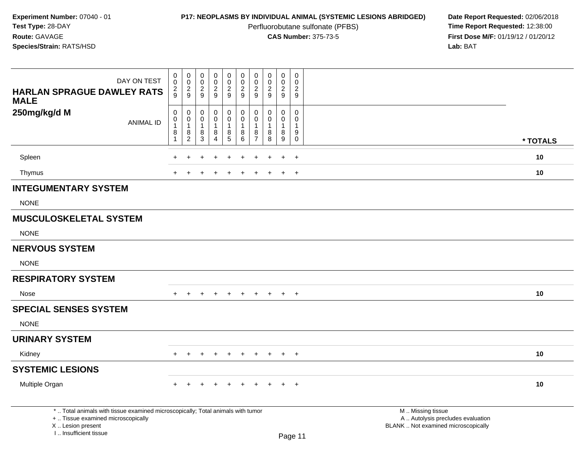Perfluorobutane sulfonate (PFBS)<br>**CAS Number:** 375-73-5

| DAY ON TEST                                                                                                                                                         | $\mathbf 0$<br>$\mathbf 0$ | $\begin{smallmatrix} 0\\0 \end{smallmatrix}$                   | $\pmb{0}$<br>$\,0\,$            | $_{\rm 0}^{\rm 0}$                 | $_{\rm 0}^{\rm 0}$      | $\pmb{0}$<br>$\pmb{0}$               | $\pmb{0}$<br>$\pmb{0}$ | $\mathsf{O}\xspace$<br>$\mathbf 0$ | $\pmb{0}$<br>$\mathbf 0$ | $\pmb{0}$<br>$\Omega$              |                                                                                               |          |
|---------------------------------------------------------------------------------------------------------------------------------------------------------------------|----------------------------|----------------------------------------------------------------|---------------------------------|------------------------------------|-------------------------|--------------------------------------|------------------------|------------------------------------|--------------------------|------------------------------------|-----------------------------------------------------------------------------------------------|----------|
| <b>HARLAN SPRAGUE DAWLEY RATS</b><br><b>MALE</b>                                                                                                                    | $\overline{2}$<br>9        | $\sqrt{2}$<br>$\boldsymbol{9}$                                 | $\overline{2}$<br>9             | $\overline{2}$<br>$\boldsymbol{9}$ | $\overline{2}$<br>$9\,$ | $\boldsymbol{2}$<br>$\boldsymbol{9}$ | $\overline{2}$<br>9    | 2<br>9                             | $\overline{2}$<br>9      | $\overline{c}$<br>$\boldsymbol{9}$ |                                                                                               |          |
| 250mg/kg/d M                                                                                                                                                        | $\pmb{0}$<br>$\mathbf 0$   | $\pmb{0}$<br>$\mathbf 0$                                       | $\mathbf 0$<br>$\boldsymbol{0}$ | $\pmb{0}$<br>$\mathsf{O}$          | 0<br>$\mathbf 0$        | $\pmb{0}$<br>$\pmb{0}$               | $\pmb{0}$<br>$\pmb{0}$ | $\mathbf 0$<br>$\mathbf 0$         | 0<br>$\mathbf 0$         | 0<br>$\mathbf 0$                   |                                                                                               |          |
| <b>ANIMAL ID</b>                                                                                                                                                    | $\mathbf{1}$<br>8          | $\mathbf{1}$<br>$\begin{smallmatrix} 8 \\ 2 \end{smallmatrix}$ | $\mathbf{1}$<br>8               | 1<br>8                             | $\mathbf{1}$<br>8       | $\mathbf{1}$<br>8                    | $\overline{1}$<br>8    | $\mathbf{1}$<br>$\,8\,$            | $\mathbf{1}$<br>8        | $\mathbf{1}$<br>$\boldsymbol{9}$   |                                                                                               |          |
|                                                                                                                                                                     | 1                          |                                                                | $\mathbf{3}$                    | 4                                  | $5\phantom{.0}$         | $\,6\,$                              | $\overline{7}$         | 8                                  | $\boldsymbol{9}$         | $\mathbf 0$                        |                                                                                               | * TOTALS |
| Spleen                                                                                                                                                              |                            |                                                                |                                 |                                    |                         |                                      |                        |                                    |                          | $\ddot{}$                          |                                                                                               | $10$     |
| Thymus                                                                                                                                                              |                            |                                                                |                                 |                                    |                         |                                      |                        |                                    | $\div$                   | $\overline{+}$                     |                                                                                               | 10       |
| <b>INTEGUMENTARY SYSTEM</b>                                                                                                                                         |                            |                                                                |                                 |                                    |                         |                                      |                        |                                    |                          |                                    |                                                                                               |          |
| <b>NONE</b>                                                                                                                                                         |                            |                                                                |                                 |                                    |                         |                                      |                        |                                    |                          |                                    |                                                                                               |          |
| <b>MUSCULOSKELETAL SYSTEM</b>                                                                                                                                       |                            |                                                                |                                 |                                    |                         |                                      |                        |                                    |                          |                                    |                                                                                               |          |
| <b>NONE</b>                                                                                                                                                         |                            |                                                                |                                 |                                    |                         |                                      |                        |                                    |                          |                                    |                                                                                               |          |
| <b>NERVOUS SYSTEM</b>                                                                                                                                               |                            |                                                                |                                 |                                    |                         |                                      |                        |                                    |                          |                                    |                                                                                               |          |
| <b>NONE</b>                                                                                                                                                         |                            |                                                                |                                 |                                    |                         |                                      |                        |                                    |                          |                                    |                                                                                               |          |
| <b>RESPIRATORY SYSTEM</b>                                                                                                                                           |                            |                                                                |                                 |                                    |                         |                                      |                        |                                    |                          |                                    |                                                                                               |          |
| Nose                                                                                                                                                                | $+$                        | $+$                                                            | $+$                             | $+$                                | $+$                     | $+$                                  |                        | $+$ $+$                            | $+$                      | $+$                                |                                                                                               | 10       |
| <b>SPECIAL SENSES SYSTEM</b>                                                                                                                                        |                            |                                                                |                                 |                                    |                         |                                      |                        |                                    |                          |                                    |                                                                                               |          |
| <b>NONE</b>                                                                                                                                                         |                            |                                                                |                                 |                                    |                         |                                      |                        |                                    |                          |                                    |                                                                                               |          |
| <b>URINARY SYSTEM</b>                                                                                                                                               |                            |                                                                |                                 |                                    |                         |                                      |                        |                                    |                          |                                    |                                                                                               |          |
| Kidney                                                                                                                                                              | $+$                        | $\ddot{}$                                                      | $\pm$                           | $+$                                | $+$                     | $+$                                  | $+$                    | $+$                                | $+$                      | $+$                                |                                                                                               | 10       |
| <b>SYSTEMIC LESIONS</b>                                                                                                                                             |                            |                                                                |                                 |                                    |                         |                                      |                        |                                    |                          |                                    |                                                                                               |          |
| Multiple Organ                                                                                                                                                      | $\pm$                      | $\pm$                                                          |                                 | $\div$                             | $\div$                  | $\ddot{}$                            | $+$                    | $\div$                             | $\ddot{}$                | $+$                                |                                                                                               | 10       |
| *  Total animals with tissue examined microscopically; Total animals with tumor<br>+  Tissue examined microscopically<br>X  Lesion present<br>I Insufficient tissue |                            |                                                                |                                 |                                    |                         |                                      |                        |                                    |                          | Page 11                            | M  Missing tissue<br>A  Autolysis precludes evaluation<br>BLANK  Not examined microscopically |          |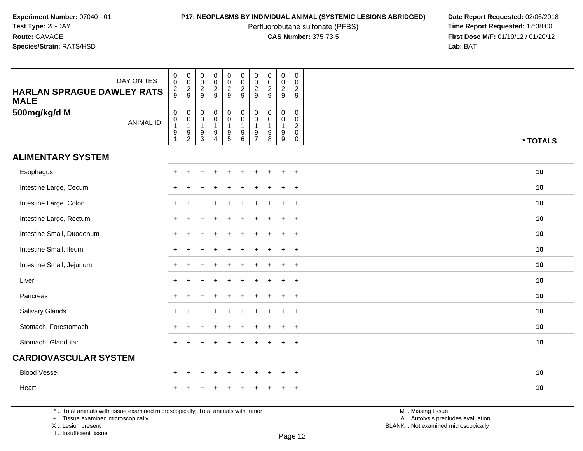Perfluorobutane sulfonate (PFBS)<br>**CAS Number:** 375-73-5

**P17: NEOPLASMS BY INDIVIDUAL ANIMAL (SYSTEMIC LESIONS ABRIDGED)** Date Report Requested: 02/06/2018<br>Perfluorobutane sulfonate (PFBS) **Time Report Requested:** 12:38:00 **First Dose M/F:** 01/19/12 / 01/20/12<br>**Lab:** BAT **Lab:** BAT

| DAY ON TEST<br><b>HARLAN SPRAGUE DAWLEY RATS</b><br><b>MALE</b> | $\begin{smallmatrix} 0\\0 \end{smallmatrix}$<br>$\frac{2}{9}$                        | 00029                                                                    | $\mathsf{O}\xspace$<br>$\overline{0}$<br>$\frac{2}{9}$                           | 0<br>$\overline{0}$<br>$\frac{2}{9}$                                                   | $\begin{smallmatrix}0\0\0\end{smallmatrix}$<br>$\frac{2}{9}$                                         | $\begin{array}{c} 0 \\ 0 \\ 2 \\ 9 \end{array}$                   | 0<br>$\mathbf 0$<br>$\overline{2}$<br>9                       | $\begin{array}{c} 0 \\ 0 \\ 2 \\ 9 \end{array}$                 | 0<br>$\ddot{\mathbf{0}}$<br>$\frac{2}{9}$            | $\pmb{0}$<br>$\mathbf 0$<br>$\sqrt{2}$<br>9                                |          |
|-----------------------------------------------------------------|--------------------------------------------------------------------------------------|--------------------------------------------------------------------------|----------------------------------------------------------------------------------|----------------------------------------------------------------------------------------|------------------------------------------------------------------------------------------------------|-------------------------------------------------------------------|---------------------------------------------------------------|-----------------------------------------------------------------|------------------------------------------------------|----------------------------------------------------------------------------|----------|
| 500mg/kg/d M<br><b>ANIMAL ID</b>                                | $\mathsf{O}\xspace$<br>$\pmb{0}$<br>$\mathbf{1}$<br>$\boldsymbol{9}$<br>$\mathbf{1}$ | $\pmb{0}$<br>$\pmb{0}$<br>$\mathbf{1}$<br>$\boldsymbol{9}$<br>$\sqrt{2}$ | $\mathbf 0$<br>$\mathbf 0$<br>$\overline{1}$<br>$\boldsymbol{9}$<br>$\mathbf{3}$ | $\begin{smallmatrix}0\0\0\end{smallmatrix}$<br>$\mathbf{1}$<br>$9\,$<br>$\overline{4}$ | $\begin{smallmatrix}0\0\0\end{smallmatrix}$<br>$\mathbf{1}$<br>$\begin{array}{c} 9 \\ 5 \end{array}$ | $\mathbf 0$<br>$\pmb{0}$<br>$\mathbf{1}$<br>$\boldsymbol{9}$<br>6 | $\mathbf 0$<br>$\Omega$<br>$\mathbf 1$<br>9<br>$\overline{7}$ | $\pmb{0}$<br>$\pmb{0}$<br>$\mathbf{1}$<br>$\boldsymbol{9}$<br>8 | $\mathbf 0$<br>$\mathbf 0$<br>$\mathbf{1}$<br>9<br>9 | $\mathbf 0$<br>$\mathbf 0$<br>$\overline{c}$<br>$\mathbf 0$<br>$\mathbf 0$ | * TOTALS |
| <b>ALIMENTARY SYSTEM</b>                                        |                                                                                      |                                                                          |                                                                                  |                                                                                        |                                                                                                      |                                                                   |                                                               |                                                                 |                                                      |                                                                            |          |
| Esophagus                                                       | $\pm$                                                                                |                                                                          |                                                                                  |                                                                                        |                                                                                                      |                                                                   |                                                               |                                                                 | ÷                                                    | $\overline{+}$                                                             | 10       |
| Intestine Large, Cecum                                          |                                                                                      |                                                                          |                                                                                  |                                                                                        |                                                                                                      |                                                                   |                                                               |                                                                 | ÷                                                    | $+$                                                                        | 10       |
| Intestine Large, Colon                                          | $\pm$                                                                                |                                                                          |                                                                                  |                                                                                        |                                                                                                      |                                                                   |                                                               |                                                                 | $\ddot{}$                                            | $+$                                                                        | 10       |
| Intestine Large, Rectum                                         | $\pm$                                                                                |                                                                          |                                                                                  |                                                                                        |                                                                                                      |                                                                   |                                                               |                                                                 | $\ddot{}$                                            | $+$                                                                        | 10       |
| Intestine Small, Duodenum                                       |                                                                                      |                                                                          |                                                                                  |                                                                                        |                                                                                                      |                                                                   |                                                               |                                                                 | ÷                                                    | $\overline{+}$                                                             | 10       |
| Intestine Small, Ileum                                          |                                                                                      |                                                                          |                                                                                  |                                                                                        |                                                                                                      |                                                                   |                                                               |                                                                 | ÷                                                    | $+$                                                                        | 10       |
| Intestine Small, Jejunum                                        |                                                                                      |                                                                          |                                                                                  |                                                                                        |                                                                                                      |                                                                   |                                                               |                                                                 | $+$                                                  | $+$                                                                        | 10       |
| Liver                                                           |                                                                                      |                                                                          |                                                                                  |                                                                                        |                                                                                                      |                                                                   |                                                               |                                                                 | $\ddot{}$                                            | $+$                                                                        | 10       |
| Pancreas                                                        |                                                                                      |                                                                          |                                                                                  |                                                                                        |                                                                                                      |                                                                   |                                                               |                                                                 | $\ddot{}$                                            | $+$                                                                        | 10       |
| Salivary Glands                                                 |                                                                                      |                                                                          |                                                                                  |                                                                                        |                                                                                                      |                                                                   |                                                               |                                                                 | $\div$                                               | $+$                                                                        | 10       |
| Stomach, Forestomach                                            |                                                                                      |                                                                          |                                                                                  |                                                                                        |                                                                                                      |                                                                   |                                                               |                                                                 | $\ddot{}$                                            | $+$                                                                        | 10       |
| Stomach, Glandular                                              | $\ddot{}$                                                                            |                                                                          |                                                                                  |                                                                                        |                                                                                                      |                                                                   |                                                               |                                                                 | +                                                    | $+$                                                                        | 10       |
| <b>CARDIOVASCULAR SYSTEM</b>                                    |                                                                                      |                                                                          |                                                                                  |                                                                                        |                                                                                                      |                                                                   |                                                               |                                                                 |                                                      |                                                                            |          |
| <b>Blood Vessel</b>                                             | $\pm$                                                                                | $\pm$                                                                    |                                                                                  | $\ddot{}$                                                                              |                                                                                                      | $\ddot{}$                                                         | ÷                                                             |                                                                 | $\ddot{}$                                            | $+$                                                                        | 10       |
| Heart                                                           |                                                                                      |                                                                          |                                                                                  |                                                                                        |                                                                                                      |                                                                   |                                                               |                                                                 |                                                      | $\ddot{}$                                                                  | 10       |

\* .. Total animals with tissue examined microscopically; Total animals with tumor

+ .. Tissue examined microscopically

X .. Lesion present

I .. Insufficient tissue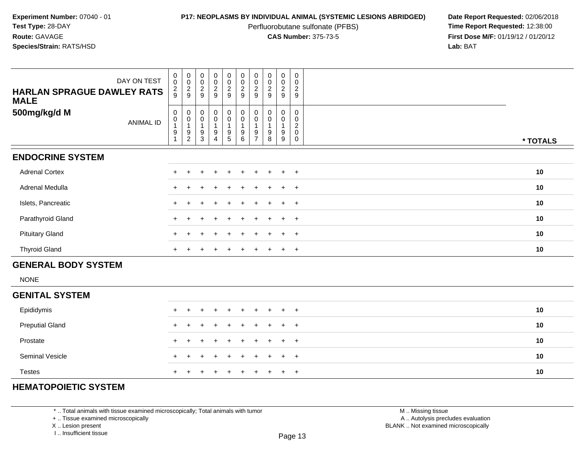Perfluorobutane sulfonate (PFBS)<br>**CAS Number:** 375-73-5

**P17: NEOPLASMS BY INDIVIDUAL ANIMAL (SYSTEMIC LESIONS ABRIDGED)** Date Report Requested: 02/06/2018<br>Perfluorobutane sulfonate (PFBS) **Time Report Requested:** 12:38:00 **First Dose M/F:** 01/19/12 / 01/20/12<br>**Lab:** BAT **Lab:** BAT

| <b>HARLAN SPRAGUE DAWLEY RATS</b><br><b>MALE</b> | DAY ON TEST      | $\begin{matrix} 0 \\ 0 \end{matrix}$<br>$\frac{2}{9}$                      | $\begin{matrix} 0 \\ 0 \end{matrix}$<br>$\frac{2}{9}$ | $\begin{matrix} 0 \\ 0 \end{matrix}$<br>$\frac{2}{9}$       | $\begin{array}{c} 0 \\ 0 \\ 2 \\ 9 \end{array}$              | $\begin{matrix} 0 \\ 0 \end{matrix}$<br>$\overline{2}$<br>9 | 00029                                                                                    | $\begin{matrix} 0 \\ 0 \end{matrix}$<br>$\overline{2}$<br>$9\,$ | $\begin{matrix} 0 \\ 0 \end{matrix}$<br>$\overline{c}$<br>9 | 0<br>$\ddot{\mathbf{0}}$<br>$\overline{2}$<br>9           | 0<br>$\mathbf 0$<br>$\sqrt{2}$<br>9                              |          |
|--------------------------------------------------|------------------|----------------------------------------------------------------------------|-------------------------------------------------------|-------------------------------------------------------------|--------------------------------------------------------------|-------------------------------------------------------------|------------------------------------------------------------------------------------------|-----------------------------------------------------------------|-------------------------------------------------------------|-----------------------------------------------------------|------------------------------------------------------------------|----------|
| 500mg/kg/d M                                     | <b>ANIMAL ID</b> | $\pmb{0}$<br>$\pmb{0}$<br>$\mathbf{1}$<br>$\boldsymbol{9}$<br>$\mathbf{1}$ | 0<br>$\pmb{0}$<br>9<br>$\overline{c}$                 | $\pmb{0}$<br>$\mathbf 0$<br>$\overline{1}$<br>$\frac{9}{3}$ | $_0^0$<br>$\mathbf{1}$<br>$\boldsymbol{9}$<br>$\overline{4}$ | $_0^0$<br>$\begin{array}{c} 9 \\ 5 \end{array}$             | $\boldsymbol{0}$<br>$\pmb{0}$<br>$\overline{1}$<br>$\begin{array}{c} 9 \\ 6 \end{array}$ | 0<br>$\pmb{0}$<br>$\mathbf{1}$<br>9<br>$\overline{7}$           | 0<br>$\pmb{0}$<br>$\overline{1}$<br>$\boldsymbol{9}$<br>8   | 0<br>$\mathbf 0$<br>$\mathbf{1}$<br>$\boldsymbol{9}$<br>9 | 0<br>$\mathbf 0$<br>$\overline{c}$<br>$\mathbf 0$<br>$\mathbf 0$ | * TOTALS |
| <b>ENDOCRINE SYSTEM</b>                          |                  |                                                                            |                                                       |                                                             |                                                              |                                                             |                                                                                          |                                                                 |                                                             |                                                           |                                                                  |          |
| <b>Adrenal Cortex</b>                            |                  |                                                                            |                                                       |                                                             |                                                              |                                                             |                                                                                          |                                                                 |                                                             |                                                           | $\ddot{}$                                                        | 10       |
| Adrenal Medulla                                  |                  |                                                                            |                                                       |                                                             |                                                              |                                                             |                                                                                          |                                                                 |                                                             |                                                           | $+$                                                              | 10       |
| Islets, Pancreatic                               |                  |                                                                            |                                                       |                                                             |                                                              |                                                             |                                                                                          |                                                                 |                                                             |                                                           | $\overline{+}$                                                   | 10       |
| Parathyroid Gland                                |                  |                                                                            |                                                       |                                                             |                                                              |                                                             |                                                                                          |                                                                 |                                                             |                                                           | $+$                                                              | 10       |
| <b>Pituitary Gland</b>                           |                  |                                                                            |                                                       |                                                             |                                                              |                                                             |                                                                                          |                                                                 |                                                             |                                                           | $\ddot{}$                                                        | 10       |
| <b>Thyroid Gland</b>                             |                  | $\pm$                                                                      |                                                       |                                                             |                                                              |                                                             |                                                                                          |                                                                 |                                                             | $\ddot{}$                                                 | $+$                                                              | 10       |
| <b>GENERAL BODY SYSTEM</b>                       |                  |                                                                            |                                                       |                                                             |                                                              |                                                             |                                                                                          |                                                                 |                                                             |                                                           |                                                                  |          |
| <b>NONE</b>                                      |                  |                                                                            |                                                       |                                                             |                                                              |                                                             |                                                                                          |                                                                 |                                                             |                                                           |                                                                  |          |
| <b>GENITAL SYSTEM</b>                            |                  |                                                                            |                                                       |                                                             |                                                              |                                                             |                                                                                          |                                                                 |                                                             |                                                           |                                                                  |          |
| Epididymis                                       |                  |                                                                            |                                                       |                                                             |                                                              |                                                             |                                                                                          |                                                                 |                                                             |                                                           | $+$                                                              | 10       |
| <b>Preputial Gland</b>                           |                  |                                                                            |                                                       |                                                             |                                                              |                                                             |                                                                                          |                                                                 |                                                             |                                                           | $\ddot{}$                                                        | 10       |
| Prostate                                         |                  |                                                                            |                                                       |                                                             |                                                              |                                                             |                                                                                          |                                                                 |                                                             |                                                           | $+$                                                              | 10       |
| Seminal Vesicle                                  |                  |                                                                            |                                                       |                                                             |                                                              |                                                             |                                                                                          |                                                                 |                                                             |                                                           | $\ddot{}$                                                        | 10       |
|                                                  |                  |                                                                            |                                                       |                                                             |                                                              |                                                             |                                                                                          |                                                                 |                                                             |                                                           |                                                                  |          |

# **HEMATOPOIETIC SYSTEM**

Testes

\* .. Total animals with tissue examined microscopically; Total animals with tumor

+ .. Tissue examined microscopically

<sup>+</sup>

X .. Lesion present

I .. Insufficient tissue

 M .. Missing tissuey the contract of the contract of the contract of the contract of the contract of  $\mathsf A$  . Autolysis precludes evaluation Lesion present BLANK .. Not examined microscopically

<sup>+</sup> <sup>+</sup> <sup>+</sup> <sup>+</sup> <sup>+</sup> <sup>+</sup> <sup>+</sup> <sup>+</sup> <sup>+</sup> **<sup>10</sup>**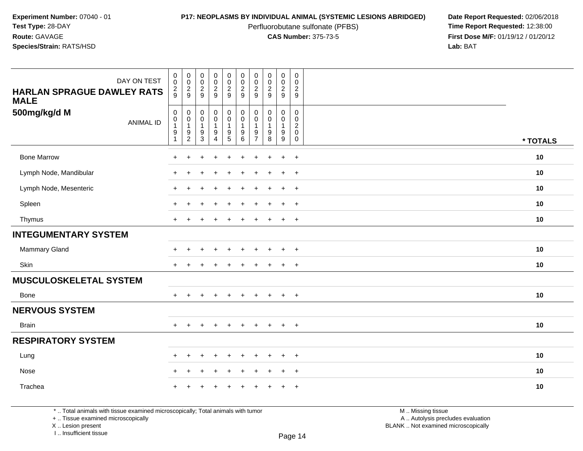Perfluorobutane sulfonate (PFBS)<br>**CAS Number:** 375-73-5

**P17: NEOPLASMS BY INDIVIDUAL ANIMAL (SYSTEMIC LESIONS ABRIDGED)** Date Report Requested: 02/06/2018<br>Perfluorobutane sulfonate (PFBS) **Time Report Requested:** 12:38:00 **First Dose M/F:** 01/19/12 / 01/20/12<br>**Lab:** BAT **Lab:** BAT

| DAY ON TEST<br><b>HARLAN SPRAGUE DAWLEY RATS</b><br><b>MALE</b> | $\pmb{0}$<br>$\mathbf 0$<br>$\frac{2}{9}$                                            | $\pmb{0}$<br>$\pmb{0}$<br>$\frac{2}{9}$                               | 00029                                                       | $\pmb{0}$<br>$\pmb{0}$<br>$\frac{2}{9}$                                        | $\pmb{0}$<br>$\pmb{0}$<br>$\overline{2}$<br>9             | $\pmb{0}$<br>$\pmb{0}$<br>$\overline{a}$<br>9                              | $\pmb{0}$<br>$\pmb{0}$<br>$\boldsymbol{2}$<br>9 | $\begin{smallmatrix} 0\\0\\2 \end{smallmatrix}$<br>9                      | $\pmb{0}$<br>$\pmb{0}$<br>$\overline{c}$<br>9                            | $\boldsymbol{0}$<br>$\mathbf 0$<br>$\overline{2}$<br>9                       |          |
|-----------------------------------------------------------------|--------------------------------------------------------------------------------------|-----------------------------------------------------------------------|-------------------------------------------------------------|--------------------------------------------------------------------------------|-----------------------------------------------------------|----------------------------------------------------------------------------|-------------------------------------------------|---------------------------------------------------------------------------|--------------------------------------------------------------------------|------------------------------------------------------------------------------|----------|
| 500mg/kg/d M<br><b>ANIMAL ID</b>                                | $\mathsf{O}\xspace$<br>$\pmb{0}$<br>$\mathbf{1}$<br>$\boldsymbol{9}$<br>$\mathbf{1}$ | $\mathbf 0$<br>$\mathbf 0$<br>$\mathbf{1}$<br>$9\,$<br>$\overline{2}$ | $_{\rm 0}^{\rm 0}$<br>$\mathbf{1}$<br>$\boldsymbol{9}$<br>3 | $\pmb{0}$<br>$\mathbf 0$<br>$\mathbf{1}$<br>$\boldsymbol{9}$<br>$\overline{4}$ | 0<br>$\mathbf 0$<br>$\mathbf{1}$<br>$\boldsymbol{9}$<br>5 | $\mathsf{O}\xspace$<br>$\mathsf{O}\xspace$<br>$\mathbf{1}$<br>9<br>$\,6\,$ | 0<br>0<br>$\mathbf{1}$<br>9<br>$\overline{7}$   | $\mathbf 0$<br>$\mathbf 0$<br>$\mathbf{1}$<br>$\boldsymbol{9}$<br>$\,8\,$ | $\mathbf 0$<br>0<br>$\mathbf{1}$<br>$\boldsymbol{9}$<br>$\boldsymbol{9}$ | $\mathbf 0$<br>$\mathbf 0$<br>$\boldsymbol{2}$<br>$\mathbf 0$<br>$\mathbf 0$ | * TOTALS |
| <b>Bone Marrow</b>                                              | $\ddot{}$                                                                            | ٠                                                                     |                                                             | $\ddot{}$                                                                      | $\overline{1}$                                            | $\ddot{}$                                                                  |                                                 |                                                                           | $\ddot{}$                                                                | $+$                                                                          | 10       |
| Lymph Node, Mandibular                                          | $+$                                                                                  | $\ddot{}$                                                             |                                                             | $\div$                                                                         |                                                           | $\div$                                                                     |                                                 |                                                                           | $\ddot{}$                                                                | $+$                                                                          | 10       |
| Lymph Node, Mesenteric                                          | $\ddot{}$                                                                            |                                                                       |                                                             |                                                                                |                                                           |                                                                            |                                                 |                                                                           | $\ddot{}$                                                                | $+$                                                                          | 10       |
| Spleen                                                          | $\ddot{}$                                                                            |                                                                       |                                                             |                                                                                |                                                           |                                                                            |                                                 |                                                                           | $\ddot{}$                                                                | $+$                                                                          | 10       |
| Thymus                                                          | $+$                                                                                  |                                                                       |                                                             |                                                                                |                                                           |                                                                            |                                                 |                                                                           | $+$                                                                      | $+$                                                                          | 10       |
| <b>INTEGUMENTARY SYSTEM</b>                                     |                                                                                      |                                                                       |                                                             |                                                                                |                                                           |                                                                            |                                                 |                                                                           |                                                                          |                                                                              |          |
| <b>Mammary Gland</b>                                            | $\pm$                                                                                |                                                                       |                                                             |                                                                                |                                                           |                                                                            |                                                 |                                                                           | $\div$                                                                   | $+$                                                                          | 10       |
| Skin                                                            | $\pm$                                                                                |                                                                       |                                                             |                                                                                |                                                           |                                                                            |                                                 |                                                                           | $\pm$                                                                    | $+$                                                                          | 10       |
| <b>MUSCULOSKELETAL SYSTEM</b>                                   |                                                                                      |                                                                       |                                                             |                                                                                |                                                           |                                                                            |                                                 |                                                                           |                                                                          |                                                                              |          |
| Bone                                                            | $+$                                                                                  | $\ddot{}$                                                             | $\ddot{}$                                                   | $\ddot{}$                                                                      | $\ddot{}$                                                 | $\ddot{}$                                                                  | $+$                                             | $+$                                                                       | $+$                                                                      | $+$                                                                          | 10       |
| <b>NERVOUS SYSTEM</b>                                           |                                                                                      |                                                                       |                                                             |                                                                                |                                                           |                                                                            |                                                 |                                                                           |                                                                          |                                                                              |          |
| <b>Brain</b>                                                    | $+$                                                                                  | $+$                                                                   | $\pm$                                                       | $+$                                                                            | $\ddot{}$                                                 | $\ddot{}$                                                                  | $+$                                             | $+$                                                                       | $+$                                                                      | $+$                                                                          | 10       |
| <b>RESPIRATORY SYSTEM</b>                                       |                                                                                      |                                                                       |                                                             |                                                                                |                                                           |                                                                            |                                                 |                                                                           |                                                                          |                                                                              |          |
| Lung                                                            | $+$                                                                                  | $\ddot{}$                                                             |                                                             | ÷                                                                              |                                                           | $\div$                                                                     |                                                 | $\overline{ }$                                                            | $\ddot{}$                                                                | $+$                                                                          | 10       |
| Nose                                                            | $\ddot{}$                                                                            |                                                                       |                                                             |                                                                                |                                                           |                                                                            |                                                 |                                                                           | $\div$                                                                   | $\overline{+}$                                                               | 10       |
| Trachea                                                         | $\pm$                                                                                |                                                                       |                                                             |                                                                                |                                                           |                                                                            |                                                 |                                                                           | $\pm$                                                                    | $+$                                                                          | 10       |

\* .. Total animals with tissue examined microscopically; Total animals with tumor

+ .. Tissue examined microscopically

X .. Lesion present

I .. Insufficient tissue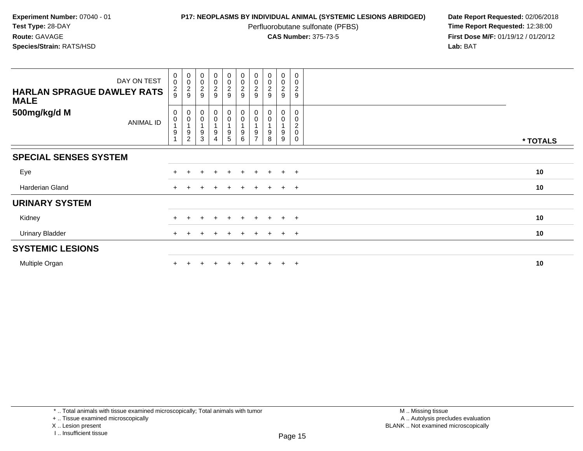Perfluorobutane sulfonate (PFBS)<br>**CAS Number:** 375-73-5

**P17: NEOPLASMS BY INDIVIDUAL ANIMAL (SYSTEMIC LESIONS ABRIDGED)** Date Report Requested: 02/06/2018<br>Perfluorobutane sulfonate (PFBS) **Time Report Requested:** 12:38:00 **First Dose M/F:** 01/19/12 / 01/20/12<br>**Lab:** BAT **Lab:** BAT

| DAY ON TEST<br><b>HARLAN SPRAGUE DAWLEY RATS</b><br><b>MALE</b> | $\begin{smallmatrix}0\\0\end{smallmatrix}$<br>$\frac{2}{9}$ | 00029                                                                               | $\pmb{0}$<br>$\pmb{0}$<br>$\frac{2}{9}$ | $\begin{array}{c} 0 \\ 0 \\ 2 \\ 9 \end{array}$ | $\begin{array}{c} 0 \\ 0 \\ 2 \\ 9 \end{array}$ | $\begin{array}{c} 0 \\ 0 \\ 2 \\ 9 \end{array}$ | $_{\rm 0}^{\rm 0}$<br>$\frac{2}{9}$ | $\begin{smallmatrix}0\\0\end{smallmatrix}$<br>$\overline{c}$<br>9 | $\mathbf 0$<br>0<br>$\frac{2}{9}$ | 0<br>$\,0\,$<br>$\boldsymbol{2}$<br>$\mathsf g$        |          |
|-----------------------------------------------------------------|-------------------------------------------------------------|-------------------------------------------------------------------------------------|-----------------------------------------|-------------------------------------------------|-------------------------------------------------|-------------------------------------------------|-------------------------------------|-------------------------------------------------------------------|-----------------------------------|--------------------------------------------------------|----------|
| 500mg/kg/d M<br>ANIMAL ID                                       | 0<br>$\pmb{0}$<br>$\boldsymbol{9}$                          | $\begin{smallmatrix}0\\0\end{smallmatrix}$<br>$\overline{1}$<br>9<br>$\overline{c}$ | $\pmb{0}$<br>$\mathbf 0$<br>9<br>3      | $_0^0$<br>9                                     | $_{\rm 0}^{\rm 0}$<br>$\boldsymbol{9}$<br>5     | $_{\rm 0}^{\rm 0}$<br>$\boldsymbol{9}$<br>6     | 0<br>9                              | $\begin{smallmatrix}0\\0\end{smallmatrix}$<br>9<br>8              | 0<br>0<br>9<br>9                  | 0<br>0<br>$\overline{c}$<br>$\mathbf 0$<br>$\mathbf 0$ | * TOTALS |
| <b>SPECIAL SENSES SYSTEM</b>                                    |                                                             |                                                                                     |                                         |                                                 |                                                 |                                                 |                                     |                                                                   |                                   |                                                        |          |
| Eye                                                             |                                                             |                                                                                     | ÷                                       | $\ddot{}$                                       | $+$                                             | $+$                                             | $\pm$                               | $+$                                                               | $+$                               | $+$                                                    | 10       |
| Harderian Gland                                                 |                                                             |                                                                                     |                                         |                                                 | $+$                                             |                                                 | $\pm$                               | $+$                                                               | $+$                               | $+$                                                    | 10       |
| <b>URINARY SYSTEM</b>                                           |                                                             |                                                                                     |                                         |                                                 |                                                 |                                                 |                                     |                                                                   |                                   |                                                        |          |
| Kidney                                                          |                                                             |                                                                                     | ÷                                       | $\ddot{}$                                       | $\pm$                                           | $\pm$                                           | $\pm$                               | $\pm$                                                             | $\pm$                             | $+$                                                    | 10       |
| <b>Urinary Bladder</b>                                          |                                                             |                                                                                     |                                         |                                                 | ÷.                                              |                                                 |                                     |                                                                   | $\ddot{}$                         | $+$                                                    | 10       |
| <b>SYSTEMIC LESIONS</b>                                         |                                                             |                                                                                     |                                         |                                                 |                                                 |                                                 |                                     |                                                                   |                                   |                                                        |          |
| Multiple Organ                                                  |                                                             |                                                                                     |                                         |                                                 | $\pm$                                           |                                                 |                                     |                                                                   | $\pm$                             | $+$                                                    | 10       |

+ .. Tissue examined microscopically

X .. Lesion present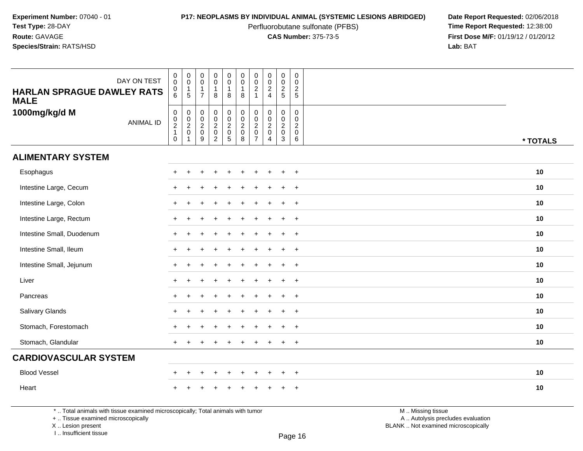Perfluorobutane sulfonate (PFBS)<br>**CAS Number:** 375-73-5

**P17: NEOPLASMS BY INDIVIDUAL ANIMAL (SYSTEMIC LESIONS ABRIDGED)** Date Report Requested: 02/06/2018<br>Perfluorobutane sulfonate (PFBS) **Time Report Requested:** 12:38:00 **First Dose M/F:** 01/19/12 / 01/20/12<br>**Lab:** BAT **Lab:** BAT

| DAY ON TEST<br><b>HARLAN SPRAGUE DAWLEY RATS</b><br><b>MALE</b> | $\mathbf 0$<br>$\mathbf 0$<br>$\mathbf 0$<br>6                          | $\pmb{0}$<br>$\overline{0}$<br>$\overline{1}$<br>5 | $\pmb{0}$<br>$\ddot{\mathbf{0}}$<br>$\mathbf{1}$<br>$\overline{7}$ | $\begin{smallmatrix}0\0\0\end{smallmatrix}$<br>$\mathbf{1}$<br>8                              | $_{\rm 0}^{\rm 0}$<br>$\mathbf{1}$<br>8                           | $\begin{smallmatrix} 0\\0 \end{smallmatrix}$<br>$\mathbf{1}$<br>8              | $\pmb{0}$<br>$\mathbf 0$<br>$\overline{2}$<br>$\overline{1}$              | $\pmb{0}$<br>$\overline{0}$<br>$\overline{2}$<br>$\overline{4}$           | 0<br>$\ddot{\mathbf{0}}$<br>$\frac{2}{5}$                        | $\pmb{0}$<br>$\overline{0}$<br>$\frac{2}{5}$                     |          |
|-----------------------------------------------------------------|-------------------------------------------------------------------------|----------------------------------------------------|--------------------------------------------------------------------|-----------------------------------------------------------------------------------------------|-------------------------------------------------------------------|--------------------------------------------------------------------------------|---------------------------------------------------------------------------|---------------------------------------------------------------------------|------------------------------------------------------------------|------------------------------------------------------------------|----------|
| 1000mg/kg/d M<br><b>ANIMAL ID</b>                               | $\mathbf 0$<br>$\begin{matrix} 0 \\ 2 \\ 1 \end{matrix}$<br>$\mathbf 0$ | $\mathbf 0$<br>$\frac{0}{2}$<br>$\mathbf{1}$       | $\mathsf 0$<br>$\pmb{0}$<br>$\frac{2}{0}$<br>$\boldsymbol{9}$      | $\mathsf{O}\xspace$<br>$\mathbf 0$<br>$\overline{2}$<br>$\mathsf{O}\xspace$<br>$\overline{2}$ | 0<br>$\pmb{0}$<br>$\sqrt{2}$<br>$\mathsf{O}\xspace$<br>$\sqrt{5}$ | $\begin{smallmatrix} 0\\0 \end{smallmatrix}$<br>$\sqrt{2}$<br>$\mathbf 0$<br>8 | $\mathbf 0$<br>$\mathbf 0$<br>$\sqrt{2}$<br>$\mathbf 0$<br>$\overline{7}$ | $\mathbf 0$<br>$\mathbf 0$<br>$\sqrt{2}$<br>$\mathbf 0$<br>$\overline{4}$ | $\mathbf 0$<br>$\mathbf 0$<br>$\overline{a}$<br>$\mathbf 0$<br>3 | $\mathbf 0$<br>$\mathbf 0$<br>$\overline{a}$<br>$\mathbf 0$<br>6 | * TOTALS |
| <b>ALIMENTARY SYSTEM</b>                                        |                                                                         |                                                    |                                                                    |                                                                                               |                                                                   |                                                                                |                                                                           |                                                                           |                                                                  |                                                                  |          |
| Esophagus                                                       |                                                                         |                                                    |                                                                    |                                                                                               |                                                                   |                                                                                |                                                                           |                                                                           | ÷                                                                | $^{+}$                                                           | 10       |
| Intestine Large, Cecum                                          |                                                                         |                                                    |                                                                    |                                                                                               |                                                                   |                                                                                |                                                                           |                                                                           | ÷.                                                               | $\ddot{}$                                                        | 10       |
| Intestine Large, Colon                                          |                                                                         |                                                    |                                                                    |                                                                                               |                                                                   |                                                                                |                                                                           |                                                                           | $\ddot{}$                                                        | $+$                                                              | 10       |
| Intestine Large, Rectum                                         | $\ddot{}$                                                               |                                                    |                                                                    |                                                                                               |                                                                   |                                                                                |                                                                           |                                                                           | ÷.                                                               | $+$                                                              | 10       |
| Intestine Small, Duodenum                                       | ÷                                                                       |                                                    |                                                                    |                                                                                               |                                                                   |                                                                                |                                                                           |                                                                           | $\ddot{}$                                                        | $^{+}$                                                           | 10       |
| Intestine Small, Ileum                                          |                                                                         |                                                    |                                                                    |                                                                                               |                                                                   |                                                                                |                                                                           |                                                                           | ÷.                                                               | $\ddot{}$                                                        | 10       |
| Intestine Small, Jejunum                                        |                                                                         |                                                    |                                                                    |                                                                                               |                                                                   |                                                                                |                                                                           |                                                                           | $\ddot{}$                                                        | $^{+}$                                                           | 10       |
| Liver                                                           |                                                                         |                                                    |                                                                    |                                                                                               |                                                                   |                                                                                |                                                                           |                                                                           | ÷                                                                | $\overline{+}$                                                   | 10       |
| Pancreas                                                        | $+$                                                                     | $\div$                                             |                                                                    |                                                                                               |                                                                   |                                                                                |                                                                           |                                                                           | $\ddot{}$                                                        | $^{+}$                                                           | 10       |
| Salivary Glands                                                 |                                                                         |                                                    |                                                                    |                                                                                               |                                                                   |                                                                                |                                                                           |                                                                           | ÷.                                                               | $\overline{+}$                                                   | 10       |
| Stomach, Forestomach                                            |                                                                         |                                                    |                                                                    |                                                                                               |                                                                   |                                                                                |                                                                           |                                                                           | $\ddot{}$                                                        | $^{+}$                                                           | 10       |
| Stomach, Glandular                                              | $\ddot{}$                                                               |                                                    |                                                                    |                                                                                               |                                                                   |                                                                                |                                                                           |                                                                           | $\ddot{}$                                                        | $^{+}$                                                           | 10       |
| <b>CARDIOVASCULAR SYSTEM</b>                                    |                                                                         |                                                    |                                                                    |                                                                                               |                                                                   |                                                                                |                                                                           |                                                                           |                                                                  |                                                                  |          |
| <b>Blood Vessel</b>                                             | ÷                                                                       | +                                                  |                                                                    | $\ddot{}$                                                                                     | $\ddot{}$                                                         | $\overline{1}$                                                                 | ÷                                                                         |                                                                           | $\ddot{}$                                                        | $\overline{+}$                                                   | 10       |
| Heart                                                           |                                                                         |                                                    |                                                                    |                                                                                               |                                                                   |                                                                                |                                                                           |                                                                           |                                                                  | $\ddot{}$                                                        | 10       |

\* .. Total animals with tissue examined microscopically; Total animals with tumor

+ .. Tissue examined microscopically

X .. Lesion present

I .. Insufficient tissue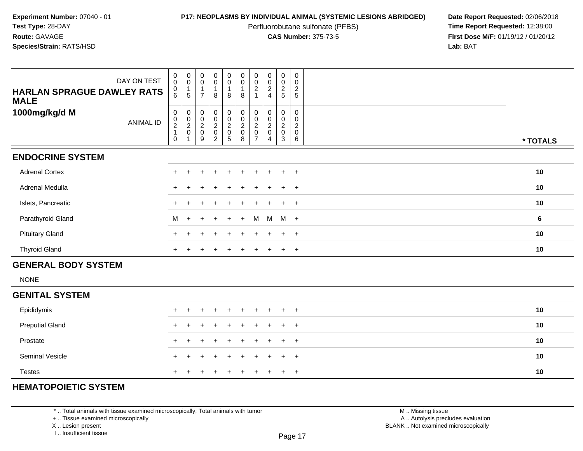Perfluorobutane sulfonate (PFBS)<br>**CAS Number:** 375-73-5

**P17: NEOPLASMS BY INDIVIDUAL ANIMAL (SYSTEMIC LESIONS ABRIDGED)** Date Report Requested: 02/06/2018<br>Perfluorobutane sulfonate (PFBS) **Time Report Requested:** 12:38:00 **First Dose M/F:** 01/19/12 / 01/20/12<br>**Lab:** BAT **Lab:** BAT

| <b>HARLAN SPRAGUE DAWLEY RATS</b><br><b>MALE</b> | DAY ON TEST      | $\begin{matrix} 0 \\ 0 \end{matrix}$<br>$\boldsymbol{0}$<br>6                 | $\begin{matrix} 0 \\ 0 \end{matrix}$<br>$\mathbf{1}$<br>$5\phantom{.0}$ | $\begin{matrix} 0 \\ 0 \end{matrix}$<br>$\overline{1}$<br>$\overline{7}$ | $\begin{matrix} 0 \\ 0 \\ 1 \end{matrix}$<br>8 | $\begin{matrix} 0 \\ 0 \\ 1 \end{matrix}$<br>8 | $\begin{matrix} 0 \\ 0 \\ 1 \end{matrix}$<br>8      | $\begin{matrix} 0 \\ 0 \end{matrix}$<br>$\overline{c}$<br>$\mathbf{1}$ | $\begin{array}{c} 0 \\ 0 \\ 2 \\ 4 \end{array}$ | $\begin{array}{c} 0 \\ 0 \\ 2 \\ 5 \end{array}$ | 0<br>0<br>$\frac{2}{5}$                                  |          |
|--------------------------------------------------|------------------|-------------------------------------------------------------------------------|-------------------------------------------------------------------------|--------------------------------------------------------------------------|------------------------------------------------|------------------------------------------------|-----------------------------------------------------|------------------------------------------------------------------------|-------------------------------------------------|-------------------------------------------------|----------------------------------------------------------|----------|
| 1000mg/kg/d M                                    | <b>ANIMAL ID</b> | $\boldsymbol{0}$<br>$\begin{array}{c} 0 \\ 2 \\ 1 \end{array}$<br>$\mathbf 0$ | $\pmb{0}$<br>$\frac{0}{2}$<br>$\mathbf{1}$                              | $\pmb{0}$<br>$\frac{0}{2}$<br>$\boldsymbol{9}$                           | 0002020                                        | 000205                                         | $\begin{matrix} 0 \\ 0 \\ 2 \\ 0 \end{matrix}$<br>8 | 0<br>0<br>$\boldsymbol{2}$<br>$\mathsf 0$<br>$\overline{7}$            | $\mathbf 0$<br>$\frac{0}{2}$<br>$\overline{4}$  | $\mathbf 0$<br>$\frac{0}{2}$<br>3               | 0<br>0<br>$\overline{2}$<br>$\pmb{0}$<br>$6\overline{6}$ | * TOTALS |
| <b>ENDOCRINE SYSTEM</b>                          |                  |                                                                               |                                                                         |                                                                          |                                                |                                                |                                                     |                                                                        |                                                 |                                                 |                                                          |          |
| <b>Adrenal Cortex</b>                            |                  | $+$                                                                           |                                                                         |                                                                          |                                                |                                                |                                                     |                                                                        |                                                 | $\ddot{}$                                       | $+$                                                      | 10       |
| Adrenal Medulla                                  |                  | $+$                                                                           |                                                                         |                                                                          |                                                |                                                |                                                     |                                                                        |                                                 | $\ddot{}$                                       | $+$                                                      | 10       |
| Islets, Pancreatic                               |                  | $+$                                                                           |                                                                         |                                                                          |                                                |                                                |                                                     |                                                                        |                                                 | $\ddot{}$                                       | $+$                                                      | 10       |
| Parathyroid Gland                                |                  | M                                                                             | $\ddot{}$                                                               |                                                                          |                                                | $\ddot{}$                                      | $+$                                                 | M                                                                      | M                                               | $M +$                                           |                                                          | 6        |
| <b>Pituitary Gland</b>                           |                  | $+$                                                                           |                                                                         |                                                                          |                                                |                                                |                                                     |                                                                        |                                                 | $\ddot{}$                                       | $+$                                                      | 10       |
| <b>Thyroid Gland</b>                             |                  | $+$                                                                           | $\ddot{}$                                                               | $+$                                                                      | $\div$                                         | $+$                                            | $\ddot{}$                                           | $\ddot{}$                                                              | $+$                                             | $+$                                             | $+$                                                      | 10       |
| <b>GENERAL BODY SYSTEM</b>                       |                  |                                                                               |                                                                         |                                                                          |                                                |                                                |                                                     |                                                                        |                                                 |                                                 |                                                          |          |
| <b>NONE</b>                                      |                  |                                                                               |                                                                         |                                                                          |                                                |                                                |                                                     |                                                                        |                                                 |                                                 |                                                          |          |
| <b>GENITAL SYSTEM</b>                            |                  |                                                                               |                                                                         |                                                                          |                                                |                                                |                                                     |                                                                        |                                                 |                                                 |                                                          |          |
| Epididymis                                       |                  |                                                                               |                                                                         |                                                                          |                                                |                                                |                                                     |                                                                        |                                                 |                                                 | $\pm$                                                    | 10       |
| <b>Preputial Gland</b>                           |                  |                                                                               |                                                                         |                                                                          |                                                |                                                |                                                     |                                                                        |                                                 |                                                 | $\ddot{}$                                                | 10       |
| Prostate                                         |                  |                                                                               |                                                                         |                                                                          |                                                |                                                |                                                     |                                                                        |                                                 |                                                 | $+$                                                      | 10       |
| Seminal Vesicle                                  |                  |                                                                               |                                                                         |                                                                          |                                                |                                                |                                                     |                                                                        |                                                 | $\ddot{}$                                       | $+$                                                      | 10       |

# **HEMATOPOIETIC SYSTEM**

Testes

\* .. Total animals with tissue examined microscopically; Total animals with tumor

+ .. Tissue examined microscopically

<sup>+</sup>

X .. Lesion present

I .. Insufficient tissue

 M .. Missing tissuey the contract of the contract of the contract of the contract of the contract of  $\mathsf A$  . Autolysis precludes evaluation Lesion present BLANK .. Not examined microscopically

<sup>+</sup> <sup>+</sup> <sup>+</sup> <sup>+</sup> <sup>+</sup> <sup>+</sup> <sup>+</sup> <sup>+</sup> <sup>+</sup> **<sup>10</sup>**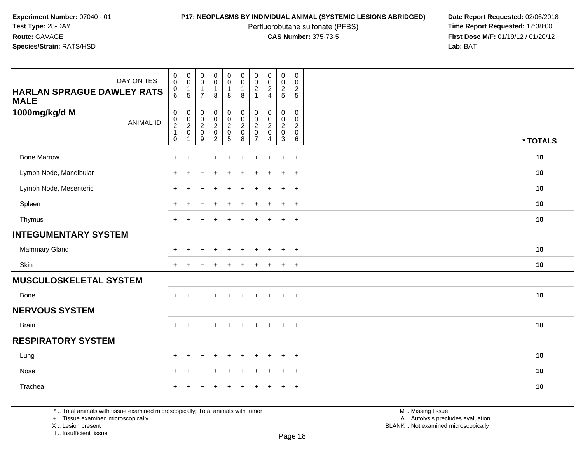Perfluorobutane sulfonate (PFBS)<br>**CAS Number:** 375-73-5

**P17: NEOPLASMS BY INDIVIDUAL ANIMAL (SYSTEMIC LESIONS ABRIDGED)** Date Report Requested: 02/06/2018<br>Perfluorobutane sulfonate (PFBS) **Time Report Requested:** 12:38:00 **First Dose M/F:** 01/19/12 / 01/20/12<br>**Lab:** BAT **Lab:** BAT

| DAY ON TEST<br><b>HARLAN SPRAGUE DAWLEY RATS</b><br><b>MALE</b><br>1000mg/kg/d M | $\pmb{0}$<br>$\mathbf 0$<br>0<br>6<br>$\boldsymbol{0}$ | $\mathbf 0$<br>$\pmb{0}$<br>$\mathbf{1}$<br>$5\phantom{.0}$<br>$\pmb{0}$ | $\begin{smallmatrix} 0\\0 \end{smallmatrix}$<br>$\mathbf{1}$<br>$\overline{7}$ | $\pmb{0}$<br>$\pmb{0}$<br>$\mathbf{1}$<br>$\, 8$             | $\mathsf 0$<br>$\mathbf 0$<br>$\mathbf{1}$<br>$\boldsymbol{8}$                   | $\pmb{0}$<br>$\pmb{0}$<br>1<br>8<br>0           | $\pmb{0}$<br>$\pmb{0}$<br>$\overline{c}$<br>$\mathbf{1}$<br>$\pmb{0}$ | $\pmb{0}$<br>$\frac{0}{2}$<br>$\overline{4}$<br>$\mathbf 0$ | $\pmb{0}$<br>$\mathbf 0$<br>$\overline{c}$<br>$5\overline{)}$<br>$\mathbf 0$ | $\mathbf 0$<br>$\boldsymbol{0}$<br>$\boldsymbol{2}$<br>$\overline{5}$<br>$\mathbf 0$ |          |
|----------------------------------------------------------------------------------|--------------------------------------------------------|--------------------------------------------------------------------------|--------------------------------------------------------------------------------|--------------------------------------------------------------|----------------------------------------------------------------------------------|-------------------------------------------------|-----------------------------------------------------------------------|-------------------------------------------------------------|------------------------------------------------------------------------------|--------------------------------------------------------------------------------------|----------|
| <b>ANIMAL ID</b>                                                                 | $_{2}^{\rm 0}$<br>$\mathbf{1}$<br>$\pmb{0}$            | $\frac{0}{2}$<br>$\overline{1}$                                          | $\begin{matrix} 0 \\ 0 \\ 2 \\ 0 \end{matrix}$<br>$9\,$                        | $\begin{matrix} 0 \\ 0 \\ 2 \\ 0 \end{matrix}$<br>$\sqrt{2}$ | $\begin{smallmatrix} 0\\0\\2 \end{smallmatrix}$<br>$\mathbf 0$<br>$\overline{5}$ | $\mathbf 0$<br>$\overline{c}$<br>$\pmb{0}$<br>8 | $\pmb{0}$<br>$\sqrt{2}$<br>$\mathsf{O}\xspace$<br>$\overline{7}$      | 0<br>$\overline{c}$<br>$\mathbf 0$<br>$\overline{4}$        | $\mathbf 0$<br>$\overline{a}$<br>$\mathbf 0$<br>$\mathbf{3}$                 | $\mathbf 0$<br>$\boldsymbol{2}$<br>$\boldsymbol{0}$<br>$6\phantom{1}$                | * TOTALS |
| <b>Bone Marrow</b>                                                               | $\ddot{}$                                              | $\ddot{}$                                                                | $\overline{ }$                                                                 | +                                                            | $\ddot{}$                                                                        | $\ddot{}$                                       |                                                                       | $\ddot{}$                                                   | $\ddot{}$                                                                    | $\overline{+}$                                                                       | 10       |
| Lymph Node, Mandibular                                                           | $+$                                                    | $\ddot{}$                                                                | $\overline{1}$                                                                 | $\ddot{}$                                                    | $\div$                                                                           | ÷                                               |                                                                       | $\ddot{}$                                                   | $\ddot{}$                                                                    | $+$                                                                                  | 10       |
| Lymph Node, Mesenteric                                                           | $\ddot{}$                                              |                                                                          |                                                                                |                                                              |                                                                                  |                                                 |                                                                       |                                                             | $\ddot{}$                                                                    | $\overline{+}$                                                                       | 10       |
| Spleen                                                                           |                                                        |                                                                          |                                                                                |                                                              |                                                                                  |                                                 |                                                                       |                                                             | $\ddot{}$                                                                    | $+$                                                                                  | 10       |
| Thymus                                                                           | $\ddot{}$                                              |                                                                          |                                                                                |                                                              |                                                                                  |                                                 |                                                                       |                                                             | $\pm$                                                                        | $+$                                                                                  | 10       |
| <b>INTEGUMENTARY SYSTEM</b>                                                      |                                                        |                                                                          |                                                                                |                                                              |                                                                                  |                                                 |                                                                       |                                                             |                                                                              |                                                                                      |          |
| <b>Mammary Gland</b>                                                             | ÷                                                      |                                                                          |                                                                                |                                                              |                                                                                  |                                                 |                                                                       |                                                             | $\div$                                                                       | $+$                                                                                  | 10       |
| Skin                                                                             | $\ddot{}$                                              |                                                                          |                                                                                |                                                              |                                                                                  |                                                 |                                                                       |                                                             | $\pm$                                                                        | $+$                                                                                  | 10       |
| <b>MUSCULOSKELETAL SYSTEM</b>                                                    |                                                        |                                                                          |                                                                                |                                                              |                                                                                  |                                                 |                                                                       |                                                             |                                                                              |                                                                                      |          |
| Bone                                                                             | $+$                                                    | $\ddot{}$                                                                | $\div$                                                                         | $\ddot{}$                                                    | $\overline{+}$                                                                   | $\ddot{}$                                       | $\pm$                                                                 | $\ddot{}$                                                   | $+$                                                                          | $+$                                                                                  | 10       |
| <b>NERVOUS SYSTEM</b>                                                            |                                                        |                                                                          |                                                                                |                                                              |                                                                                  |                                                 |                                                                       |                                                             |                                                                              |                                                                                      |          |
| <b>Brain</b>                                                                     | $+$                                                    | $\pm$                                                                    | $\overline{ }$                                                                 | $+$                                                          | $\ddot{}$                                                                        | $\ddot{}$                                       | $\pm$                                                                 | $+$                                                         | $+$                                                                          | $+$                                                                                  | 10       |
| <b>RESPIRATORY SYSTEM</b>                                                        |                                                        |                                                                          |                                                                                |                                                              |                                                                                  |                                                 |                                                                       |                                                             |                                                                              |                                                                                      |          |
| Lung                                                                             | $+$                                                    | $\ddot{}$                                                                | $\overline{ }$                                                                 | $\ddot{}$                                                    | ÷                                                                                | ÷                                               |                                                                       | $\ddot{}$                                                   | $\ddot{}$                                                                    | $\overline{+}$                                                                       | 10       |
| Nose                                                                             | $\ddot{}$                                              |                                                                          |                                                                                |                                                              |                                                                                  |                                                 |                                                                       |                                                             |                                                                              | $\overline{+}$                                                                       | 10       |
| Trachea                                                                          | $\ddot{}$                                              |                                                                          |                                                                                |                                                              |                                                                                  |                                                 |                                                                       | $\pm$                                                       | $\ddot{}$                                                                    | $+$                                                                                  | 10       |

\* .. Total animals with tissue examined microscopically; Total animals with tumor

+ .. Tissue examined microscopically

X .. Lesion present

I .. Insufficient tissue

M .. Missing tissue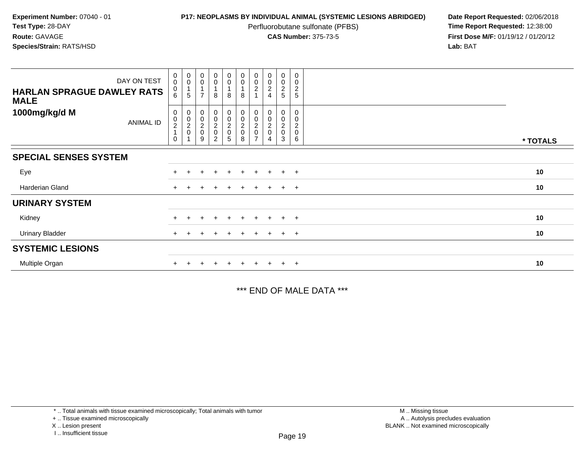Perfluorobutane sulfonate (PFBS)<br>**CAS Number:** 375-73-5

**P17: NEOPLASMS BY INDIVIDUAL ANIMAL (SYSTEMIC LESIONS ABRIDGED)** Date Report Requested: 02/06/2018<br>Perfluorobutane sulfonate (PFBS) **Time Report Requested:** 12:38:00 **First Dose M/F:** 01/19/12 / 01/20/12<br>**Lab:** BAT **Lab:** BAT

| DAY ON TEST<br><b>HARLAN SPRAGUE DAWLEY RATS</b><br><b>MALE</b> | $\begin{smallmatrix}0\\0\end{smallmatrix}$<br>$\begin{matrix} 0 \\ 6 \end{matrix}$ | $\begin{smallmatrix}0\\0\end{smallmatrix}$<br>$\mathbf{1}$<br>$\sqrt{5}$ | $_{\rm 0}^{\rm 0}$<br>1<br>$\overline{7}$                              | $_0^0$<br>8                               | $_{\rm 0}^{\rm 0}$<br>8                             | $\begin{smallmatrix} 0\\0 \end{smallmatrix}$<br>$\overline{A}$<br>$\bf8$ | $\begin{smallmatrix}0\\0\end{smallmatrix}$<br>$\boldsymbol{2}$ | $\begin{smallmatrix}0\\0\end{smallmatrix}$<br>$\overline{c}$ | $\boldsymbol{0}$<br>0<br>$\frac{2}{5}$ | $\pmb{0}$<br>$\pmb{0}$<br>$\boldsymbol{2}$<br>5 |          |
|-----------------------------------------------------------------|------------------------------------------------------------------------------------|--------------------------------------------------------------------------|------------------------------------------------------------------------|-------------------------------------------|-----------------------------------------------------|--------------------------------------------------------------------------|----------------------------------------------------------------|--------------------------------------------------------------|----------------------------------------|-------------------------------------------------|----------|
| 1000mg/kg/d M<br>ANIMAL ID                                      | 0<br>$\frac{0}{2}$<br>$\mathbf 0$                                                  | 0000<br>4                                                                | $\pmb{0}$<br>$\mathbf 0$<br>$\begin{array}{c} 2 \\ 0 \end{array}$<br>9 | $_0^0$<br>$\frac{2}{0}$<br>$\overline{2}$ | $\begin{matrix} 0 \\ 0 \\ 2 \\ 0 \end{matrix}$<br>5 | $\begin{matrix} 0 \\ 0 \\ 2 \\ 0 \end{matrix}$<br>8                      | 0<br>0<br>$^2_{\rm 0}$                                         | 0<br>$\mathbf 0$<br>$\overline{\mathbf{c}}$<br>$\mathbf 0$   | 0<br>0<br>$^2_{\rm 0}$<br>3            | 0<br>0<br>$\overline{c}$<br>0<br>6              | * TOTALS |
| <b>SPECIAL SENSES SYSTEM</b>                                    |                                                                                    |                                                                          |                                                                        |                                           |                                                     |                                                                          |                                                                |                                                              |                                        |                                                 |          |
| Eye                                                             |                                                                                    |                                                                          |                                                                        | $\ddot{}$                                 | $+$                                                 | $+$                                                                      | $+$                                                            | $+$                                                          | $+$                                    | $+$                                             | 10       |
| Harderian Gland                                                 |                                                                                    |                                                                          |                                                                        |                                           | ÷.                                                  |                                                                          |                                                                | $+$                                                          | $\ddot{+}$                             | $+$                                             | 10       |
| <b>URINARY SYSTEM</b>                                           |                                                                                    |                                                                          |                                                                        |                                           |                                                     |                                                                          |                                                                |                                                              |                                        |                                                 |          |
| Kidney                                                          |                                                                                    |                                                                          |                                                                        | $\ddot{}$                                 | $\pm$                                               | $\pm$                                                                    | $\pm$                                                          | $+$                                                          | $\ddot{}$                              | $+$                                             | 10       |
| <b>Urinary Bladder</b>                                          |                                                                                    |                                                                          |                                                                        |                                           | $\pm$                                               |                                                                          | $\ddot{}$                                                      |                                                              | $\ddot{}$                              | $+$                                             | 10       |
| <b>SYSTEMIC LESIONS</b>                                         |                                                                                    |                                                                          |                                                                        |                                           |                                                     |                                                                          |                                                                |                                                              |                                        |                                                 |          |
| Multiple Organ                                                  |                                                                                    |                                                                          |                                                                        |                                           | $+$                                                 |                                                                          |                                                                |                                                              | $\pm$                                  | $+$                                             | 10       |

\*\*\* END OF MALE DATA \*\*\*

<sup>\* ..</sup> Total animals with tissue examined microscopically; Total animals with tumor

<sup>+ ..</sup> Tissue examined microscopically

X .. Lesion present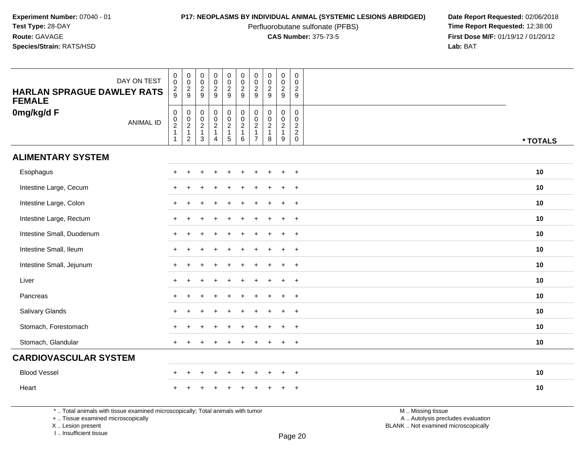Perfluorobutane sulfonate (PFBS)<br>**CAS Number:** 375-73-5

**P17: NEOPLASMS BY INDIVIDUAL ANIMAL (SYSTEMIC LESIONS ABRIDGED)** Date Report Requested: 02/06/2018<br>Perfluorobutane sulfonate (PFBS) **Time Report Requested:** 12:38:00 **First Dose M/F:** 01/19/12 / 01/20/12<br>**Lab:** BAT **Lab:** BAT

| DAY ON TEST<br><b>HARLAN SPRAGUE DAWLEY RATS</b><br><b>FEMALE</b> | $\begin{smallmatrix} 0\\0 \end{smallmatrix}$<br>$\frac{2}{9}$ | 00029                                        | $\mathbf 0$<br>$\ddot{\mathbf{0}}$<br>$\frac{2}{9}$            | $\pmb{0}$<br>$\ddot{\mathbf{0}}$<br>$\frac{2}{9}$                                              | $\pmb{0}$<br>$\ddot{\mathbf{0}}$<br>$\frac{2}{9}$                            | $\begin{array}{c} 0 \\ 0 \\ 2 \\ 9 \end{array}$           | $\pmb{0}$<br>0<br>$\overline{2}$<br>9                | $\pmb{0}$<br>$\frac{0}{2}$                                         | $\pmb{0}$<br>$\mathsf{O}\xspace$<br>$\overline{c}$<br>9 | $\pmb{0}$<br>$\mathbf 0$<br>$\overline{2}$<br>9          |          |
|-------------------------------------------------------------------|---------------------------------------------------------------|----------------------------------------------|----------------------------------------------------------------|------------------------------------------------------------------------------------------------|------------------------------------------------------------------------------|-----------------------------------------------------------|------------------------------------------------------|--------------------------------------------------------------------|---------------------------------------------------------|----------------------------------------------------------|----------|
| 0mg/kg/d F<br><b>ANIMAL ID</b>                                    | $\mathsf{O}\xspace$<br>$\frac{0}{2}$<br>$\mathbf{1}$          | $\pmb{0}$<br>$\frac{0}{2}$<br>$\overline{2}$ | $\begin{matrix} 0 \\ 0 \\ 2 \\ 1 \end{matrix}$<br>$\mathbf{3}$ | $\begin{smallmatrix}0\0\0\end{smallmatrix}$<br>$\overline{2}$<br>$\mathbf 1$<br>$\overline{4}$ | $\begin{matrix} 0 \\ 0 \\ 2 \end{matrix}$<br>$\mathbf{1}$<br>$5\phantom{.0}$ | $_{\rm 0}^{\rm 0}$<br>$\overline{2}$<br>$\mathbf{1}$<br>6 | 0<br>$\mathbf 0$<br>$\overline{2}$<br>$\overline{7}$ | $\pmb{0}$<br>$\overline{0}$<br>$\overline{2}$<br>$\mathbf{1}$<br>8 | 0<br>$\mathbf 0$<br>$\overline{2}$<br>$\mathbf{1}$<br>9 | $\pmb{0}$<br>$\mathbf 0$<br>$\frac{2}{2}$<br>$\mathbf 0$ | * TOTALS |
| <b>ALIMENTARY SYSTEM</b>                                          |                                                               |                                              |                                                                |                                                                                                |                                                                              |                                                           |                                                      |                                                                    |                                                         |                                                          |          |
| Esophagus                                                         | $\pm$                                                         |                                              |                                                                |                                                                                                |                                                                              |                                                           |                                                      |                                                                    | +                                                       | $+$                                                      | 10       |
| Intestine Large, Cecum                                            | $\ddot{}$                                                     | $\ddot{}$                                    |                                                                | $\div$                                                                                         |                                                                              | $\div$                                                    | ÷                                                    | $\mathbf +$                                                        | $\ddot{}$                                               | $+$                                                      | 10       |
| Intestine Large, Colon                                            | $\ddot{}$                                                     |                                              |                                                                |                                                                                                |                                                                              |                                                           |                                                      |                                                                    | $\ddot{}$                                               | $+$                                                      | 10       |
| Intestine Large, Rectum                                           | $\ddot{}$                                                     |                                              |                                                                |                                                                                                |                                                                              |                                                           |                                                      |                                                                    | $\ddot{}$                                               | $+$                                                      | 10       |
| Intestine Small, Duodenum                                         |                                                               |                                              |                                                                |                                                                                                |                                                                              |                                                           |                                                      |                                                                    | $\ddot{}$                                               | $+$                                                      | 10       |
| Intestine Small, Ileum                                            |                                                               |                                              |                                                                |                                                                                                |                                                                              |                                                           |                                                      |                                                                    | $\ddot{}$                                               | $+$                                                      | 10       |
| Intestine Small, Jejunum                                          |                                                               |                                              |                                                                |                                                                                                |                                                                              |                                                           |                                                      |                                                                    | $\ddot{}$                                               | $+$                                                      | 10       |
| Liver                                                             |                                                               |                                              |                                                                |                                                                                                |                                                                              |                                                           |                                                      |                                                                    | $\ddot{}$                                               | $+$                                                      | 10       |
| Pancreas                                                          |                                                               |                                              |                                                                |                                                                                                |                                                                              |                                                           |                                                      |                                                                    |                                                         | $\overline{+}$                                           | 10       |
| Salivary Glands                                                   |                                                               |                                              |                                                                |                                                                                                |                                                                              |                                                           |                                                      |                                                                    | $+$                                                     | $+$                                                      | 10       |
| Stomach, Forestomach                                              |                                                               |                                              |                                                                |                                                                                                |                                                                              |                                                           |                                                      |                                                                    | $\ddot{}$                                               | $+$                                                      | 10       |
| Stomach, Glandular                                                | $+$                                                           |                                              |                                                                |                                                                                                |                                                                              |                                                           |                                                      |                                                                    | $\ddot{}$                                               | $+$                                                      | 10       |
| <b>CARDIOVASCULAR SYSTEM</b>                                      |                                                               |                                              |                                                                |                                                                                                |                                                                              |                                                           |                                                      |                                                                    |                                                         |                                                          |          |
| <b>Blood Vessel</b>                                               | $\ddot{}$                                                     | $\pm$                                        |                                                                | $\div$                                                                                         | $\pm$                                                                        | $\pm$                                                     | $\pm$                                                |                                                                    | $\overline{+}$                                          | $+$                                                      | 10       |
| Heart                                                             |                                                               |                                              |                                                                |                                                                                                |                                                                              |                                                           |                                                      |                                                                    |                                                         | $\ddot{}$                                                | 10       |

\* .. Total animals with tissue examined microscopically; Total animals with tumor

+ .. Tissue examined microscopically

 Lesion present BLANK .. Not examined microscopicallyX .. Lesion present

I .. Insufficient tissue

 M .. Missing tissuey the contract of the contract of the contract of the contract of the contract of  $\mathsf A$  . Autolysis precludes evaluation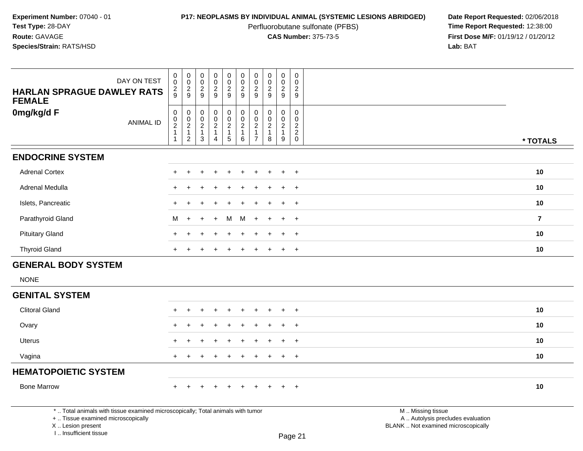Perfluorobutane sulfonate (PFBS)<br>**CAS Number:** 375-73-5

| DAY ON TEST<br><b>HARLAN SPRAGUE DAWLEY RATS</b><br><b>FEMALE</b>                                                                                                   | 0<br>$\pmb{0}$<br>$\frac{2}{9}$                    | $\mathbf 0$<br>$\frac{0}{2}$                                     | 0<br>0<br>$\overline{2}$<br>9             | $\mathbf 0$<br>$\ddot{\mathbf{0}}$<br>$\overline{c}$<br>$\overline{9}$ | $\pmb{0}$<br>$\overline{0}$<br>$\frac{2}{9}$                                          | $\begin{smallmatrix} 0\\0 \end{smallmatrix}$<br>$\frac{2}{9}$                       | $\mathbf 0$<br>$\overline{0}$<br>$\sqrt{2}$<br>9                                     | $\mathbf 0$<br>$\mathbf 0$<br>$\frac{2}{9}$   | $\begin{smallmatrix} 0\\0 \end{smallmatrix}$<br>$\frac{2}{9}$ | 0<br>$\mathbf 0$<br>$\sqrt{2}$<br>9              |                                                                                               |                |
|---------------------------------------------------------------------------------------------------------------------------------------------------------------------|----------------------------------------------------|------------------------------------------------------------------|-------------------------------------------|------------------------------------------------------------------------|---------------------------------------------------------------------------------------|-------------------------------------------------------------------------------------|--------------------------------------------------------------------------------------|-----------------------------------------------|---------------------------------------------------------------|--------------------------------------------------|-----------------------------------------------------------------------------------------------|----------------|
| 0mg/kg/d F<br><b>ANIMAL ID</b>                                                                                                                                      | $\pmb{0}$<br>$_{2}^{\rm 0}$<br>$\overline{1}$<br>1 | $\begin{matrix} 0 \\ 0 \\ 2 \\ 1 \end{matrix}$<br>$\overline{2}$ | 0<br>0<br>$\sqrt{2}$<br>$\mathbf{1}$<br>3 | $\pmb{0}$<br>$\mathbf 0$<br>$\frac{2}{1}$<br>$\overline{4}$            | $\pmb{0}$<br>$\ddot{\mathbf{0}}$<br>$\overline{2}$<br>$\mathbf{1}$<br>$5\phantom{.0}$ | $\begin{smallmatrix} 0\\0 \end{smallmatrix}$<br>$\overline{2}$<br>$\mathbf{1}$<br>6 | $\pmb{0}$<br>$\ddot{\mathbf{0}}$<br>$\overline{2}$<br>$\mathbf{1}$<br>$\overline{7}$ | 0<br>0<br>$\overline{c}$<br>$\mathbf{1}$<br>8 | $\pmb{0}$<br>$\mathbf 0$<br>$\frac{2}{1}$<br>9                | $\mathbf 0$<br>$\mathsf 0$<br>$\frac{2}{2}$<br>0 |                                                                                               | * TOTALS       |
| <b>ENDOCRINE SYSTEM</b>                                                                                                                                             |                                                    |                                                                  |                                           |                                                                        |                                                                                       |                                                                                     |                                                                                      |                                               |                                                               |                                                  |                                                                                               |                |
| <b>Adrenal Cortex</b>                                                                                                                                               | +                                                  | +                                                                | +                                         |                                                                        | $\ddot{}$                                                                             | $\ddot{}$                                                                           | $\ddot{}$                                                                            | +                                             | $\ddot{}$                                                     | $+$                                              |                                                                                               | 10             |
| <b>Adrenal Medulla</b>                                                                                                                                              |                                                    |                                                                  |                                           |                                                                        |                                                                                       |                                                                                     |                                                                                      |                                               |                                                               | $+$                                              |                                                                                               | 10             |
| Islets, Pancreatic                                                                                                                                                  | $\pm$                                              |                                                                  |                                           |                                                                        |                                                                                       |                                                                                     |                                                                                      |                                               |                                                               | $+$                                              |                                                                                               | 10             |
| Parathyroid Gland                                                                                                                                                   | м                                                  | $\overline{ }$                                                   |                                           |                                                                        | M                                                                                     | M                                                                                   | $\div$                                                                               |                                               |                                                               | $+$                                              |                                                                                               | $\overline{7}$ |
| <b>Pituitary Gland</b>                                                                                                                                              |                                                    |                                                                  |                                           |                                                                        |                                                                                       |                                                                                     |                                                                                      |                                               |                                                               | $\overline{+}$                                   |                                                                                               | 10             |
| <b>Thyroid Gland</b>                                                                                                                                                |                                                    |                                                                  |                                           |                                                                        |                                                                                       |                                                                                     |                                                                                      |                                               |                                                               | $\ddot{}$                                        |                                                                                               | 10             |
| <b>GENERAL BODY SYSTEM</b>                                                                                                                                          |                                                    |                                                                  |                                           |                                                                        |                                                                                       |                                                                                     |                                                                                      |                                               |                                                               |                                                  |                                                                                               |                |
| <b>NONE</b>                                                                                                                                                         |                                                    |                                                                  |                                           |                                                                        |                                                                                       |                                                                                     |                                                                                      |                                               |                                                               |                                                  |                                                                                               |                |
| <b>GENITAL SYSTEM</b>                                                                                                                                               |                                                    |                                                                  |                                           |                                                                        |                                                                                       |                                                                                     |                                                                                      |                                               |                                                               |                                                  |                                                                                               |                |
| <b>Clitoral Gland</b>                                                                                                                                               |                                                    |                                                                  |                                           |                                                                        |                                                                                       |                                                                                     |                                                                                      |                                               |                                                               | $\overline{ }$                                   |                                                                                               | 10             |
| Ovary                                                                                                                                                               |                                                    |                                                                  |                                           |                                                                        |                                                                                       |                                                                                     |                                                                                      |                                               |                                                               | $\overline{+}$                                   |                                                                                               | 10             |
| <b>Uterus</b>                                                                                                                                                       | $+$                                                |                                                                  |                                           |                                                                        |                                                                                       |                                                                                     |                                                                                      |                                               |                                                               | $+$                                              |                                                                                               | 10             |
| Vagina                                                                                                                                                              | $+$                                                | $\pm$                                                            |                                           |                                                                        |                                                                                       |                                                                                     | $\pm$                                                                                | $\ddot{}$                                     | $\ddot{}$                                                     | $+$                                              |                                                                                               | 10             |
| <b>HEMATOPOIETIC SYSTEM</b>                                                                                                                                         |                                                    |                                                                  |                                           |                                                                        |                                                                                       |                                                                                     |                                                                                      |                                               |                                                               |                                                  |                                                                                               |                |
| <b>Bone Marrow</b>                                                                                                                                                  | $+$                                                | ÷                                                                |                                           |                                                                        |                                                                                       |                                                                                     | ÷                                                                                    |                                               |                                                               | $+$                                              |                                                                                               | 10             |
| *  Total animals with tissue examined microscopically; Total animals with tumor<br>+  Tissue examined microscopically<br>X  Lesion present<br>I Insufficient tissue |                                                    |                                                                  |                                           |                                                                        |                                                                                       |                                                                                     |                                                                                      |                                               |                                                               | Page 21                                          | M  Missing tissue<br>A  Autolysis precludes evaluation<br>BLANK  Not examined microscopically |                |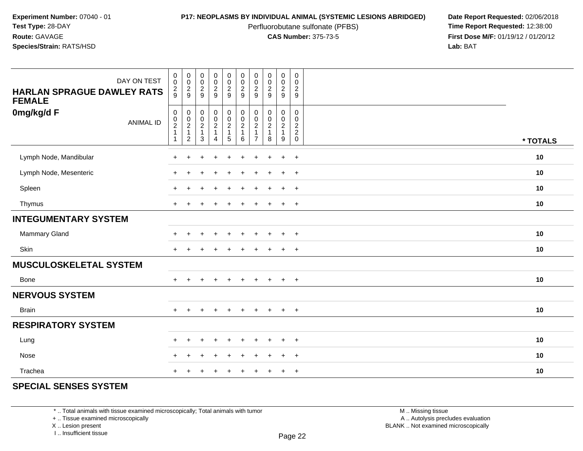Perfluorobutane sulfonate (PFBS)<br>**CAS Number:** 375-73-5

**P17: NEOPLASMS BY INDIVIDUAL ANIMAL (SYSTEMIC LESIONS ABRIDGED)** Date Report Requested: 02/06/2018<br>Perfluorobutane sulfonate (PFBS) **Time Report Requested:** 12:38:00 **First Dose M/F:** 01/19/12 / 01/20/12<br>**Lab:** BAT **Lab:** BAT

| DAY ON TEST<br><b>HARLAN SPRAGUE DAWLEY RATS</b><br><b>FEMALE</b> | $_{\rm 0}^{\rm 0}$<br>$\frac{2}{9}$                                               | $\begin{array}{c} 0 \\ 0 \\ 2 \\ 9 \end{array}$ | 00029                                                | $\begin{array}{c} 0 \\ 0 \\ 2 \\ 9 \end{array}$ | $\pmb{0}$<br>$\ddot{\mathbf{0}}$<br>$\frac{2}{9}$ | $\begin{array}{c} 0 \\ 0 \\ 2 \\ 9 \end{array}$ | $\pmb{0}$<br>$\pmb{0}$<br>$\frac{2}{9}$                                       | $\begin{array}{c} 0 \\ 0 \\ 2 \\ 9 \end{array}$                      | $_{\rm 0}^{\rm 0}$<br>$\frac{2}{9}$ | $\pmb{0}$<br>$\pmb{0}$<br>$\boldsymbol{2}$<br>$\boldsymbol{9}$              |          |
|-------------------------------------------------------------------|-----------------------------------------------------------------------------------|-------------------------------------------------|------------------------------------------------------|-------------------------------------------------|---------------------------------------------------|-------------------------------------------------|-------------------------------------------------------------------------------|----------------------------------------------------------------------|-------------------------------------|-----------------------------------------------------------------------------|----------|
| 0mg/kg/d F<br><b>ANIMAL ID</b>                                    | $\begin{smallmatrix} 0\\0\\2 \end{smallmatrix}$<br>$\mathbf{1}$<br>$\overline{1}$ | $\mathbf 0$<br>$\frac{0}{2}$<br>$\overline{2}$  | $\begin{array}{c} 0 \\ 0 \\ 2 \\ 1 \end{array}$<br>3 | $\pmb{0}$<br>$\frac{0}{2}$<br>4                 | $\pmb{0}$<br>$\frac{0}{2}$<br>5                   | $\mathbf 0$<br>$\frac{0}{2}$<br>1<br>6          | 0<br>$\pmb{0}$<br>$\overline{\mathbf{c}}$<br>$\overline{1}$<br>$\overline{7}$ | $\mathbf 0$<br>$\mathop{2}\limits^{\mathbb{O}}$<br>$\mathbf{1}$<br>8 | $\mathbf 0$<br>$\frac{0}{2}$<br>9   | $\pmb{0}$<br>$\mathbf 0$<br>$\boldsymbol{2}$<br>$\overline{2}$ <sub>0</sub> | * TOTALS |
| Lymph Node, Mandibular                                            |                                                                                   |                                                 |                                                      |                                                 |                                                   |                                                 |                                                                               |                                                                      | $\ddot{}$                           | $\ddot{}$                                                                   | 10       |
| Lymph Node, Mesenteric                                            | $\div$                                                                            |                                                 |                                                      |                                                 |                                                   |                                                 |                                                                               |                                                                      | $\pm$                               | $+$                                                                         | 10       |
| Spleen                                                            | $\pm$                                                                             | $\div$                                          |                                                      | $\ddot{}$                                       | ÷                                                 | $\ddot{}$                                       | $\div$                                                                        | $\overline{ }$                                                       | $+$                                 | $+$                                                                         | 10       |
| Thymus                                                            | $+$                                                                               | $\pm$                                           |                                                      | $\ddot{}$                                       |                                                   | $\ddot{}$                                       |                                                                               | $\overline{ }$                                                       | $+$                                 | $+$                                                                         | 10       |
| <b>INTEGUMENTARY SYSTEM</b>                                       |                                                                                   |                                                 |                                                      |                                                 |                                                   |                                                 |                                                                               |                                                                      |                                     |                                                                             |          |
| Mammary Gland                                                     | $\pm$                                                                             | $\div$                                          |                                                      | $\div$                                          |                                                   |                                                 |                                                                               |                                                                      | $\ddot{}$                           | $+$                                                                         | 10       |
| Skin                                                              | $+$                                                                               |                                                 |                                                      |                                                 |                                                   |                                                 |                                                                               |                                                                      | $\pm$                               | $+$                                                                         | 10       |
| <b>MUSCULOSKELETAL SYSTEM</b>                                     |                                                                                   |                                                 |                                                      |                                                 |                                                   |                                                 |                                                                               |                                                                      |                                     |                                                                             |          |
| <b>Bone</b>                                                       | $+$                                                                               | $+$                                             | $\pm$                                                | $+$                                             | $\ddot{}$                                         | $+$                                             | $+$                                                                           | $+$                                                                  | $+$                                 | $+$                                                                         | 10       |
| <b>NERVOUS SYSTEM</b>                                             |                                                                                   |                                                 |                                                      |                                                 |                                                   |                                                 |                                                                               |                                                                      |                                     |                                                                             |          |
| <b>Brain</b>                                                      | $+$                                                                               | $\ddot{}$                                       |                                                      | $\ddot{}$                                       | $\div$                                            | $+$                                             | $+$                                                                           | $+$                                                                  | $+$                                 | $+$                                                                         | 10       |
| <b>RESPIRATORY SYSTEM</b>                                         |                                                                                   |                                                 |                                                      |                                                 |                                                   |                                                 |                                                                               |                                                                      |                                     |                                                                             |          |
| Lung                                                              | $\ddot{}$                                                                         |                                                 |                                                      |                                                 |                                                   |                                                 |                                                                               |                                                                      | $\div$                              | $+$                                                                         | 10       |
| Nose                                                              | $\div$                                                                            |                                                 |                                                      |                                                 |                                                   |                                                 |                                                                               |                                                                      |                                     | $+$                                                                         | 10       |
| Trachea                                                           | $\pm$                                                                             |                                                 |                                                      |                                                 |                                                   |                                                 |                                                                               |                                                                      | ÷                                   | $+$                                                                         | 10       |

## **SPECIAL SENSES SYSTEM**

\* .. Total animals with tissue examined microscopically; Total animals with tumor

+ .. Tissue examined microscopically

X .. Lesion present

I .. Insufficient tissue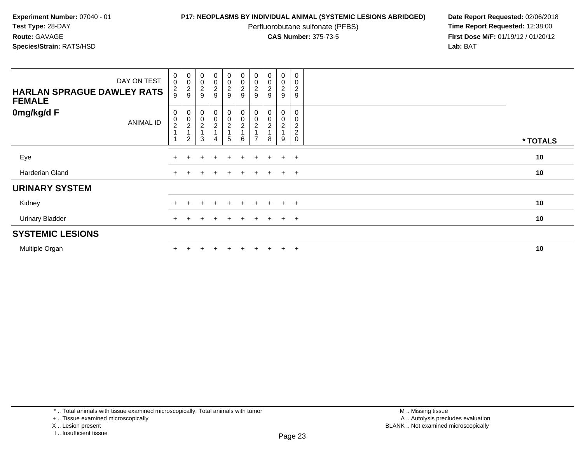Perfluorobutane sulfonate (PFBS)<br>**CAS Number:** 375-73-5

**P17: NEOPLASMS BY INDIVIDUAL ANIMAL (SYSTEMIC LESIONS ABRIDGED)** Date Report Requested: 02/06/2018<br>Perfluorobutane sulfonate (PFBS) **Time Report Requested:** 12:38:00 **First Dose M/F:** 01/19/12 / 01/20/12<br>**Lab:** BAT **Lab:** BAT

| DAY ON TEST<br><b>HARLAN SPRAGUE DAWLEY RATS</b><br><b>FEMALE</b> | $\begin{smallmatrix}0\\0\end{smallmatrix}$<br>$\frac{2}{9}$ | 00029                              | $_{\rm 0}^{\rm 0}$<br>$\overline{\mathbf{c}}$<br>9               | $\begin{array}{c} 0 \\ 0 \\ 2 \\ 9 \end{array}$      | $\begin{array}{c} 0 \\ 0 \\ 2 \\ 9 \end{array}$     | $\begin{array}{c} 0 \\ 0 \\ 2 \\ 9 \end{array}$ | 00029                                             | 0002                          | $\begin{smallmatrix} 0\\0 \end{smallmatrix}$<br>$\frac{2}{9}$ | $\pmb{0}$<br>$\mathbf 0$<br>$\overline{c}$<br>$9\,$ |          |
|-------------------------------------------------------------------|-------------------------------------------------------------|------------------------------------|------------------------------------------------------------------|------------------------------------------------------|-----------------------------------------------------|-------------------------------------------------|---------------------------------------------------|-------------------------------|---------------------------------------------------------------|-----------------------------------------------------|----------|
| 0mg/kg/d F<br>ANIMAL ID                                           | 0<br>$\frac{0}{2}$                                          | 0<br>0<br>2<br>1<br>$\overline{c}$ | $\begin{smallmatrix}0\\0\end{smallmatrix}$<br>$\frac{2}{1}$<br>3 | $\begin{array}{c} 0 \\ 0 \\ 2 \\ 4 \end{array}$<br>4 | $\begin{matrix} 0 \\ 0 \\ 2 \\ 1 \end{matrix}$<br>5 | $000$<br>$24$<br>$\,6\,$                        | 0<br>$\pmb{0}$<br>$\frac{2}{1}$<br>$\overline{ }$ | $_0^0$<br>$\overline{c}$<br>8 | 0<br>0<br>$\overline{\mathbf{c}}$<br>9                        | 0<br>0<br>$\frac{2}{2}$<br>$\mathsf 0$              | * TOTALS |
| Eye                                                               |                                                             |                                    |                                                                  |                                                      | $+$                                                 | $+$                                             | $\ddot{}$                                         | $+$                           | $+$                                                           | $+$                                                 | 10       |
| Harderian Gland                                                   | $+$                                                         |                                    | $\div$                                                           | $\pm$                                                | $+$                                                 | $+$                                             | $+$                                               | $+$                           | $+$ $+$                                                       |                                                     | 10       |
| <b>URINARY SYSTEM</b>                                             |                                                             |                                    |                                                                  |                                                      |                                                     |                                                 |                                                   |                               |                                                               |                                                     |          |
| Kidney                                                            |                                                             |                                    |                                                                  | $\ddot{}$                                            | $+$                                                 | $+$                                             | $+$                                               | $+$                           | $+$ $+$                                                       |                                                     | 10       |
| <b>Urinary Bladder</b>                                            | $\pm$                                                       |                                    |                                                                  | $\div$                                               | $+$                                                 | $+$                                             | $+$                                               | $+$                           | $+$                                                           | $+$                                                 | 10       |
| <b>SYSTEMIC LESIONS</b>                                           |                                                             |                                    |                                                                  |                                                      |                                                     |                                                 |                                                   |                               |                                                               |                                                     |          |
| Multiple Organ                                                    |                                                             |                                    |                                                                  |                                                      | $+$                                                 | $+$                                             | $\pm$                                             | $+$                           | $+$                                                           | $+$                                                 | 10       |

\* .. Total animals with tissue examined microscopically; Total animals with tumor

+ .. Tissue examined microscopically

X .. Lesion present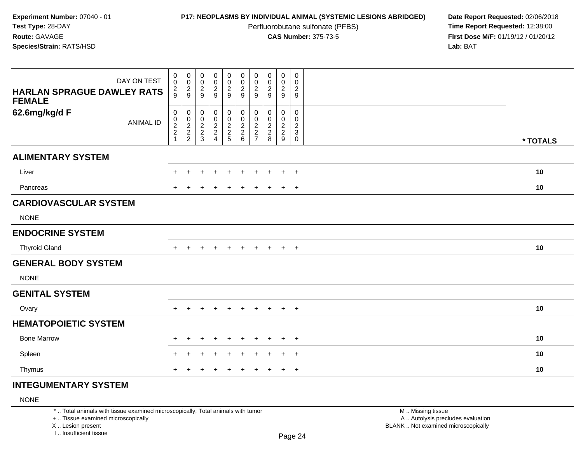Perfluorobutane sulfonate (PFBS)<br>**CAS Number:** 375-73-5

**P17: NEOPLASMS BY INDIVIDUAL ANIMAL (SYSTEMIC LESIONS ABRIDGED)** Date Report Requested: 02/06/2018<br>Perfluorobutane sulfonate (PFBS) **Time Report Requested:** 12:38:00 **First Dose M/F:** 01/19/12 / 01/20/12<br>**Lab:** BAT **Lab:** BAT

| DAY ON TEST                                        | $\pmb{0}$<br>$\mathbf 0$ | $\mathbf 0$<br>$\boldsymbol{0}$ | $\pmb{0}$<br>$\mathbf 0$        | $\pmb{0}$<br>$\frac{0}{2}$                                   | $\pmb{0}$<br>$\mathbf 0$                                      | $\pmb{0}$<br>$\pmb{0}$<br>$\overline{2}$                                       | 0<br>$\mathbf 0$<br>$\sqrt{2}$                                        | $\pmb{0}$<br>$\pmb{0}$                                       | $\mathbf 0$<br>$\mathbf 0$<br>$\overline{2}$ | $\mathsf{O}$<br>0<br>$\overline{\mathbf{c}}$              |          |
|----------------------------------------------------|--------------------------|---------------------------------|---------------------------------|--------------------------------------------------------------|---------------------------------------------------------------|--------------------------------------------------------------------------------|-----------------------------------------------------------------------|--------------------------------------------------------------|----------------------------------------------|-----------------------------------------------------------|----------|
| <b>HARLAN SPRAGUE DAWLEY RATS</b><br><b>FEMALE</b> | $\frac{2}{9}$            | $\frac{2}{9}$                   | $\frac{2}{9}$                   |                                                              | $\frac{2}{9}$                                                 | 9                                                                              | 9                                                                     | $\frac{2}{9}$                                                | 9                                            | 9                                                         |          |
| 62.6mg/kg/d F<br><b>ANIMAL ID</b>                  | 0<br>$\frac{0}{2}$<br>1  | 0<br>$\pmb{0}$<br>$\frac{2}{2}$ | 0<br>$\pmb{0}$<br>$\frac{2}{3}$ | 0<br>$\pmb{0}$<br>$\begin{array}{c} 2 \\ 2 \\ 4 \end{array}$ | $\begin{smallmatrix} 0\\0 \end{smallmatrix}$<br>$\frac{2}{2}$ | $\pmb{0}$<br>$\ddot{\mathbf{0}}$<br>$\begin{array}{c} 2 \\ 2 \\ 6 \end{array}$ | 0<br>0<br>$\overline{c}$<br>$\overline{\mathbf{c}}$<br>$\overline{7}$ | 0<br>$\pmb{0}$<br>$\begin{array}{c} 2 \\ 2 \\ 8 \end{array}$ | 0<br>$\mathsf{O}\xspace$<br>$\frac{2}{2}$    | 0<br>0<br>$\begin{smallmatrix} 2\\3\\0 \end{smallmatrix}$ | * TOTALS |
| <b>ALIMENTARY SYSTEM</b>                           |                          |                                 |                                 |                                                              |                                                               |                                                                                |                                                                       |                                                              |                                              |                                                           |          |
| Liver                                              |                          |                                 |                                 |                                                              |                                                               |                                                                                |                                                                       |                                                              | $\ddot{}$                                    | $+$                                                       | 10       |
| Pancreas                                           |                          |                                 |                                 |                                                              |                                                               |                                                                                |                                                                       |                                                              | $\ddot{}$                                    | $+$                                                       | 10       |
| <b>CARDIOVASCULAR SYSTEM</b>                       |                          |                                 |                                 |                                                              |                                                               |                                                                                |                                                                       |                                                              |                                              |                                                           |          |
| <b>NONE</b>                                        |                          |                                 |                                 |                                                              |                                                               |                                                                                |                                                                       |                                                              |                                              |                                                           |          |
| <b>ENDOCRINE SYSTEM</b>                            |                          |                                 |                                 |                                                              |                                                               |                                                                                |                                                                       |                                                              |                                              |                                                           |          |
| <b>Thyroid Gland</b>                               | $+$                      |                                 |                                 | $\pm$                                                        | $\pm$                                                         | $\pm$                                                                          | $\pm$                                                                 | $+$                                                          | $+$                                          | $+$                                                       | 10       |
| <b>GENERAL BODY SYSTEM</b>                         |                          |                                 |                                 |                                                              |                                                               |                                                                                |                                                                       |                                                              |                                              |                                                           |          |
| <b>NONE</b>                                        |                          |                                 |                                 |                                                              |                                                               |                                                                                |                                                                       |                                                              |                                              |                                                           |          |
| <b>GENITAL SYSTEM</b>                              |                          |                                 |                                 |                                                              |                                                               |                                                                                |                                                                       |                                                              |                                              |                                                           |          |
| Ovary                                              |                          |                                 |                                 | +                                                            | ÷                                                             |                                                                                | ÷                                                                     |                                                              | $+$                                          | $+$                                                       | 10       |
| <b>HEMATOPOIETIC SYSTEM</b>                        |                          |                                 |                                 |                                                              |                                                               |                                                                                |                                                                       |                                                              |                                              |                                                           |          |
| <b>Bone Marrow</b>                                 |                          |                                 |                                 |                                                              |                                                               |                                                                                |                                                                       |                                                              | $\ddot{}$                                    | $+$                                                       | 10       |
| Spleen                                             |                          |                                 |                                 |                                                              |                                                               |                                                                                |                                                                       |                                                              | $\div$                                       | $\overline{+}$                                            | 10       |
| Thymus                                             |                          |                                 |                                 |                                                              |                                                               |                                                                                |                                                                       |                                                              | $\pm$                                        | $+$                                                       | 10       |

# **INTEGUMENTARY SYSTEM**

## NONE

\* .. Total animals with tissue examined microscopically; Total animals with tumor

+ .. Tissue examined microscopically

X .. Lesion present

I .. Insufficient tissue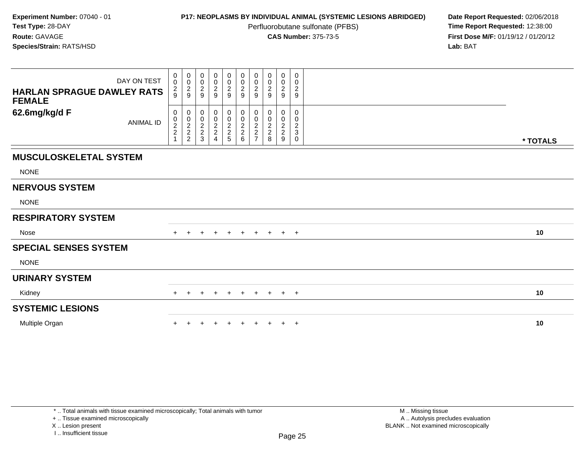Perfluorobutane sulfonate (PFBS)<br>**CAS Number:** 375-73-5

**P17: NEOPLASMS BY INDIVIDUAL ANIMAL (SYSTEMIC LESIONS ABRIDGED)** Date Report Requested: 02/06/2018<br>Perfluorobutane sulfonate (PFBS) **Time Report Requested:** 12:38:00 **First Dose M/F:** 01/19/12 / 01/20/12<br>**Lab:** BAT **Lab:** BAT

| DAY ON TEST<br><b>HARLAN SPRAGUE DAWLEY RATS</b><br><b>FEMALE</b> | $\mathbf 0$<br>$\pmb{0}$<br>$\frac{2}{9}$ | $\mathbf 0$<br>$\pmb{0}$<br>$\frac{2}{9}$         | 0<br>$\pmb{0}$<br>$\frac{2}{9}$ | $_0^0$<br>$\frac{2}{9}$                              | 0<br>$\pmb{0}$<br>$\frac{2}{9}$      | $0000$<br>$29$                    | 0<br>$\mathbf 0$<br>$\overline{c}$<br>9           | 0<br>0<br>$\overline{\mathbf{c}}$<br>9          | 0<br>$\mathbf 0$<br>$\frac{2}{9}$ | 0<br>0<br>$\overline{2}$<br>$\mathsf g$       |          |
|-------------------------------------------------------------------|-------------------------------------------|---------------------------------------------------|---------------------------------|------------------------------------------------------|--------------------------------------|-----------------------------------|---------------------------------------------------|-------------------------------------------------|-----------------------------------|-----------------------------------------------|----------|
| 62.6mg/kg/d F<br><b>ANIMAL ID</b>                                 | 0<br>$\pmb{0}$<br>$\frac{2}{2}$           | 0<br>$\pmb{0}$<br>$\frac{2}{2}$<br>$\overline{c}$ | 0<br>$\pmb{0}$<br>$\frac{2}{3}$ | 0<br>$\begin{array}{c} 0 \\ 2 \\ 2 \end{array}$<br>4 | 0<br>$\pmb{0}$<br>$\frac{2}{2}$<br>5 | 0<br>$\pmb{0}$<br>$\frac{2}{2}$ 6 | 0<br>0<br>$\boldsymbol{2}$<br>2<br>$\overline{ }$ | 0<br>0<br>$\overline{c}$<br>$\overline{c}$<br>8 | 0<br>0<br>$\frac{2}{2}$<br>$9\,$  | 0<br>0<br>$\boldsymbol{2}$<br>$\sqrt{3}$<br>0 | * TOTALS |
| <b>MUSCULOSKELETAL SYSTEM</b>                                     |                                           |                                                   |                                 |                                                      |                                      |                                   |                                                   |                                                 |                                   |                                               |          |
| <b>NONE</b>                                                       |                                           |                                                   |                                 |                                                      |                                      |                                   |                                                   |                                                 |                                   |                                               |          |
| <b>NERVOUS SYSTEM</b>                                             |                                           |                                                   |                                 |                                                      |                                      |                                   |                                                   |                                                 |                                   |                                               |          |
| <b>NONE</b>                                                       |                                           |                                                   |                                 |                                                      |                                      |                                   |                                                   |                                                 |                                   |                                               |          |
| <b>RESPIRATORY SYSTEM</b>                                         |                                           |                                                   |                                 |                                                      |                                      |                                   |                                                   |                                                 |                                   |                                               |          |
| Nose                                                              |                                           |                                                   |                                 | $\pm$                                                | $+$                                  | $+$                               | $+$                                               |                                                 | $+$ $+$ $+$                       |                                               | 10       |
| <b>SPECIAL SENSES SYSTEM</b>                                      |                                           |                                                   |                                 |                                                      |                                      |                                   |                                                   |                                                 |                                   |                                               |          |
| <b>NONE</b>                                                       |                                           |                                                   |                                 |                                                      |                                      |                                   |                                                   |                                                 |                                   |                                               |          |
| <b>URINARY SYSTEM</b>                                             |                                           |                                                   |                                 |                                                      |                                      |                                   |                                                   |                                                 |                                   |                                               |          |
| Kidney                                                            | $+$                                       | $\pm$                                             | $\pm$                           | $+$                                                  | $+$                                  | $+$                               | $+$                                               | $+$                                             | $+$                               | $+$                                           | 10       |
| <b>SYSTEMIC LESIONS</b>                                           |                                           |                                                   |                                 |                                                      |                                      |                                   |                                                   |                                                 |                                   |                                               |          |
| Multiple Organ                                                    |                                           |                                                   |                                 |                                                      |                                      |                                   |                                                   |                                                 | $\ddot{}$                         | $+$                                           | 10       |

+ .. Tissue examined microscopically

X .. Lesion present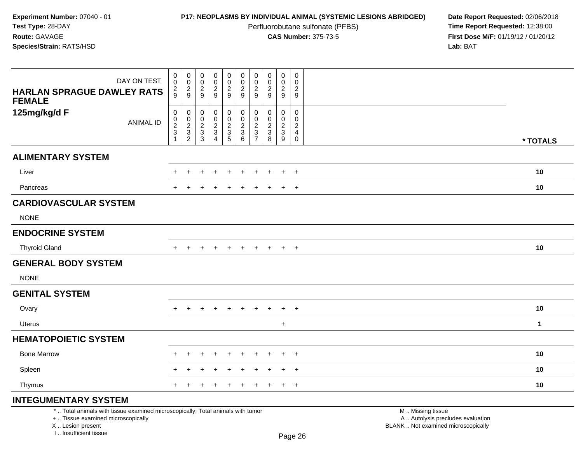Perfluorobutane sulfonate (PFBS)<br>**CAS Number:** 375-73-5

**P17: NEOPLASMS BY INDIVIDUAL ANIMAL (SYSTEMIC LESIONS ABRIDGED)** Date Report Requested: 02/06/2018<br>Perfluorobutane sulfonate (PFBS) **Time Report Requested:** 12:38:00 **First Dose M/F:** 01/19/12 / 01/20/12<br>**Lab:** BAT **Lab:** BAT

| DAY ON TEST<br><b>HARLAN SPRAGUE DAWLEY RATS</b><br><b>FEMALE</b> | $\begin{smallmatrix} 0\\0 \end{smallmatrix}$<br>$\frac{2}{9}$           | $\begin{smallmatrix} 0\\0 \end{smallmatrix}$<br>$\frac{2}{9}$ | $_{\rm 0}^{\rm 0}$<br>$\frac{2}{9}$                                | $\begin{smallmatrix} 0\\0 \end{smallmatrix}$<br>$\frac{2}{9}$ | $\begin{smallmatrix}0\0\0\end{smallmatrix}$<br>$\frac{2}{9}$ | $\begin{matrix} 0 \\ 0 \\ 2 \\ 9 \end{matrix}$ | 0<br>$\mathbf 0$<br>$\overline{2}$<br>$9\,$                          | 0<br>$\mathbf 0$<br>$\overline{2}$<br>$\overline{9}$ | 0<br>$\mathsf{O}\xspace$<br>$\overline{a}$<br>9 | 0<br>$\mathbf 0$<br>$\overline{2}$<br>$9\,$                                     |             |
|-------------------------------------------------------------------|-------------------------------------------------------------------------|---------------------------------------------------------------|--------------------------------------------------------------------|---------------------------------------------------------------|--------------------------------------------------------------|------------------------------------------------|----------------------------------------------------------------------|------------------------------------------------------|-------------------------------------------------|---------------------------------------------------------------------------------|-------------|
| 125mg/kg/d F<br><b>ANIMAL ID</b>                                  | $\pmb{0}$<br>$\begin{array}{c} 0 \\ 2 \\ 3 \end{array}$<br>$\mathbf{1}$ | 0<br>$_{2}^{\rm 0}$<br>$\mathbf{3}$<br>$\overline{c}$         | 0<br>$\pmb{0}$<br>$\overline{2}$<br>$\ensuremath{\mathsf{3}}$<br>3 | 0<br>$\pmb{0}$<br>$\frac{2}{3}$<br>$\overline{4}$             | 0<br>$\mathsf{O}\xspace$<br>$\overline{2}$<br>$\frac{3}{5}$  | 0<br>$\overline{0}$<br>$\frac{2}{3}$           | 0<br>$\mathbf 0$<br>$\boldsymbol{2}$<br>$\sqrt{3}$<br>$\overline{7}$ | 0<br>$\mathbf 0$<br>$\sqrt{2}$<br>$\sqrt{3}$<br>8    | 0<br>0<br>$\overline{c}$<br>$\mathbf{3}$<br>9   | $\mathbf 0$<br>$\mathbf 0$<br>$\boldsymbol{2}$<br>$\overline{4}$<br>$\mathbf 0$ | * TOTALS    |
| <b>ALIMENTARY SYSTEM</b>                                          |                                                                         |                                                               |                                                                    |                                                               |                                                              |                                                |                                                                      |                                                      |                                                 |                                                                                 |             |
| Liver                                                             |                                                                         | ÷                                                             |                                                                    | $\div$                                                        | $\ddot{}$                                                    | $\pm$                                          | $\pm$                                                                | ÷                                                    | $\ddot{}$                                       | $+$                                                                             | 10          |
| Pancreas                                                          |                                                                         |                                                               |                                                                    |                                                               | $\ddot{}$                                                    |                                                | +                                                                    |                                                      | $\ddot{}$                                       | $\ddot{}$                                                                       | $10$        |
| <b>CARDIOVASCULAR SYSTEM</b>                                      |                                                                         |                                                               |                                                                    |                                                               |                                                              |                                                |                                                                      |                                                      |                                                 |                                                                                 |             |
| <b>NONE</b>                                                       |                                                                         |                                                               |                                                                    |                                                               |                                                              |                                                |                                                                      |                                                      |                                                 |                                                                                 |             |
| <b>ENDOCRINE SYSTEM</b>                                           |                                                                         |                                                               |                                                                    |                                                               |                                                              |                                                |                                                                      |                                                      |                                                 |                                                                                 |             |
| <b>Thyroid Gland</b>                                              | $+$                                                                     | $\ddot{}$                                                     | $+$                                                                | $+$                                                           | $+$                                                          | $+$                                            | $+$                                                                  | $+$                                                  | $+$                                             | $+$                                                                             | 10          |
| <b>GENERAL BODY SYSTEM</b>                                        |                                                                         |                                                               |                                                                    |                                                               |                                                              |                                                |                                                                      |                                                      |                                                 |                                                                                 |             |
| <b>NONE</b>                                                       |                                                                         |                                                               |                                                                    |                                                               |                                                              |                                                |                                                                      |                                                      |                                                 |                                                                                 |             |
| <b>GENITAL SYSTEM</b>                                             |                                                                         |                                                               |                                                                    |                                                               |                                                              |                                                |                                                                      |                                                      |                                                 |                                                                                 |             |
| Ovary                                                             | $+$                                                                     | $\overline{+}$                                                | $\ddot{}$                                                          | $+$                                                           | $+$                                                          | $+$                                            | $\ddot{}$                                                            | $\ddot{}$                                            | $\ddot{}$                                       | $+$                                                                             | $10$        |
| Uterus                                                            |                                                                         |                                                               |                                                                    |                                                               |                                                              |                                                |                                                                      |                                                      | $\ddot{}$                                       |                                                                                 | $\mathbf 1$ |
| <b>HEMATOPOIETIC SYSTEM</b>                                       |                                                                         |                                                               |                                                                    |                                                               |                                                              |                                                |                                                                      |                                                      |                                                 |                                                                                 |             |
| <b>Bone Marrow</b>                                                |                                                                         | ÷                                                             |                                                                    | $\div$                                                        | $\ddot{}$                                                    |                                                |                                                                      |                                                      | $\ddot{}$                                       | $+$                                                                             | 10          |
| Spleen                                                            |                                                                         |                                                               |                                                                    |                                                               |                                                              |                                                |                                                                      |                                                      | ÷                                               | $\ddot{}$                                                                       | 10          |
| Thymus                                                            | $\pm$                                                                   |                                                               |                                                                    | ÷                                                             | ÷                                                            |                                                | $\pm$                                                                |                                                      | $\ddot{}$                                       | $+$                                                                             | 10          |
| INITEOUMENTADV CVCTEM                                             |                                                                         |                                                               |                                                                    |                                                               |                                                              |                                                |                                                                      |                                                      |                                                 |                                                                                 |             |

## **INTEGUMENTARY SYSTEM**

\* .. Total animals with tissue examined microscopically; Total animals with tumor

+ .. Tissue examined microscopically

X .. Lesion present

I .. Insufficient tissue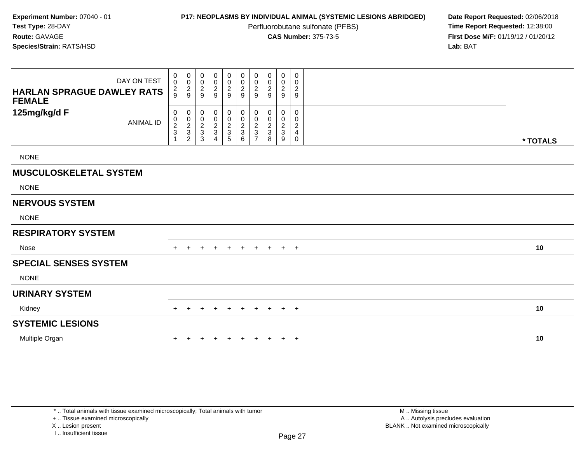Perfluorobutane sulfonate (PFBS)<br>**CAS Number:** 375-73-5

**P17: NEOPLASMS BY INDIVIDUAL ANIMAL (SYSTEMIC LESIONS ABRIDGED)** Date Report Requested: 02/06/2018<br>Perfluorobutane sulfonate (PFBS) **Time Report Requested:** 12:38:00 **First Dose M/F:** 01/19/12 / 01/20/12<br>**Lab:** BAT **Lab:** BAT

| DAY ON TEST<br><b>HARLAN SPRAGUE DAWLEY RATS</b><br><b>FEMALE</b> | $\boldsymbol{0}$<br>$\mathsf 0$<br>$\frac{2}{9}$ | 0<br>$\pmb{0}$<br>$\frac{2}{9}$                   | $\boldsymbol{0}$<br>$\pmb{0}$<br>$\overline{c}$<br>9                        | 0<br>$\mathbf 0$<br>$\frac{2}{9}$ | 0<br>$\mathbf 0$<br>$\overline{2}$<br>$9\,$ | $\boldsymbol{0}$<br>$\pmb{0}$<br>$\boldsymbol{2}$<br>$\boldsymbol{9}$ | $\mathbf 0$<br>$\mathbf 0$<br>$\sqrt{2}$<br>9 | 0<br>$\pmb{0}$<br>$\frac{2}{9}$ | 0<br>$\mathsf{O}$<br>$\frac{2}{9}$                                  | 0<br>$\mathbf 0$<br>$\sqrt{2}$<br>$\boldsymbol{9}$              |          |
|-------------------------------------------------------------------|--------------------------------------------------|---------------------------------------------------|-----------------------------------------------------------------------------|-----------------------------------|---------------------------------------------|-----------------------------------------------------------------------|-----------------------------------------------|---------------------------------|---------------------------------------------------------------------|-----------------------------------------------------------------|----------|
| 125mg/kg/d F<br><b>ANIMAL ID</b>                                  | 0<br>$\pmb{0}$<br>$\frac{2}{3}$                  | 0<br>$\pmb{0}$<br>$\frac{2}{3}$<br>$\overline{c}$ | 0<br>$\pmb{0}$<br>$\overline{\mathbf{c}}$<br>$\ensuremath{\mathsf{3}}$<br>3 | 0<br>0<br>$\frac{2}{3}$<br>4      | 0<br>$\pmb{0}$<br>$\frac{2}{3}$<br>5        | 0<br>$\pmb{0}$<br>$\sqrt{2}$<br>$\sqrt{3}$<br>6                       | 0<br>0<br>$\overline{c}$<br>$\mathbf{3}$      | 0<br>0<br>2<br>3<br>8           | 0<br>0<br>$\overline{\mathbf{c}}$<br>$\ensuremath{\mathsf{3}}$<br>9 | $\mathbf 0$<br>0<br>$\overline{\mathbf{c}}$<br>4<br>$\mathbf 0$ | * TOTALS |
| <b>NONE</b>                                                       |                                                  |                                                   |                                                                             |                                   |                                             |                                                                       |                                               |                                 |                                                                     |                                                                 |          |
| <b>MUSCULOSKELETAL SYSTEM</b>                                     |                                                  |                                                   |                                                                             |                                   |                                             |                                                                       |                                               |                                 |                                                                     |                                                                 |          |
| <b>NONE</b>                                                       |                                                  |                                                   |                                                                             |                                   |                                             |                                                                       |                                               |                                 |                                                                     |                                                                 |          |
| <b>NERVOUS SYSTEM</b>                                             |                                                  |                                                   |                                                                             |                                   |                                             |                                                                       |                                               |                                 |                                                                     |                                                                 |          |
| <b>NONE</b>                                                       |                                                  |                                                   |                                                                             |                                   |                                             |                                                                       |                                               |                                 |                                                                     |                                                                 |          |
| <b>RESPIRATORY SYSTEM</b>                                         |                                                  |                                                   |                                                                             |                                   |                                             |                                                                       |                                               |                                 |                                                                     |                                                                 |          |
| Nose                                                              |                                                  |                                                   |                                                                             | $\pm$                             | $\pm$                                       | $\pm$                                                                 | $+$                                           | $\pm$                           | $+$                                                                 | $+$                                                             | 10       |
| <b>SPECIAL SENSES SYSTEM</b>                                      |                                                  |                                                   |                                                                             |                                   |                                             |                                                                       |                                               |                                 |                                                                     |                                                                 |          |
| <b>NONE</b>                                                       |                                                  |                                                   |                                                                             |                                   |                                             |                                                                       |                                               |                                 |                                                                     |                                                                 |          |
| <b>URINARY SYSTEM</b>                                             |                                                  |                                                   |                                                                             |                                   |                                             |                                                                       |                                               |                                 |                                                                     |                                                                 |          |
| Kidney                                                            | $+$                                              |                                                   |                                                                             |                                   | $\pm$                                       | $\ddot{}$                                                             | $+$                                           | $+$                             | $+$                                                                 | $+$                                                             | 10       |
| <b>SYSTEMIC LESIONS</b>                                           |                                                  |                                                   |                                                                             |                                   |                                             |                                                                       |                                               |                                 |                                                                     |                                                                 |          |
| Multiple Organ                                                    | $\div$                                           |                                                   |                                                                             | ٠                                 | $\ddot{}$                                   |                                                                       |                                               | +                               | $\ddot{}$                                                           | $+$                                                             | 10       |

+ .. Tissue examined microscopically

X .. Lesion present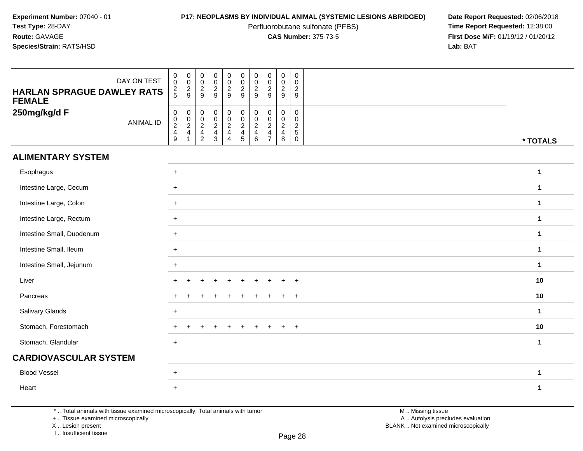Perfluorobutane sulfonate (PFBS)<br>**CAS Number:** 375-73-5

**P17: NEOPLASMS BY INDIVIDUAL ANIMAL (SYSTEMIC LESIONS ABRIDGED)** Date Report Requested: 02/06/2018<br>Perfluorobutane sulfonate (PFBS) **Time Report Requested:** 12:38:00 **First Dose M/F:** 01/19/12 / 01/20/12<br>**Lab:** BAT **Lab:** BAT

| DAY ON TEST<br><b>HARLAN SPRAGUE DAWLEY RATS</b><br><b>FEMALE</b> | $_{\rm 0}^{\rm 0}$<br>$rac{2}{5}$     | $\begin{array}{c} 0 \\ 0 \\ 2 \\ 9 \end{array}$                            | $_{\rm 0}^{\rm 0}$<br>$\frac{2}{9}$                          | $\begin{smallmatrix} 0\\0 \end{smallmatrix}$<br>$\frac{2}{9}$  | $\begin{array}{c} 0 \\ 0 \\ 2 \\ 9 \end{array}$                   | $_{\rm 0}^{\rm 0}$<br>$\frac{2}{9}$                             | $\mathbf 0$<br>$\pmb{0}$<br>$\frac{2}{9}$                                      | $\begin{array}{c} 0 \\ 0 \\ 2 \\ 9 \end{array}$                | $\pmb{0}$<br>$\mathsf 0$<br>$\frac{2}{9}$                           | $\boldsymbol{0}$<br>$\mathbf 0$<br>$\overline{c}$<br>9                  |              |
|-------------------------------------------------------------------|---------------------------------------|----------------------------------------------------------------------------|--------------------------------------------------------------|----------------------------------------------------------------|-------------------------------------------------------------------|-----------------------------------------------------------------|--------------------------------------------------------------------------------|----------------------------------------------------------------|---------------------------------------------------------------------|-------------------------------------------------------------------------|--------------|
| 250mg/kg/d F<br><b>ANIMAL ID</b>                                  | $\pmb{0}$<br>$0$<br>$2$<br>$4$<br>$9$ | $\begin{array}{c} 0 \\ 0 \\ 2 \\ 4 \end{array}$<br>$\overline{\mathbf{1}}$ | $\pmb{0}$<br>$\begin{array}{c} 0 \\ 2 \\ 4 \\ 2 \end{array}$ | $\mathbf 0$<br>$\begin{array}{c} 0 \\ 2 \\ 4 \\ 3 \end{array}$ | $\begin{array}{c} 0 \\ 0 \\ 2 \\ 4 \end{array}$<br>$\overline{4}$ | $\pmb{0}$<br>$\frac{0}{2}$<br>$\overline{4}$<br>$5\phantom{.0}$ | 0<br>$\mathsf{O}\xspace$<br>$\overline{2}$<br>$\overline{4}$<br>$6\phantom{1}$ | $\pmb{0}$<br>$\frac{0}{2}$<br>$\overline{4}$<br>$\overline{7}$ | $\mathsf{O}$<br>$\frac{0}{2}$<br>$\overline{\mathbf{4}}$<br>$\,8\,$ | $\pmb{0}$<br>$\mathbf 0$<br>$\overline{c}$<br>$\sqrt{5}$<br>$\mathbf 0$ | * TOTALS     |
| <b>ALIMENTARY SYSTEM</b>                                          |                                       |                                                                            |                                                              |                                                                |                                                                   |                                                                 |                                                                                |                                                                |                                                                     |                                                                         |              |
| Esophagus                                                         | $+$                                   |                                                                            |                                                              |                                                                |                                                                   |                                                                 |                                                                                |                                                                |                                                                     |                                                                         | $\mathbf{1}$ |
| Intestine Large, Cecum                                            | $+$                                   |                                                                            |                                                              |                                                                |                                                                   |                                                                 |                                                                                |                                                                |                                                                     |                                                                         | $\mathbf{1}$ |
| Intestine Large, Colon                                            | $+$                                   |                                                                            |                                                              |                                                                |                                                                   |                                                                 |                                                                                |                                                                |                                                                     |                                                                         | $\mathbf{1}$ |
| Intestine Large, Rectum                                           | $+$                                   |                                                                            |                                                              |                                                                |                                                                   |                                                                 |                                                                                |                                                                |                                                                     |                                                                         | $\mathbf{1}$ |
| Intestine Small, Duodenum                                         | $+$                                   |                                                                            |                                                              |                                                                |                                                                   |                                                                 |                                                                                |                                                                |                                                                     |                                                                         | $\mathbf{1}$ |
| Intestine Small, Ileum                                            | $\ddot{}$                             |                                                                            |                                                              |                                                                |                                                                   |                                                                 |                                                                                |                                                                |                                                                     |                                                                         | $\mathbf 1$  |
| Intestine Small, Jejunum                                          | $+$                                   |                                                                            |                                                              |                                                                |                                                                   |                                                                 |                                                                                |                                                                |                                                                     |                                                                         | $\mathbf 1$  |
| Liver                                                             |                                       |                                                                            |                                                              |                                                                |                                                                   |                                                                 |                                                                                |                                                                | ÷                                                                   | $\ddot{}$                                                               | 10           |
| Pancreas                                                          |                                       |                                                                            |                                                              |                                                                |                                                                   |                                                                 |                                                                                |                                                                |                                                                     | $\ddot{}$                                                               | 10           |
| Salivary Glands                                                   | $+$                                   |                                                                            |                                                              |                                                                |                                                                   |                                                                 |                                                                                |                                                                |                                                                     |                                                                         | $\mathbf{1}$ |
| Stomach, Forestomach                                              | $\ddot{}$                             | +                                                                          | ÷                                                            | $\overline{+}$                                                 | $\ddot{}$                                                         | $\pm$                                                           | $\pm$                                                                          | $\pm$                                                          | $+$                                                                 | $+$                                                                     | 10           |
| Stomach, Glandular                                                | $+$                                   |                                                                            |                                                              |                                                                |                                                                   |                                                                 |                                                                                |                                                                |                                                                     |                                                                         | $\mathbf{1}$ |
| <b>CARDIOVASCULAR SYSTEM</b>                                      |                                       |                                                                            |                                                              |                                                                |                                                                   |                                                                 |                                                                                |                                                                |                                                                     |                                                                         |              |
| <b>Blood Vessel</b>                                               | $\ddot{}$                             |                                                                            |                                                              |                                                                |                                                                   |                                                                 |                                                                                |                                                                |                                                                     |                                                                         | 1            |
| Heart                                                             | $\ddot{}$                             |                                                                            |                                                              |                                                                |                                                                   |                                                                 |                                                                                |                                                                |                                                                     |                                                                         | $\mathbf{1}$ |

\* .. Total animals with tissue examined microscopically; Total animals with tumor

+ .. Tissue examined microscopically

X .. Lesion present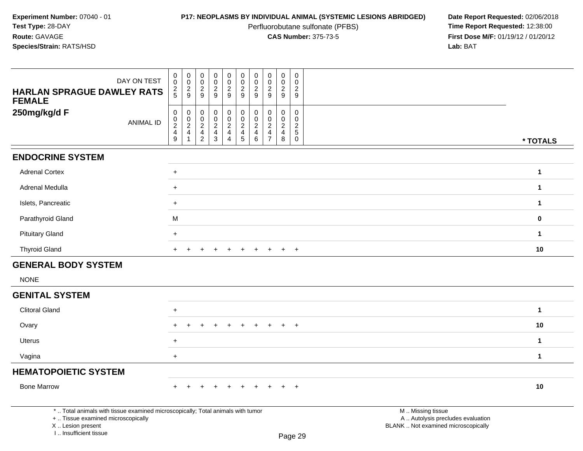Perfluorobutane sulfonate (PFBS)<br>**CAS Number:** 375-73-5

| DAY ON TEST<br><b>HARLAN SPRAGUE DAWLEY RATS</b><br><b>FEMALE</b>                                                                                                   | $\mathbf 0$<br>$\mathbf 0$<br>$\frac{2}{5}$                    | $\pmb{0}$<br>$\overline{0}$<br>$\frac{2}{9}$                     | $\pmb{0}$<br>$\,0\,$<br>$\overline{c}$<br>9                 | $\pmb{0}$<br>$\mathbf 0$<br>$\sqrt{2}$<br>9                   | $\pmb{0}$<br>$\frac{0}{2}$          | $\mathsf 0$<br>$\mathsf{O}\xspace$<br>$\overline{2}$<br>9 | $\pmb{0}$<br>$\pmb{0}$<br>$\sqrt{2}$<br>9                              | $\mathsf 0$<br>$\mathsf{O}\xspace$<br>$\frac{2}{9}$           | $\pmb{0}$<br>$\mathbf 0$<br>$\sqrt{2}$<br>9           | $\pmb{0}$<br>$\mathbf 0$<br>$\overline{c}$<br>9                  |                                                                                               |              |
|---------------------------------------------------------------------------------------------------------------------------------------------------------------------|----------------------------------------------------------------|------------------------------------------------------------------|-------------------------------------------------------------|---------------------------------------------------------------|-------------------------------------|-----------------------------------------------------------|------------------------------------------------------------------------|---------------------------------------------------------------|-------------------------------------------------------|------------------------------------------------------------------|-----------------------------------------------------------------------------------------------|--------------|
| 250mg/kg/d F<br><b>ANIMAL ID</b>                                                                                                                                    | $\mathbf 0$<br>$\begin{array}{c} 0 \\ 2 \\ 4 \\ 9 \end{array}$ | $\begin{matrix} 0 \\ 0 \\ 2 \\ 4 \end{matrix}$<br>$\overline{1}$ | $\pmb{0}$<br>$\mathbf 0$<br>$\overline{c}$<br>$\frac{4}{2}$ | $\mathbf 0$<br>$\mathbf 0$<br>$\overline{c}$<br>$\frac{4}{3}$ | $_{\rm 0}^{\rm 0}$<br>$\frac{2}{4}$ | 000245                                                    | $\pmb{0}$<br>$\overline{0}$<br>$\sqrt{2}$<br>$\overline{4}$<br>$\,6\,$ | $\mathbf 0$<br>$\mathbf 0$<br>$\frac{2}{4}$<br>$\overline{7}$ | $\mathbf 0$<br>$\mathbf 0$<br>$\frac{2}{4}$<br>$\bf8$ | $\pmb{0}$<br>$\mathbf 0$<br>$\frac{2}{5}$<br>$\ddot{\mathbf{0}}$ |                                                                                               | * TOTALS     |
| <b>ENDOCRINE SYSTEM</b>                                                                                                                                             |                                                                |                                                                  |                                                             |                                                               |                                     |                                                           |                                                                        |                                                               |                                                       |                                                                  |                                                                                               |              |
| <b>Adrenal Cortex</b>                                                                                                                                               | $+$                                                            |                                                                  |                                                             |                                                               |                                     |                                                           |                                                                        |                                                               |                                                       |                                                                  |                                                                                               | $\mathbf{1}$ |
| Adrenal Medulla                                                                                                                                                     | $+$                                                            |                                                                  |                                                             |                                                               |                                     |                                                           |                                                                        |                                                               |                                                       |                                                                  |                                                                                               | $\mathbf{1}$ |
| Islets, Pancreatic                                                                                                                                                  | $+$                                                            |                                                                  |                                                             |                                                               |                                     |                                                           |                                                                        |                                                               |                                                       |                                                                  |                                                                                               | $\mathbf{1}$ |
| Parathyroid Gland                                                                                                                                                   | M                                                              |                                                                  |                                                             |                                                               |                                     |                                                           |                                                                        |                                                               |                                                       |                                                                  |                                                                                               | $\mathbf 0$  |
| <b>Pituitary Gland</b>                                                                                                                                              | $\ddot{}$                                                      |                                                                  |                                                             |                                                               |                                     |                                                           |                                                                        |                                                               |                                                       |                                                                  |                                                                                               | $\mathbf{1}$ |
| <b>Thyroid Gland</b>                                                                                                                                                | +                                                              |                                                                  |                                                             |                                                               |                                     |                                                           | $\pm$                                                                  | $\pm$                                                         | $\pm$                                                 | $+$                                                              |                                                                                               | 10           |
| <b>GENERAL BODY SYSTEM</b>                                                                                                                                          |                                                                |                                                                  |                                                             |                                                               |                                     |                                                           |                                                                        |                                                               |                                                       |                                                                  |                                                                                               |              |
| <b>NONE</b>                                                                                                                                                         |                                                                |                                                                  |                                                             |                                                               |                                     |                                                           |                                                                        |                                                               |                                                       |                                                                  |                                                                                               |              |
| <b>GENITAL SYSTEM</b>                                                                                                                                               |                                                                |                                                                  |                                                             |                                                               |                                     |                                                           |                                                                        |                                                               |                                                       |                                                                  |                                                                                               |              |
| <b>Clitoral Gland</b>                                                                                                                                               | $\ddot{}$                                                      |                                                                  |                                                             |                                                               |                                     |                                                           |                                                                        |                                                               |                                                       |                                                                  |                                                                                               | $\mathbf{1}$ |
| Ovary                                                                                                                                                               | +                                                              |                                                                  |                                                             |                                                               |                                     |                                                           |                                                                        |                                                               |                                                       | $\overline{+}$                                                   |                                                                                               | 10           |
| <b>Uterus</b>                                                                                                                                                       | $\ddot{}$                                                      |                                                                  |                                                             |                                                               |                                     |                                                           |                                                                        |                                                               |                                                       |                                                                  |                                                                                               | $\mathbf{1}$ |
| Vagina                                                                                                                                                              | $\ddot{}$                                                      |                                                                  |                                                             |                                                               |                                     |                                                           |                                                                        |                                                               |                                                       |                                                                  |                                                                                               | $\mathbf{1}$ |
| <b>HEMATOPOIETIC SYSTEM</b>                                                                                                                                         |                                                                |                                                                  |                                                             |                                                               |                                     |                                                           |                                                                        |                                                               |                                                       |                                                                  |                                                                                               |              |
| <b>Bone Marrow</b>                                                                                                                                                  |                                                                |                                                                  |                                                             |                                                               |                                     |                                                           |                                                                        |                                                               |                                                       | $+$                                                              |                                                                                               | 10           |
| *  Total animals with tissue examined microscopically; Total animals with tumor<br>+  Tissue examined microscopically<br>X  Lesion present<br>I Insufficient tissue |                                                                |                                                                  |                                                             |                                                               |                                     |                                                           |                                                                        |                                                               |                                                       | Page 29                                                          | M  Missing tissue<br>A  Autolysis precludes evaluation<br>BLANK  Not examined microscopically |              |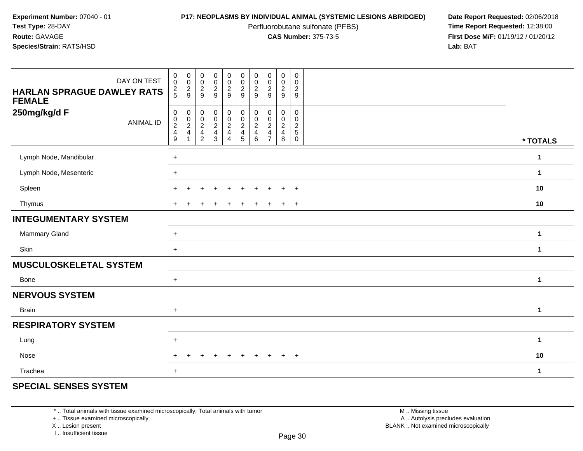Perfluorobutane sulfonate (PFBS)<br>**CAS Number:** 375-73-5

**P17: NEOPLASMS BY INDIVIDUAL ANIMAL (SYSTEMIC LESIONS ABRIDGED)** Date Report Requested: 02/06/2018<br>Perfluorobutane sulfonate (PFBS) **Time Report Requested:** 12:38:00 **First Dose M/F:** 01/19/12 / 01/20/12<br>**Lab:** BAT **Lab:** BAT

| DAY ON TEST<br><b>HARLAN SPRAGUE DAWLEY RATS</b><br><b>FEMALE</b> | $_{\rm 0}^{\rm 0}$<br>$\frac{2}{5}$                                 | $\pmb{0}$<br>$\ddot{\mathbf{0}}$<br>$\frac{2}{9}$ | $\mathbf 0$<br>$\overline{0}$<br>$\boldsymbol{2}$<br>9                                | $\pmb{0}$<br>$\frac{0}{2}$                           | $\mathbf 0$<br>$\pmb{0}$<br>$\frac{2}{9}$ | $\mathbf 0$<br>$\ddot{\mathbf{0}}$<br>$\overline{c}$<br>$\boldsymbol{9}$ | $\pmb{0}$<br>$\pmb{0}$<br>$\overline{2}$<br>9            | $\begin{smallmatrix} 0\\0\\2 \end{smallmatrix}$<br>9                      | $\pmb{0}$<br>$\ddot{\mathbf{0}}$<br>$\overline{c}$<br>$9\,$ | $\mathbf 0$<br>$\pmb{0}$<br>$\overline{2}$<br>9                 |              |
|-------------------------------------------------------------------|---------------------------------------------------------------------|---------------------------------------------------|---------------------------------------------------------------------------------------|------------------------------------------------------|-------------------------------------------|--------------------------------------------------------------------------|----------------------------------------------------------|---------------------------------------------------------------------------|-------------------------------------------------------------|-----------------------------------------------------------------|--------------|
| 250mg/kg/d F<br><b>ANIMAL ID</b>                                  | $\mathbf 0$<br>$_{2}^{\rm 0}$<br>$\overline{4}$<br>$\boldsymbol{9}$ | 0<br>$_{2}^{\rm 0}$<br>4                          | 0<br>$\begin{smallmatrix} 0\\2 \end{smallmatrix}$<br>$\overline{4}$<br>$\overline{2}$ | 0<br>$\begin{array}{c} 0 \\ 2 \\ 4 \\ 3 \end{array}$ | 0<br>$\frac{0}{2}$<br>$\overline{4}$      | 0<br>$\pmb{0}$<br>$\overline{a}$<br>4<br>5                               | 0<br>0<br>$\sqrt{2}$<br>$\overline{\mathbf{4}}$<br>$\,6$ | 0<br>$\pmb{0}$<br>$\sqrt{2}$<br>$\overline{\mathbf{4}}$<br>$\overline{7}$ | 0<br>$\pmb{0}$<br>$\overline{c}$<br>$\overline{4}$<br>8     | 0<br>$\mathbf 0$<br>$\sqrt{2}$<br>$\overline{5}$<br>$\mathbf 0$ | * TOTALS     |
| Lymph Node, Mandibular                                            | $\ddot{}$                                                           |                                                   |                                                                                       |                                                      |                                           |                                                                          |                                                          |                                                                           |                                                             |                                                                 | 1            |
| Lymph Node, Mesenteric                                            | $+$                                                                 |                                                   |                                                                                       |                                                      |                                           |                                                                          |                                                          |                                                                           |                                                             |                                                                 | 1            |
| Spleen                                                            | $\pm$                                                               | $\ddot{}$                                         | ÷                                                                                     | $\ddot{}$                                            | $\ddot{}$                                 | $\ddot{}$                                                                | $\ddot{}$                                                | $\ddot{}$                                                                 | $+$                                                         | $+$                                                             | 10           |
| Thymus                                                            | $\pm$                                                               |                                                   |                                                                                       |                                                      |                                           |                                                                          |                                                          |                                                                           | $+$                                                         | $+$                                                             | 10           |
| <b>INTEGUMENTARY SYSTEM</b>                                       |                                                                     |                                                   |                                                                                       |                                                      |                                           |                                                                          |                                                          |                                                                           |                                                             |                                                                 |              |
| Mammary Gland                                                     | $+$                                                                 |                                                   |                                                                                       |                                                      |                                           |                                                                          |                                                          |                                                                           |                                                             |                                                                 | 1            |
| Skin                                                              | $+$                                                                 |                                                   |                                                                                       |                                                      |                                           |                                                                          |                                                          |                                                                           |                                                             |                                                                 | 1            |
| <b>MUSCULOSKELETAL SYSTEM</b>                                     |                                                                     |                                                   |                                                                                       |                                                      |                                           |                                                                          |                                                          |                                                                           |                                                             |                                                                 |              |
| Bone                                                              | $+$                                                                 |                                                   |                                                                                       |                                                      |                                           |                                                                          |                                                          |                                                                           |                                                             |                                                                 | 1            |
| <b>NERVOUS SYSTEM</b>                                             |                                                                     |                                                   |                                                                                       |                                                      |                                           |                                                                          |                                                          |                                                                           |                                                             |                                                                 |              |
| <b>Brain</b>                                                      | $+$                                                                 |                                                   |                                                                                       |                                                      |                                           |                                                                          |                                                          |                                                                           |                                                             |                                                                 | $\mathbf{1}$ |
| <b>RESPIRATORY SYSTEM</b>                                         |                                                                     |                                                   |                                                                                       |                                                      |                                           |                                                                          |                                                          |                                                                           |                                                             |                                                                 |              |
| Lung                                                              | $\ddot{}$                                                           |                                                   |                                                                                       |                                                      |                                           |                                                                          |                                                          |                                                                           |                                                             |                                                                 | 1            |
| Nose                                                              |                                                                     |                                                   |                                                                                       |                                                      |                                           |                                                                          |                                                          |                                                                           | $+$                                                         | $+$                                                             | 10           |
| Trachea                                                           | $\ddot{}$                                                           |                                                   |                                                                                       |                                                      |                                           |                                                                          |                                                          |                                                                           |                                                             |                                                                 | 1            |

# **SPECIAL SENSES SYSTEM**

\* .. Total animals with tissue examined microscopically; Total animals with tumor

+ .. Tissue examined microscopically

X .. Lesion present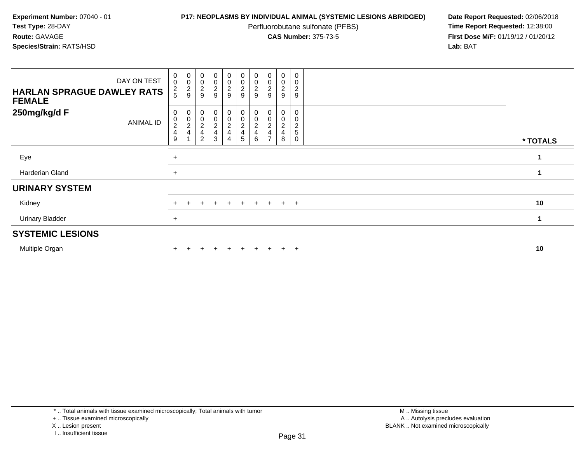Perfluorobutane sulfonate (PFBS)<br>**CAS Number:** 375-73-5

| DAY ON TEST<br><b>HARLAN SPRAGUE DAWLEY RATS</b><br><b>FEMALE</b> | $_{\rm 0}^{\rm 0}$<br>$\frac{2}{5}$                                               | $_{\rm 0}^{\rm 0}$<br>$\frac{2}{9}$                     | $_{0}^{0}$<br>$\overline{\mathbf{c}}$<br>9          | $\begin{smallmatrix}0\0\0\end{smallmatrix}$<br>$\frac{2}{9}$ | $\begin{smallmatrix} 0\\0 \end{smallmatrix}$<br>$\overline{c}$<br>$\boldsymbol{9}$ | $\begin{smallmatrix}0\0\0\end{smallmatrix}$<br>$\frac{2}{9}$     | $\begin{smallmatrix} 0\\0 \end{smallmatrix}$<br>$\frac{2}{9}$ | $_{\rm 0}^{\rm 0}$<br>$\boldsymbol{2}$<br>$\boldsymbol{9}$ | 0<br>$\mathbf 0$<br>$\frac{2}{9}$                                           | 0<br>$\mathbf 0$<br>$\overline{\mathbf{c}}$<br>9 |          |
|-------------------------------------------------------------------|-----------------------------------------------------------------------------------|---------------------------------------------------------|-----------------------------------------------------|--------------------------------------------------------------|------------------------------------------------------------------------------------|------------------------------------------------------------------|---------------------------------------------------------------|------------------------------------------------------------|-----------------------------------------------------------------------------|--------------------------------------------------|----------|
| 250mg/kg/d F<br>ANIMAL ID                                         | 0<br>$\begin{smallmatrix} 0\\2 \end{smallmatrix}$<br>$\overline{\mathbf{4}}$<br>9 | 0<br>$\begin{smallmatrix} 0\\ 2 \end{smallmatrix}$<br>4 | 0<br>$\mathbf 0$<br>$\frac{2}{4}$<br>$\overline{2}$ | 0<br>$\pmb{0}$<br>$\frac{2}{4}$<br>3                         | $\overline{0}$<br>0<br>$\frac{2}{4}$<br>$\overline{4}$                             | 0<br>$\pmb{0}$<br>$\overline{c}$<br>$\overline{\mathbf{4}}$<br>5 | $_{\rm 0}^{\rm 0}$<br>$\frac{2}{4}$<br>6                      | 0<br>0<br>$\frac{2}{4}$<br>$\overline{ }$                  | 0<br>$\mathbf 0$<br>$\overline{\mathbf{c}}$<br>$\overline{\mathbf{4}}$<br>8 | 0<br>0<br>2<br>$5\,$<br>0                        | * TOTALS |
| Eye                                                               | $\ddot{}$                                                                         |                                                         |                                                     |                                                              |                                                                                    |                                                                  |                                                               |                                                            |                                                                             |                                                  |          |
| Harderian Gland                                                   | $+$                                                                               |                                                         |                                                     |                                                              |                                                                                    |                                                                  |                                                               |                                                            |                                                                             |                                                  |          |
| <b>URINARY SYSTEM</b>                                             |                                                                                   |                                                         |                                                     |                                                              |                                                                                    |                                                                  |                                                               |                                                            |                                                                             |                                                  |          |
| Kidney                                                            |                                                                                   |                                                         | ÷                                                   | $\ddot{}$                                                    | $+$                                                                                | $+$                                                              |                                                               | $+$ $+$ $+$ $+$                                            |                                                                             |                                                  | 10       |
| <b>Urinary Bladder</b>                                            | $\overline{+}$                                                                    |                                                         |                                                     |                                                              |                                                                                    |                                                                  |                                                               |                                                            |                                                                             |                                                  | 1        |
| <b>SYSTEMIC LESIONS</b>                                           |                                                                                   |                                                         |                                                     |                                                              |                                                                                    |                                                                  |                                                               |                                                            |                                                                             |                                                  |          |
| Multiple Organ                                                    |                                                                                   |                                                         |                                                     |                                                              |                                                                                    | $\div$                                                           |                                                               |                                                            | $\pm$                                                                       | $+$                                              | 10       |

<sup>+ ..</sup> Tissue examined microscopically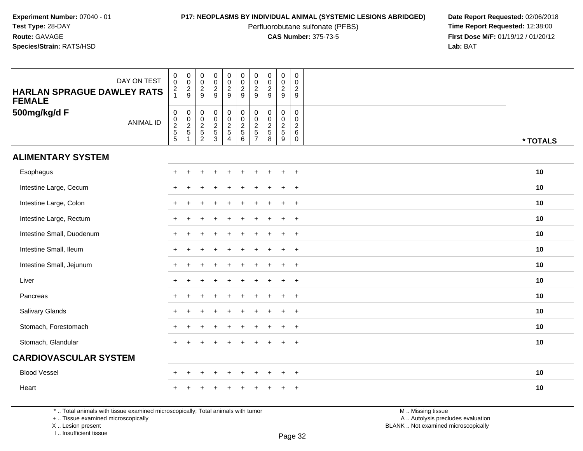Perfluorobutane sulfonate (PFBS)<br>**CAS Number:** 375-73-5

**P17: NEOPLASMS BY INDIVIDUAL ANIMAL (SYSTEMIC LESIONS ABRIDGED)** Date Report Requested: 02/06/2018<br>Perfluorobutane sulfonate (PFBS) **Time Report Requested:** 12:38:00 **First Dose M/F:** 01/19/12 / 01/20/12<br>**Lab:** BAT **Lab:** BAT

| DAY ON TEST<br><b>HARLAN SPRAGUE DAWLEY RATS</b><br><b>FEMALE</b> | $_{\rm 0}^{\rm 0}$<br>$\frac{2}{1}$                       | 00029                      | $\mathsf{O}\xspace$<br>$\overline{0}$<br>$\frac{2}{9}$ | 0<br>$\overline{0}$<br>$\frac{2}{9}$                              | $\begin{smallmatrix}0\0\0\end{smallmatrix}$<br>$\frac{2}{9}$      | 00029                                        | 0<br>$\mathbf 0$<br>$\overline{2}$<br>9           | $\begin{array}{c} 0 \\ 0 \\ 2 \\ 9 \end{array}$ | 0<br>$\ddot{\mathbf{0}}$<br>$\frac{2}{9}$ | $\pmb{0}$<br>$\mathbf 0$<br>$\sqrt{2}$<br>9                      |          |
|-------------------------------------------------------------------|-----------------------------------------------------------|----------------------------|--------------------------------------------------------|-------------------------------------------------------------------|-------------------------------------------------------------------|----------------------------------------------|---------------------------------------------------|-------------------------------------------------|-------------------------------------------|------------------------------------------------------------------|----------|
| 500mg/kg/d F<br><b>ANIMAL ID</b>                                  | $\pmb{0}$<br>$\begin{array}{c}\n0 \\ 2 \\ 5\n\end{array}$ | $\pmb{0}$<br>$\frac{0}{2}$ | $\boldsymbol{0}$<br>$\frac{0}{2}$<br>$\overline{2}$    | $\begin{smallmatrix}0\0\0\end{smallmatrix}$<br>$\frac{2}{5}$<br>3 | $\begin{array}{c} 0 \\ 0 \\ 2 \\ 5 \end{array}$<br>$\overline{4}$ | $\pmb{0}$<br>$\pmb{0}$<br>$\frac{2}{5}$<br>6 | 0<br>$\mathbf 0$<br>$rac{2}{5}$<br>$\overline{7}$ | $\pmb{0}$<br>$\frac{0}{2}$<br>8                 | 0<br>$\mathbf 0$<br>$\frac{2}{5}$<br>9    | $\mathbf 0$<br>$\mathbf 0$<br>$\overline{c}$<br>6<br>$\mathbf 0$ | * TOTALS |
| <b>ALIMENTARY SYSTEM</b>                                          |                                                           |                            |                                                        |                                                                   |                                                                   |                                              |                                                   |                                                 |                                           |                                                                  |          |
| Esophagus                                                         |                                                           |                            |                                                        |                                                                   |                                                                   |                                              |                                                   |                                                 | ÷                                         | $\overline{+}$                                                   | 10       |
| Intestine Large, Cecum                                            |                                                           |                            |                                                        |                                                                   |                                                                   |                                              |                                                   |                                                 | ÷                                         | $+$                                                              | 10       |
| Intestine Large, Colon                                            | $\pm$                                                     |                            |                                                        |                                                                   |                                                                   |                                              |                                                   |                                                 | $\ddot{}$                                 | $+$                                                              | 10       |
| Intestine Large, Rectum                                           | $\pm$                                                     |                            |                                                        |                                                                   |                                                                   |                                              |                                                   |                                                 | $\ddot{}$                                 | $+$                                                              | 10       |
| Intestine Small, Duodenum                                         |                                                           |                            |                                                        |                                                                   |                                                                   |                                              |                                                   |                                                 | ÷                                         | $\overline{+}$                                                   | 10       |
| Intestine Small, Ileum                                            |                                                           |                            |                                                        |                                                                   |                                                                   |                                              |                                                   |                                                 | ÷                                         | $+$                                                              | 10       |
| Intestine Small, Jejunum                                          |                                                           |                            |                                                        |                                                                   |                                                                   |                                              |                                                   |                                                 | $+$                                       | $+$                                                              | 10       |
| Liver                                                             |                                                           |                            |                                                        |                                                                   |                                                                   |                                              |                                                   |                                                 | $\ddot{}$                                 | $+$                                                              | 10       |
| Pancreas                                                          |                                                           |                            |                                                        |                                                                   |                                                                   |                                              |                                                   |                                                 | ÷                                         | $\overline{+}$                                                   | 10       |
| Salivary Glands                                                   |                                                           |                            |                                                        |                                                                   |                                                                   |                                              |                                                   |                                                 | ÷                                         | $+$                                                              | 10       |
| Stomach, Forestomach                                              |                                                           |                            |                                                        |                                                                   |                                                                   |                                              |                                                   |                                                 | $\ddot{}$                                 | $+$                                                              | 10       |
| Stomach, Glandular                                                | $\ddot{}$                                                 |                            |                                                        |                                                                   |                                                                   |                                              |                                                   |                                                 | +                                         | $+$                                                              | 10       |
| <b>CARDIOVASCULAR SYSTEM</b>                                      |                                                           |                            |                                                        |                                                                   |                                                                   |                                              |                                                   |                                                 |                                           |                                                                  |          |
| <b>Blood Vessel</b>                                               | $\pm$                                                     | $\pm$                      |                                                        | $\ddot{}$                                                         | $\ddot{}$                                                         | $\ddot{}$                                    | ÷                                                 |                                                 | $\ddot{}$                                 | $+$                                                              | 10       |
| Heart                                                             |                                                           |                            |                                                        |                                                                   |                                                                   |                                              |                                                   |                                                 |                                           | $\ddot{}$                                                        | 10       |

\* .. Total animals with tissue examined microscopically; Total animals with tumor

+ .. Tissue examined microscopically

X .. Lesion present

I .. Insufficient tissue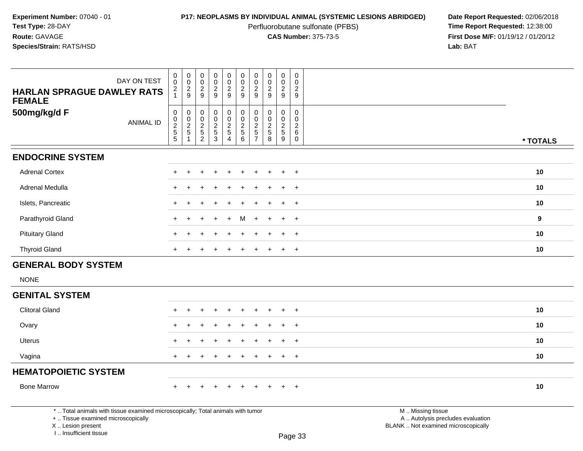Perfluorobutane sulfonate (PFBS)<br>**CAS Number:** 375-73-5

| <b>HARLAN SPRAGUE DAWLEY RATS</b><br><b>FEMALE</b>                                 | DAY ON TEST                                                                     | $\pmb{0}$<br>$\pmb{0}$<br>$\frac{2}{1}$                        | $\mathsf{O}\xspace$<br>$\mathsf{O}\xspace$<br>$\frac{2}{9}$ | $\pmb{0}$<br>$\mathbf 0$<br>$\frac{2}{9}$       | $\pmb{0}$<br>$\mathbf 0$<br>$\frac{2}{9}$ | $\mathsf{O}\xspace$<br>$\check{\mathbf{0}}$<br>$\frac{2}{9}$ | $\begin{array}{c} 0 \\ 0 \\ 2 \\ 9 \end{array}$ | $\begin{smallmatrix} 0\\0 \end{smallmatrix}$<br>$\overline{c}$<br>$\boldsymbol{9}$ | $\begin{smallmatrix} 0\\0 \end{smallmatrix}$<br>$\frac{2}{9}$ | $\mathsf{O}\xspace$<br>$\mathbf 0$<br>$\sqrt{2}$<br>$9\,$     | $\pmb{0}$<br>$\mathbf 0$<br>$\sqrt{2}$<br>$\boldsymbol{9}$                                 |                                                                                               |          |
|------------------------------------------------------------------------------------|---------------------------------------------------------------------------------|----------------------------------------------------------------|-------------------------------------------------------------|-------------------------------------------------|-------------------------------------------|--------------------------------------------------------------|-------------------------------------------------|------------------------------------------------------------------------------------|---------------------------------------------------------------|---------------------------------------------------------------|--------------------------------------------------------------------------------------------|-----------------------------------------------------------------------------------------------|----------|
| 500mg/kg/d F                                                                       | <b>ANIMAL ID</b>                                                                | $\mathbf 0$<br>$\begin{array}{c} 0 \\ 2 \\ 5 \\ 5 \end{array}$ | $\mathsf{O}\xspace$<br>$\frac{0}{2}$ 5 1                    | 0<br>$\mathbf 0$<br>$\frac{2}{5}$<br>$\sqrt{2}$ | $\mathbf 0$<br>$\mathbf 0$<br>$rac{2}{3}$ | 0<br>$\mathbf 0$<br>$\frac{2}{5}$                            | 000256                                          | $\pmb{0}$<br>$\mathbf 0$<br>$rac{2}{5}$                                            | $\pmb{0}$<br>$\pmb{0}$<br>$rac{2}{8}$                         | $\pmb{0}$<br>$\mathbf 0$<br>$\sqrt{2}$<br>$\sqrt{5}$<br>$9\,$ | $\mathsf{O}\xspace$<br>$\mathbf 0$<br>$\sqrt{2}$<br>$6\phantom{1}6$<br>$\mathsf{O}\xspace$ |                                                                                               | * TOTALS |
| <b>ENDOCRINE SYSTEM</b>                                                            |                                                                                 |                                                                |                                                             |                                                 |                                           |                                                              |                                                 |                                                                                    |                                                               |                                                               |                                                                                            |                                                                                               |          |
| <b>Adrenal Cortex</b>                                                              |                                                                                 | $\pm$                                                          | ÷                                                           |                                                 |                                           | $\ddot{}$                                                    | $\ddot{}$                                       | $\div$                                                                             | +                                                             | $\pm$                                                         | $^{+}$                                                                                     |                                                                                               | 10       |
| Adrenal Medulla                                                                    |                                                                                 | $+$                                                            |                                                             |                                                 |                                           |                                                              |                                                 |                                                                                    |                                                               |                                                               | $\ddot{}$                                                                                  |                                                                                               | 10       |
| Islets, Pancreatic                                                                 |                                                                                 |                                                                |                                                             |                                                 |                                           |                                                              |                                                 |                                                                                    |                                                               |                                                               | $+$                                                                                        |                                                                                               | 10       |
| Parathyroid Gland                                                                  |                                                                                 |                                                                |                                                             |                                                 |                                           |                                                              | м                                               |                                                                                    |                                                               |                                                               | $+$                                                                                        |                                                                                               | 9        |
| <b>Pituitary Gland</b>                                                             |                                                                                 |                                                                |                                                             |                                                 |                                           |                                                              |                                                 |                                                                                    |                                                               |                                                               | $\overline{+}$                                                                             |                                                                                               | 10       |
| <b>Thyroid Gland</b>                                                               |                                                                                 |                                                                |                                                             |                                                 |                                           |                                                              |                                                 |                                                                                    |                                                               | $\pm$                                                         | $+$                                                                                        |                                                                                               | 10       |
| <b>GENERAL BODY SYSTEM</b>                                                         |                                                                                 |                                                                |                                                             |                                                 |                                           |                                                              |                                                 |                                                                                    |                                                               |                                                               |                                                                                            |                                                                                               |          |
| <b>NONE</b>                                                                        |                                                                                 |                                                                |                                                             |                                                 |                                           |                                                              |                                                 |                                                                                    |                                                               |                                                               |                                                                                            |                                                                                               |          |
| <b>GENITAL SYSTEM</b>                                                              |                                                                                 |                                                                |                                                             |                                                 |                                           |                                                              |                                                 |                                                                                    |                                                               |                                                               |                                                                                            |                                                                                               |          |
| <b>Clitoral Gland</b>                                                              |                                                                                 |                                                                |                                                             |                                                 |                                           |                                                              |                                                 |                                                                                    |                                                               |                                                               | $\div$                                                                                     |                                                                                               | 10       |
| Ovary                                                                              |                                                                                 |                                                                |                                                             |                                                 |                                           |                                                              |                                                 |                                                                                    |                                                               |                                                               | $\overline{+}$                                                                             |                                                                                               | 10       |
| <b>Uterus</b>                                                                      |                                                                                 |                                                                |                                                             |                                                 |                                           |                                                              |                                                 |                                                                                    |                                                               | ÷                                                             | $+$                                                                                        |                                                                                               | 10       |
| Vagina                                                                             |                                                                                 | $+$                                                            | $\ddot{}$                                                   |                                                 |                                           | $\ddot{}$                                                    | $\ddot{}$                                       | $\pm$                                                                              | $\pm$                                                         | $\pm$                                                         | $+$                                                                                        |                                                                                               | 10       |
| <b>HEMATOPOIETIC SYSTEM</b>                                                        |                                                                                 |                                                                |                                                             |                                                 |                                           |                                                              |                                                 |                                                                                    |                                                               |                                                               |                                                                                            |                                                                                               |          |
| <b>Bone Marrow</b>                                                                 |                                                                                 | ÷.                                                             |                                                             |                                                 |                                           |                                                              |                                                 |                                                                                    |                                                               |                                                               | $+$                                                                                        |                                                                                               | 10       |
| +  Tissue examined microscopically<br>X  Lesion present<br>L., Insufficient tissue | *  Total animals with tissue examined microscopically; Total animals with tumor |                                                                |                                                             |                                                 |                                           |                                                              |                                                 |                                                                                    |                                                               |                                                               | Page 33                                                                                    | M  Missing tissue<br>A  Autolysis precludes evaluation<br>BLANK  Not examined microscopically |          |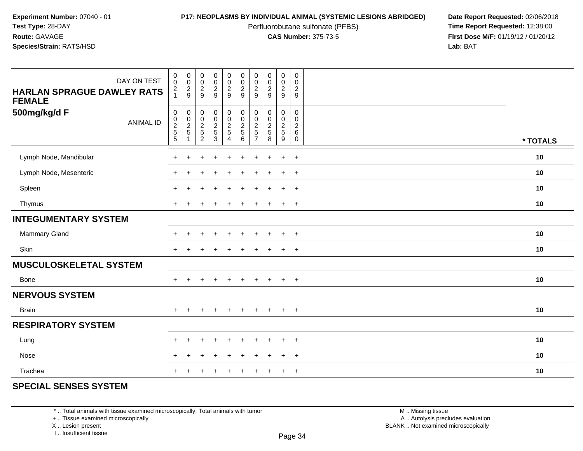Perfluorobutane sulfonate (PFBS)<br>**CAS Number:** 375-73-5

**P17: NEOPLASMS BY INDIVIDUAL ANIMAL (SYSTEMIC LESIONS ABRIDGED)** Date Report Requested: 02/06/2018<br>Perfluorobutane sulfonate (PFBS) **Time Report Requested:** 12:38:00 **First Dose M/F:** 01/19/12 / 01/20/12<br>**Lab:** BAT **Lab:** BAT

| DAY ON TEST<br><b>HARLAN SPRAGUE DAWLEY RATS</b><br><b>FEMALE</b> | $\begin{smallmatrix} 0\\0 \end{smallmatrix}$<br>$\frac{2}{1}$ | 00029                                           | $_{\rm 0}^{\rm 0}$<br>$\frac{2}{9}$                | $\begin{array}{c} 0 \\ 0 \\ 2 \\ 9 \end{array}$ | $\begin{smallmatrix}0\0\0\end{smallmatrix}$<br>$\frac{2}{9}$ | $_{\rm 0}^{\rm 0}$<br>$\frac{2}{9}$           | $\pmb{0}$<br>$\pmb{0}$<br>$\frac{2}{9}$                   | $\begin{array}{c} 0 \\ 0 \\ 2 \\ 9 \end{array}$                     | $\pmb{0}$<br>$\pmb{0}$<br>$\frac{2}{9}$                        | $\pmb{0}$<br>$\pmb{0}$<br>$\boldsymbol{2}$<br>$\boldsymbol{9}$     |          |
|-------------------------------------------------------------------|---------------------------------------------------------------|-------------------------------------------------|----------------------------------------------------|-------------------------------------------------|--------------------------------------------------------------|-----------------------------------------------|-----------------------------------------------------------|---------------------------------------------------------------------|----------------------------------------------------------------|--------------------------------------------------------------------|----------|
| 500mg/kg/d F<br><b>ANIMAL ID</b>                                  | 0<br>0<br>2<br>5<br>5                                         | $\begin{array}{c} 0 \\ 0 \\ 2 \\ 5 \end{array}$ | $\boldsymbol{0}$<br>$\frac{0}{2}$<br>$\frac{5}{2}$ | 000253                                          | $\begin{array}{c} 0 \\ 0 \\ 2 \\ 5 \end{array}$<br>4         | $\mathbf 0$<br>$\frac{0}{2}$<br>$\frac{5}{6}$ | $\pmb{0}$<br>$\pmb{0}$<br>$\overline{c}$<br>$\frac{5}{7}$ | $\mathbf 0$<br>$\mathop{2}\limits^{\mathbb{O}}$<br>$\,$ 5 $\,$<br>8 | $\mathbf 0$<br>$\begin{array}{c} 0 \\ 2 \\ 5 \\ 9 \end{array}$ | $\mathbf 0$<br>$\mathbf 0$<br>$\sqrt{2}$<br>$\,6\,$<br>$\mathbf 0$ | * TOTALS |
| Lymph Node, Mandibular                                            |                                                               |                                                 |                                                    |                                                 |                                                              |                                               |                                                           |                                                                     | $\ddot{}$                                                      | $\ddot{}$                                                          | 10       |
| Lymph Node, Mesenteric                                            |                                                               |                                                 |                                                    |                                                 |                                                              |                                               |                                                           |                                                                     | $\pm$                                                          | $+$                                                                | 10       |
| Spleen                                                            | $\pm$                                                         |                                                 |                                                    | $\div$                                          |                                                              | $\ddot{}$                                     | +                                                         |                                                                     | $+$                                                            | $+$                                                                | 10       |
| Thymus                                                            | $\ddot{}$                                                     |                                                 |                                                    |                                                 |                                                              |                                               |                                                           |                                                                     | $\ddot{}$                                                      | $+$                                                                | 10       |
| <b>INTEGUMENTARY SYSTEM</b>                                       |                                                               |                                                 |                                                    |                                                 |                                                              |                                               |                                                           |                                                                     |                                                                |                                                                    |          |
| Mammary Gland                                                     | $\pm$                                                         |                                                 |                                                    |                                                 |                                                              |                                               |                                                           |                                                                     | $\ddot{}$                                                      | $+$                                                                | 10       |
| <b>Skin</b>                                                       | $+$                                                           |                                                 |                                                    |                                                 |                                                              |                                               |                                                           |                                                                     | $\pm$                                                          | $+$                                                                | 10       |
| <b>MUSCULOSKELETAL SYSTEM</b>                                     |                                                               |                                                 |                                                    |                                                 |                                                              |                                               |                                                           |                                                                     |                                                                |                                                                    |          |
| <b>Bone</b>                                                       | $+$                                                           | $+$                                             | $\overline{+}$                                     | $+$                                             | $\ddot{}$                                                    | $+$                                           | $+$                                                       | $+$                                                                 | $+$                                                            | $+$                                                                | 10       |
| <b>NERVOUS SYSTEM</b>                                             |                                                               |                                                 |                                                    |                                                 |                                                              |                                               |                                                           |                                                                     |                                                                |                                                                    |          |
| <b>Brain</b>                                                      | $+$                                                           | $\ddot{}$                                       | $\div$                                             | $+$                                             | $\ddot{}$                                                    | $+$                                           | $+$                                                       | $+$                                                                 | $+$                                                            | $+$                                                                | 10       |
| <b>RESPIRATORY SYSTEM</b>                                         |                                                               |                                                 |                                                    |                                                 |                                                              |                                               |                                                           |                                                                     |                                                                |                                                                    |          |
| Lung                                                              | $\div$                                                        |                                                 |                                                    |                                                 |                                                              |                                               |                                                           |                                                                     | ÷                                                              | $+$                                                                | 10       |
| Nose                                                              | ÷                                                             |                                                 |                                                    |                                                 |                                                              |                                               |                                                           |                                                                     |                                                                | $+$                                                                | 10       |
| Trachea                                                           | $\div$                                                        |                                                 |                                                    |                                                 |                                                              |                                               |                                                           |                                                                     | ÷                                                              | $+$                                                                | 10       |

## **SPECIAL SENSES SYSTEM**

\* .. Total animals with tissue examined microscopically; Total animals with tumor

+ .. Tissue examined microscopically

X .. Lesion present

I .. Insufficient tissue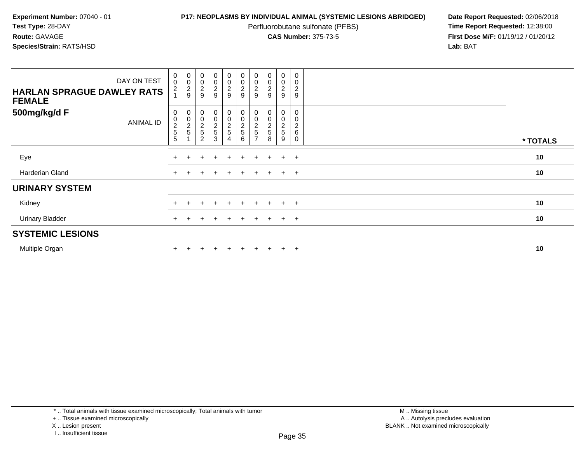Perfluorobutane sulfonate (PFBS)<br>**CAS Number:** 375-73-5

| DAY ON TEST<br><b>HARLAN SPRAGUE DAWLEY RATS</b><br><b>FEMALE</b> | $\begin{smallmatrix} 0\\0 \end{smallmatrix}$<br>$\overline{\mathbf{c}}$ | $_{\rm 0}^{\rm 0}$<br>$\frac{2}{9}$ | $\begin{smallmatrix}0\\0\end{smallmatrix}$<br>$\frac{2}{9}$        | $\begin{smallmatrix}0\0\0\end{smallmatrix}$<br>$\frac{2}{9}$ | $\begin{array}{c} 0 \\ 0 \\ 2 \\ 9 \end{array}$ | $\begin{smallmatrix} 0\\0 \end{smallmatrix}$<br>$\frac{2}{9}$ | $_{\rm 0}^{\rm 0}$<br>$\frac{2}{9}$                     | $\begin{smallmatrix}0\\0\end{smallmatrix}$<br>$\overline{\mathbf{c}}$<br>9 | 0<br>0<br>$\frac{2}{9}$    | $\pmb{0}$<br>$\mathbf 0$<br>$\boldsymbol{2}$<br>$\boldsymbol{9}$ |          |
|-------------------------------------------------------------------|-------------------------------------------------------------------------|-------------------------------------|--------------------------------------------------------------------|--------------------------------------------------------------|-------------------------------------------------|---------------------------------------------------------------|---------------------------------------------------------|----------------------------------------------------------------------------|----------------------------|------------------------------------------------------------------|----------|
| 500mg/kg/d F<br><b>ANIMAL ID</b>                                  | 0<br>$\begin{array}{c} 0 \\ 2 \\ 5 \end{array}$<br>$\sqrt{5}$           | 00025                               | $\boldsymbol{0}$<br>$\mathbf 0$<br>$\frac{2}{5}$<br>$\overline{c}$ | $\begin{array}{c} 0 \\ 0 \\ 2 \\ 5 \end{array}$<br>3         | 0<br>0<br>2<br>5<br>4                           | 00025<br>$\,6\,$                                              | $_{0}^{0}$<br>$\frac{2}{5}$<br>$\overline{\phantom{a}}$ | $\boldsymbol{0}$<br>$\boldsymbol{0}$<br>$\frac{2}{5}$<br>8                 | 0<br>0<br>$rac{2}{5}$<br>9 | 0<br>$\mathbf 0$<br>$\overline{c}$<br>6<br>$\mathbf 0$           | * TOTALS |
| Eye                                                               |                                                                         |                                     |                                                                    | $\ddot{}$                                                    | $+$                                             | $+$                                                           | $\pm$                                                   | $+$                                                                        | $\ddot{}$                  | $+$                                                              | 10       |
| Harderian Gland                                                   |                                                                         |                                     |                                                                    | $\div$                                                       | $\pm$                                           |                                                               | $\pm$                                                   | $+$                                                                        | $+$                        | $+$                                                              | 10       |
| <b>URINARY SYSTEM</b>                                             |                                                                         |                                     |                                                                    |                                                              |                                                 |                                                               |                                                         |                                                                            |                            |                                                                  |          |
| Kidney                                                            |                                                                         |                                     |                                                                    | $\pm$                                                        | $+$                                             | $+$                                                           | $+$                                                     | $+$                                                                        | $+$                        | $+$                                                              | 10       |
| <b>Urinary Bladder</b>                                            | $+$                                                                     |                                     |                                                                    | $\div$                                                       | $+$                                             | $+$                                                           | $\pm$                                                   | $+$                                                                        | $+$                        | $+$                                                              | 10       |
| <b>SYSTEMIC LESIONS</b>                                           |                                                                         |                                     |                                                                    |                                                              |                                                 |                                                               |                                                         |                                                                            |                            |                                                                  |          |
| Multiple Organ                                                    |                                                                         |                                     |                                                                    |                                                              | $\pm$                                           | $+$                                                           | $\pm$                                                   | $+$                                                                        | $\ddot{}$                  | $+$                                                              | 10       |

<sup>+ ..</sup> Tissue examined microscopically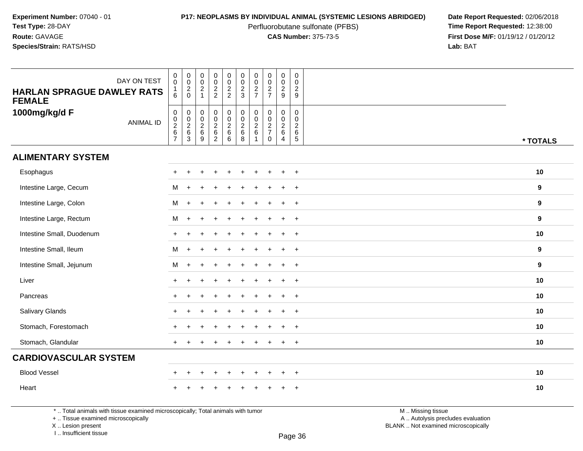Perfluorobutane sulfonate (PFBS)<br>**CAS Number:** 375-73-5

**P17: NEOPLASMS BY INDIVIDUAL ANIMAL (SYSTEMIC LESIONS ABRIDGED)** Date Report Requested: 02/06/2018<br>Perfluorobutane sulfonate (PFBS) **Time Report Requested:** 12:38:00 **First Dose M/F:** 01/19/12 / 01/20/12<br>**Lab:** BAT **Lab:** BAT

| DAY ON TEST<br><b>HARLAN SPRAGUE DAWLEY RATS</b><br><b>FEMALE</b> | $_{\rm 0}^{\rm 0}$<br>6                         | $\begin{matrix} 0 \\ 0 \\ 2 \\ 0 \end{matrix}$ | $\mathsf{O}\xspace$<br>$\ddot{\mathbf{0}}$<br>$\frac{2}{1}$ | $\pmb{0}$<br>$\ddot{\mathbf{0}}$<br>$\frac{2}{2}$                | $\pmb{0}$<br>$\ddot{\mathbf{0}}$<br>$\frac{2}{2}$ | $\begin{array}{c} 0 \\ 0 \\ 2 \\ 3 \end{array}$                   | $\pmb{0}$<br>$\pmb{0}$<br>$\overline{2}$<br>$\overline{7}$ | $\pmb{0}$<br>$\frac{0}{2}$                      | $\pmb{0}$<br>$\mathbf 0$<br>$\overline{2}$<br>9     | $\mathbf 0$<br>$\mathbf 0$<br>$\sqrt{2}$<br>9                  |          |  |
|-------------------------------------------------------------------|-------------------------------------------------|------------------------------------------------|-------------------------------------------------------------|------------------------------------------------------------------|---------------------------------------------------|-------------------------------------------------------------------|------------------------------------------------------------|-------------------------------------------------|-----------------------------------------------------|----------------------------------------------------------------|----------|--|
| 1000mg/kg/d F<br><b>ANIMAL ID</b>                                 | $\mathsf{O}\xspace$<br>$0$<br>$2$<br>$6$<br>$7$ | $\mathbf 0$<br>$0$<br>$26$<br>$3$              | $\begin{array}{c} 0 \\ 0 \\ 2 \\ 6 \end{array}$<br>9        | $\mathbf 0$<br>$\overline{0}$<br>$\frac{2}{6}$<br>$\overline{2}$ | 000266                                            | $\begin{array}{c} 0 \\ 0 \\ 2 \\ 6 \end{array}$<br>$\overline{8}$ | 0<br>$\mathbf 0$<br>$^2\phantom{1}6$                       | $\pmb{0}$<br>$\frac{0}{2}$<br>7<br>$\mathbf{0}$ | 0<br>$\mathbf 0$<br>$\frac{2}{6}$<br>$\overline{4}$ | $\pmb{0}$<br>$\mathbf 0$<br>$\sqrt{2}$<br>$6\phantom{1}6$<br>5 | * TOTALS |  |
| <b>ALIMENTARY SYSTEM</b>                                          |                                                 |                                                |                                                             |                                                                  |                                                   |                                                                   |                                                            |                                                 |                                                     |                                                                |          |  |
| Esophagus                                                         |                                                 |                                                |                                                             |                                                                  |                                                   |                                                                   |                                                            |                                                 | ÷                                                   | $\overline{+}$                                                 | 10       |  |
| Intestine Large, Cecum                                            | м                                               | $\ddot{}$                                      |                                                             |                                                                  |                                                   |                                                                   |                                                            |                                                 | ÷                                                   | $\overline{+}$                                                 | 9        |  |
| Intestine Large, Colon                                            | M                                               | $\ddot{}$                                      |                                                             |                                                                  |                                                   |                                                                   |                                                            |                                                 | +                                                   | $\overline{+}$                                                 | 9        |  |
| Intestine Large, Rectum                                           | М                                               | $+$                                            |                                                             |                                                                  |                                                   |                                                                   |                                                            |                                                 | +                                                   | $\overline{+}$                                                 | 9        |  |
| Intestine Small, Duodenum                                         | $\ddot{}$                                       |                                                |                                                             |                                                                  |                                                   |                                                                   |                                                            |                                                 | ÷                                                   | $\overline{+}$                                                 | 10       |  |
| Intestine Small, Ileum                                            | M                                               | $+$                                            |                                                             |                                                                  |                                                   |                                                                   |                                                            |                                                 | ÷                                                   | $+$                                                            | 9        |  |
| Intestine Small, Jejunum                                          | М                                               | $+$                                            |                                                             |                                                                  |                                                   |                                                                   |                                                            |                                                 | $\ddot{}$                                           | $+$                                                            | 9        |  |
| Liver                                                             | $\ddot{}$                                       |                                                |                                                             |                                                                  |                                                   |                                                                   |                                                            |                                                 | $\ddot{}$                                           | $+$                                                            | 10       |  |
| Pancreas                                                          | $\ddot{}$                                       |                                                |                                                             |                                                                  |                                                   |                                                                   |                                                            |                                                 | $\ddot{}$                                           | $\overline{+}$                                                 | 10       |  |
| Salivary Glands                                                   |                                                 |                                                |                                                             |                                                                  |                                                   |                                                                   |                                                            |                                                 | $\ddot{}$                                           | $+$                                                            | 10       |  |
| Stomach, Forestomach                                              |                                                 |                                                |                                                             |                                                                  |                                                   |                                                                   |                                                            |                                                 | $\ddot{}$                                           | $\overline{+}$                                                 | 10       |  |
| Stomach, Glandular                                                | $+$                                             |                                                |                                                             |                                                                  |                                                   |                                                                   |                                                            |                                                 | $\ddot{}$                                           | $+$                                                            | 10       |  |
| <b>CARDIOVASCULAR SYSTEM</b>                                      |                                                 |                                                |                                                             |                                                                  |                                                   |                                                                   |                                                            |                                                 |                                                     |                                                                |          |  |
| <b>Blood Vessel</b>                                               | $\pm$                                           | $\pm$                                          |                                                             | $\ddot{}$                                                        | $\ddot{}$                                         | $\ddot{}$                                                         | ÷                                                          | $\div$                                          | $\ddot{}$                                           | $+$                                                            | 10       |  |
| Heart                                                             |                                                 |                                                |                                                             |                                                                  |                                                   |                                                                   |                                                            |                                                 |                                                     | $\ddot{}$                                                      | 10       |  |

\* .. Total animals with tissue examined microscopically; Total animals with tumor

+ .. Tissue examined microscopically

 Lesion present BLANK .. Not examined microscopicallyX .. Lesion present

I .. Insufficient tissue

 M .. Missing tissuey the contract of the contract of the contract of the contract of the contract of  $\mathsf A$  . Autolysis precludes evaluation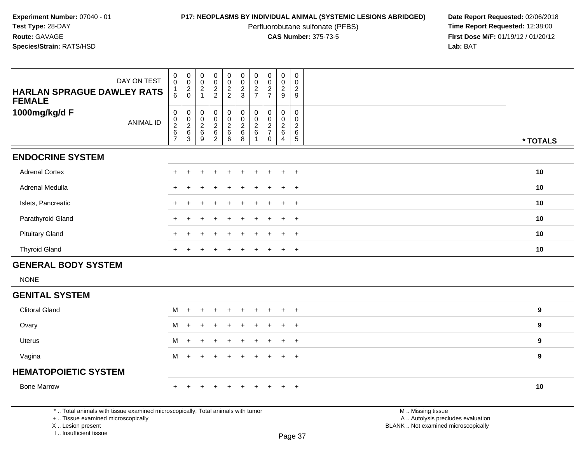Perfluorobutane sulfonate (PFBS)<br>**CAS Number:** 375-73-5

| <b>HARLAN SPRAGUE DAWLEY RATS</b><br><b>FEMALE</b>                                                                                                                  | DAY ON TEST      | $\pmb{0}$<br>$\overline{0}$<br>$\mathbf{1}$<br>6 | $\mathbf 0$<br>$\mathbf 0$<br>$\frac{2}{0}$                  | $\pmb{0}$<br>$\pmb{0}$<br>$\sqrt{2}$<br>$\mathbf{1}$      | $\begin{smallmatrix}0\0\0\end{smallmatrix}$<br>$\frac{2}{2}$ | $\begin{smallmatrix} 0\\0 \end{smallmatrix}$<br>$\frac{2}{2}$ | $\pmb{0}$<br>$\mathsf{O}\xspace$<br>$\frac{2}{3}$ | $\pmb{0}$<br>$\mathbf 0$<br>$\frac{2}{7}$                                  | $\pmb{0}$<br>$\mathsf 0$<br>$\frac{2}{7}$             | $\mathbf 0$<br>$\mathbf 0$<br>$\overline{2}$<br>9                         | $\pmb{0}$<br>$\mathbf 0$<br>$\overline{c}$<br>9                                   |                                                                                               |                  |
|---------------------------------------------------------------------------------------------------------------------------------------------------------------------|------------------|--------------------------------------------------|--------------------------------------------------------------|-----------------------------------------------------------|--------------------------------------------------------------|---------------------------------------------------------------|---------------------------------------------------|----------------------------------------------------------------------------|-------------------------------------------------------|---------------------------------------------------------------------------|-----------------------------------------------------------------------------------|-----------------------------------------------------------------------------------------------|------------------|
| 1000mg/kg/d F                                                                                                                                                       | <b>ANIMAL ID</b> | 0<br>$0$<br>$2$<br>$6$<br>$7$                    | $\pmb{0}$<br>$\begin{array}{c} 0 \\ 2 \\ 6 \\ 3 \end{array}$ | 0<br>$\mathsf 0$<br>$\overline{c}$<br>6<br>$\overline{9}$ | $\mathbf 0$<br>$\frac{0}{2}$<br>62                           | $\pmb{0}$<br>$\overline{0}$<br>$\overline{a}$<br>$^6_6$       | 0<br>$\frac{0}{2}$<br>$^6_8$                      | $\pmb{0}$<br>$\overline{0}$<br>$\overline{2}$<br>$\,6\,$<br>$\overline{1}$ | 0<br>$\mathbf 0$<br>$\sqrt{2}$<br>$\overline{7}$<br>0 | $\mathbf 0$<br>$\mathbf 0$<br>$\overline{2}$<br>$\,6\,$<br>$\overline{4}$ | $\mathsf{O}\xspace$<br>$\mathbf 0$<br>$\overline{c}$<br>$\,6\,$<br>$\overline{5}$ |                                                                                               | * TOTALS         |
| <b>ENDOCRINE SYSTEM</b>                                                                                                                                             |                  |                                                  |                                                              |                                                           |                                                              |                                                               |                                                   |                                                                            |                                                       |                                                                           |                                                                                   |                                                                                               |                  |
| <b>Adrenal Cortex</b>                                                                                                                                               |                  |                                                  |                                                              |                                                           |                                                              |                                                               |                                                   |                                                                            |                                                       | ÷                                                                         | $\overline{+}$                                                                    |                                                                                               | 10               |
| <b>Adrenal Medulla</b>                                                                                                                                              |                  |                                                  |                                                              |                                                           |                                                              |                                                               |                                                   |                                                                            |                                                       |                                                                           | $\ddot{}$                                                                         |                                                                                               | 10               |
| Islets, Pancreatic                                                                                                                                                  |                  |                                                  |                                                              |                                                           |                                                              |                                                               |                                                   |                                                                            |                                                       | ÷.                                                                        | $+$                                                                               |                                                                                               | 10               |
| Parathyroid Gland                                                                                                                                                   |                  |                                                  |                                                              |                                                           |                                                              |                                                               |                                                   |                                                                            |                                                       |                                                                           | $\ddot{}$                                                                         |                                                                                               | 10               |
| <b>Pituitary Gland</b>                                                                                                                                              |                  |                                                  |                                                              |                                                           |                                                              |                                                               |                                                   |                                                                            |                                                       |                                                                           | $\ddot{}$                                                                         |                                                                                               | 10 <sup>1</sup>  |
| <b>Thyroid Gland</b>                                                                                                                                                |                  |                                                  |                                                              |                                                           |                                                              |                                                               |                                                   |                                                                            |                                                       |                                                                           | $\ddot{}$                                                                         |                                                                                               | 10               |
| <b>GENERAL BODY SYSTEM</b>                                                                                                                                          |                  |                                                  |                                                              |                                                           |                                                              |                                                               |                                                   |                                                                            |                                                       |                                                                           |                                                                                   |                                                                                               |                  |
| <b>NONE</b>                                                                                                                                                         |                  |                                                  |                                                              |                                                           |                                                              |                                                               |                                                   |                                                                            |                                                       |                                                                           |                                                                                   |                                                                                               |                  |
| <b>GENITAL SYSTEM</b>                                                                                                                                               |                  |                                                  |                                                              |                                                           |                                                              |                                                               |                                                   |                                                                            |                                                       |                                                                           |                                                                                   |                                                                                               |                  |
| <b>Clitoral Gland</b>                                                                                                                                               |                  | м                                                | $\ddot{}$                                                    |                                                           |                                                              | +                                                             |                                                   |                                                                            |                                                       |                                                                           | $\ddot{}$                                                                         |                                                                                               | 9                |
| Ovary                                                                                                                                                               |                  | м                                                |                                                              |                                                           |                                                              |                                                               |                                                   |                                                                            |                                                       |                                                                           | $+$                                                                               |                                                                                               | $\boldsymbol{9}$ |
| <b>Uterus</b>                                                                                                                                                       |                  | м                                                | $\div$                                                       |                                                           |                                                              |                                                               |                                                   |                                                                            |                                                       | $\ddot{}$                                                                 | $+$                                                                               |                                                                                               | $\boldsymbol{9}$ |
| Vagina                                                                                                                                                              |                  | M                                                | $\ddot{}$                                                    |                                                           |                                                              | $\ddot{}$                                                     | $\ddot{}$                                         | $\ddot{}$                                                                  | $\pm$                                                 | $\ddot{}$                                                                 | $+$                                                                               |                                                                                               | $\boldsymbol{9}$ |
| <b>HEMATOPOIETIC SYSTEM</b>                                                                                                                                         |                  |                                                  |                                                              |                                                           |                                                              |                                                               |                                                   |                                                                            |                                                       |                                                                           |                                                                                   |                                                                                               |                  |
| <b>Bone Marrow</b>                                                                                                                                                  |                  | $+$                                              | $\ddot{}$                                                    | $\ddot{}$                                                 |                                                              | $\ddot{}$                                                     | $\ddot{}$                                         | $\ddot{}$                                                                  | $+$                                                   | $+$                                                                       | $+$                                                                               |                                                                                               | 10               |
| *  Total animals with tissue examined microscopically; Total animals with tumor<br>+  Tissue examined microscopically<br>X  Lesion present<br>I Insufficient tissue |                  |                                                  |                                                              |                                                           |                                                              |                                                               |                                                   |                                                                            |                                                       |                                                                           | Page 37                                                                           | M  Missing tissue<br>A  Autolysis precludes evaluation<br>BLANK  Not examined microscopically |                  |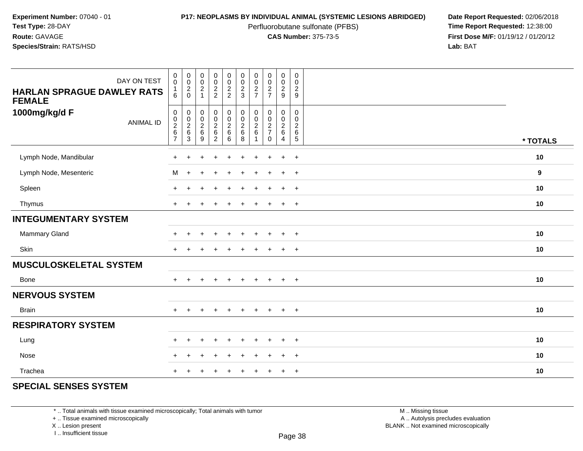Perfluorobutane sulfonate (PFBS)<br>**CAS Number:** 375-73-5

**P17: NEOPLASMS BY INDIVIDUAL ANIMAL (SYSTEMIC LESIONS ABRIDGED)** Date Report Requested: 02/06/2018<br>Perfluorobutane sulfonate (PFBS) **Time Report Requested:** 12:38:00 **First Dose M/F:** 01/19/12 / 01/20/12<br>**Lab:** BAT **Lab:** BAT

| DAY ON TEST<br><b>HARLAN SPRAGUE DAWLEY RATS</b><br><b>FEMALE</b> | $\pmb{0}$<br>$\pmb{0}$<br>1<br>6             | $\mathbf 0$<br>$\frac{0}{2}$                                              | $\begin{smallmatrix} 0\\0\\2 \end{smallmatrix}$<br>$\overline{1}$ | $\pmb{0}$<br>$\pmb{0}$<br>$\frac{2}{2}$                       | $\pmb{0}$<br>$\mathsf 0$<br>$\frac{2}{2}$      | $\mathbf 0$<br>$\pmb{0}$<br>$\frac{2}{3}$                  | $\pmb{0}$<br>$\pmb{0}$<br>$\frac{2}{7}$           | $\begin{array}{c} 0 \\ 0 \\ 2 \\ 7 \end{array}$          | $\pmb{0}$<br>$\frac{0}{2}$                        | $\mathbf 0$<br>$\mathbf 0$<br>$\boldsymbol{2}$<br>9               |          |
|-------------------------------------------------------------------|----------------------------------------------|---------------------------------------------------------------------------|-------------------------------------------------------------------|---------------------------------------------------------------|------------------------------------------------|------------------------------------------------------------|---------------------------------------------------|----------------------------------------------------------|---------------------------------------------------|-------------------------------------------------------------------|----------|
| 1000mg/kg/d F<br><b>ANIMAL ID</b>                                 | $\pmb{0}$<br>$\frac{0}{2}$<br>$\overline{7}$ | $\mathbf 0$<br>$\begin{array}{c} 0 \\ 2 \\ 6 \end{array}$<br>$\mathbf{3}$ | 00026<br>9                                                        | $\mathbf 0$<br>$\mathsf 0$<br>$\frac{2}{6}$<br>$\overline{2}$ | $\pmb{0}$<br>$\mathbf 0$<br>$\frac{2}{6}$<br>6 | $\pmb{0}$<br>$\mathbf 0$<br>$\overline{c}$<br>$\,6\,$<br>8 | 0<br>0<br>$\boldsymbol{2}$<br>6<br>$\overline{1}$ | $\mathbf 0$<br>$\pmb{0}$<br>$\frac{2}{7}$<br>$\mathbf 0$ | 0<br>$\pmb{0}$<br>$\frac{2}{6}$<br>$\overline{4}$ | $\mathbf 0$<br>$\mathbf 0$<br>$\sqrt{2}$<br>$\,6\,$<br>$\sqrt{5}$ | * TOTALS |
| Lymph Node, Mandibular                                            |                                              |                                                                           |                                                                   |                                                               |                                                |                                                            |                                                   |                                                          | $\ddot{}$                                         | $+$                                                               | 10       |
| Lymph Node, Mesenteric                                            | М                                            | $\div$                                                                    |                                                                   |                                                               |                                                |                                                            |                                                   |                                                          | $\div$                                            | $+$                                                               | 9        |
| Spleen                                                            | $\pm$                                        |                                                                           |                                                                   | $\ddot{}$                                                     |                                                | $\ddot{}$                                                  |                                                   |                                                          | $+$                                               | $+$                                                               | 10       |
| Thymus                                                            | $+$                                          |                                                                           |                                                                   | $\div$                                                        |                                                |                                                            |                                                   |                                                          | $\ddot{}$                                         | $+$                                                               | 10       |
| <b>INTEGUMENTARY SYSTEM</b>                                       |                                              |                                                                           |                                                                   |                                                               |                                                |                                                            |                                                   |                                                          |                                                   |                                                                   |          |
| Mammary Gland                                                     | $\ddot{}$                                    | $\ddot{}$                                                                 |                                                                   | $\ddot{}$                                                     |                                                | $\ddot{}$                                                  |                                                   | $\overline{ }$                                           | $\ddot{}$                                         | $+$                                                               | 10       |
| Skin                                                              | $+$                                          | $\div$                                                                    |                                                                   |                                                               |                                                |                                                            |                                                   | $\overline{ }$                                           | $\ddot{}$                                         | $+$                                                               | 10       |
| <b>MUSCULOSKELETAL SYSTEM</b>                                     |                                              |                                                                           |                                                                   |                                                               |                                                |                                                            |                                                   |                                                          |                                                   |                                                                   |          |
| Bone                                                              | $\ddot{}$                                    | $\pm$                                                                     | $\ddot{}$                                                         | $\overline{+}$                                                | $\div$                                         | $\ddot{}$                                                  | $\ddot{}$                                         | $\overline{+}$                                           | $+$                                               | $+$                                                               | 10       |
| <b>NERVOUS SYSTEM</b>                                             |                                              |                                                                           |                                                                   |                                                               |                                                |                                                            |                                                   |                                                          |                                                   |                                                                   |          |
| <b>Brain</b>                                                      | $+$                                          | $\div$                                                                    |                                                                   | $\overline{+}$                                                | $\pm$                                          | $\ddot{}$                                                  | $\pm$                                             | $+$                                                      | $+$                                               | $+$                                                               | 10       |
| <b>RESPIRATORY SYSTEM</b>                                         |                                              |                                                                           |                                                                   |                                                               |                                                |                                                            |                                                   |                                                          |                                                   |                                                                   |          |
| Lung                                                              | $\pm$                                        |                                                                           |                                                                   |                                                               |                                                |                                                            |                                                   |                                                          | ÷                                                 | $+$                                                               | 10       |
| Nose                                                              | $\div$                                       |                                                                           |                                                                   |                                                               |                                                |                                                            |                                                   |                                                          |                                                   | $\overline{+}$                                                    | 10       |
| Trachea                                                           | $\pm$                                        |                                                                           |                                                                   |                                                               |                                                |                                                            |                                                   |                                                          | ÷                                                 | $+$                                                               | 10       |

## **SPECIAL SENSES SYSTEM**

\* .. Total animals with tissue examined microscopically; Total animals with tumor

+ .. Tissue examined microscopically

X .. Lesion present

I .. Insufficient tissue